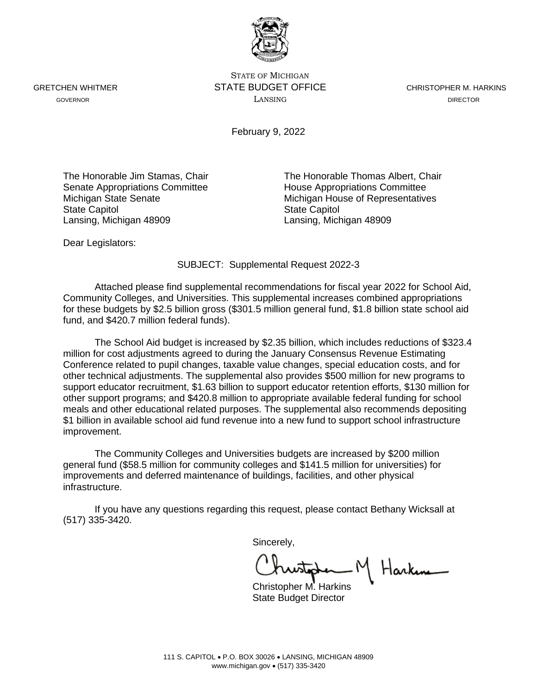STATE OF MICHIGAN GRETCHEN WHITMER **STATE BUDGET OFFICE** CHRISTOPHER M. HARKINS GOVERNOR LANSING DIRECTOR

February 9, 2022

Senate Appropriations Committee<br>
Michigan State Senate<br>
Michigan House of Representative State Capitol **State Capitol** State Capitol Lansing, Michigan 48909 Lansing, Michigan 48909

The Honorable Jim Stamas, Chair The Honorable Thomas Albert, Chair Michigan House of Representatives

Dear Legislators:

SUBJECT: Supplemental Request 2022-3

Attached please find supplemental recommendations for fiscal year 2022 for School Aid, Community Colleges, and Universities. This supplemental increases combined appropriations for these budgets by \$2.5 billion gross (\$301.5 million general fund, \$1.8 billion state school aid fund, and \$420.7 million federal funds).

The School Aid budget is increased by \$2.35 billion, which includes reductions of \$323.4 million for cost adjustments agreed to during the January Consensus Revenue Estimating Conference related to pupil changes, taxable value changes, special education costs, and for other technical adjustments. The supplemental also provides \$500 million for new programs to support educator recruitment, \$1.63 billion to support educator retention efforts, \$130 million for other support programs; and \$420.8 million to appropriate available federal funding for school meals and other educational related purposes. The supplemental also recommends depositing \$1 billion in available school aid fund revenue into a new fund to support school infrastructure improvement.

The Community Colleges and Universities budgets are increased by \$200 million general fund (\$58.5 million for community colleges and \$141.5 million for universities) for improvements and deferred maintenance of buildings, facilities, and other physical infrastructure.

If you have any questions regarding this request, please contact Bethany Wicksall at (517) 335-3420.

Sincerely,

Harking

Christopher M. Harkins State Budget Director

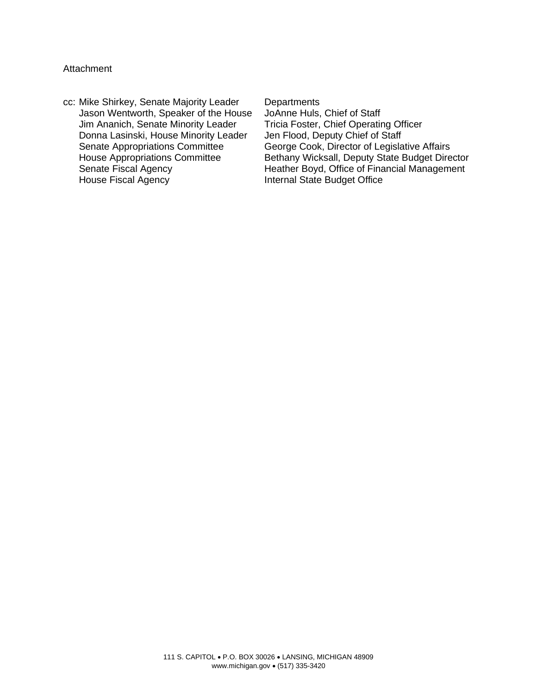## **Attachment**

cc: Mike Shirkey, Senate Majority Leader Departments<br>Jason Wentworth, Speaker of the House JoAnne Huls, Chief of Staff Jason Wentworth, Speaker of the House JoAnne Huls, Chief of Staff Jim Ananich, Senate Minority Leader Donna Lasinski, House Minority Leader Jen Flood, Deputy Chief of Staff

Senate Appropriations Committee George Cook, Director of Legislative Affairs<br>House Appropriations Committee Bethany Wicksall, Deputy State Budget Dire Bethany Wicksall, Deputy State Budget Director Senate Fiscal Agency **Heather Boyd, Office of Financial Management**<br>
Heather Boyd, Office of Financial Management<br>
Internal State Budget Office Internal State Budget Office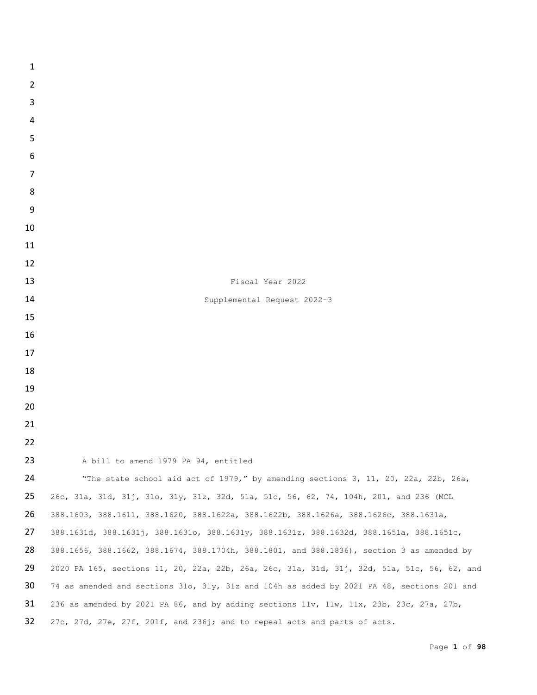| $\mathbf{1}$   |                                                                                             |
|----------------|---------------------------------------------------------------------------------------------|
| $\overline{2}$ |                                                                                             |
| 3              |                                                                                             |
| $\overline{a}$ |                                                                                             |
| 5              |                                                                                             |
| 6              |                                                                                             |
| $\overline{7}$ |                                                                                             |
| 8              |                                                                                             |
| 9              |                                                                                             |
| 10             |                                                                                             |
| 11             |                                                                                             |
| 12             |                                                                                             |
| 13             | Fiscal Year 2022                                                                            |
| 14             | Supplemental Request 2022-3                                                                 |
| 15             |                                                                                             |
| 16             |                                                                                             |
| 17             |                                                                                             |
| 18             |                                                                                             |
| 19             |                                                                                             |
| 20             |                                                                                             |
| 21             |                                                                                             |
| 22             |                                                                                             |
| 23             | A bill to amend 1979 PA 94, entitled                                                        |
| 24             | "The state school aid act of 1979," by amending sections 3, 11, 20, 22a, 22b, 26a,          |
| 25             | 26c, 31a, 31d, 31j, 31o, 31y, 31z, 32d, 51a, 51c, 56, 62, 74, 104h, 201, and 236 (MCL       |
| 26             | 388.1603, 388.1611, 388.1620, 388.1622a, 388.1622b, 388.1626a, 388.1626c, 388.1631a,        |
| 27             | 388.1631d, 388.1631j, 388.1631o, 388.1631y, 388.1631z, 388.1632d, 388.1651a, 388.1651c,     |
| 28             | 388.1656, 388.1662, 388.1674, 388.1704h, 388.1801, and 388.1836), section 3 as amended by   |
| 29             | 2020 PA 165, sections 11, 20, 22a, 22b, 26a, 26c, 31a, 31d, 31j, 32d, 51a, 51c, 56, 62, and |
| 30             | 74 as amended and sections 31o, 31y, 31z and 104h as added by 2021 PA 48, sections 201 and  |
| 31             | 236 as amended by 2021 PA 86, and by adding sections 11v, 11w, 11x, 23b, 23c, 27a, 27b,     |
| 32             | 27c, 27d, 27e, 27f, 201f, and 236j; and to repeal acts and parts of acts.                   |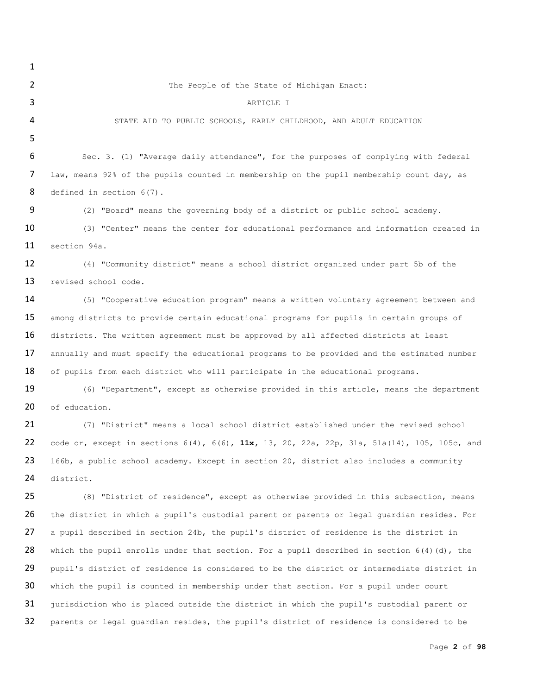## The People of the State of Michigan Enact:

3 ARTICLE I

STATE AID TO PUBLIC SCHOOLS, EARLY CHILDHOOD, AND ADULT EDUCATION

 Sec. 3. (1) "Average daily attendance", for the purposes of complying with federal law, means 92% of the pupils counted in membership on the pupil membership count day, as 8 defined in section 6(7).

(2) "Board" means the governing body of a district or public school academy.

10 (3) "Center" means the center for educational performance and information created in section 94a.

 (4) "Community district" means a school district organized under part 5b of the 13 revised school code.

 (5) "Cooperative education program" means a written voluntary agreement between and among districts to provide certain educational programs for pupils in certain groups of 16 districts. The written agreement must be approved by all affected districts at least 17 annually and must specify the educational programs to be provided and the estimated number 18 of pupils from each district who will participate in the educational programs.

 (6) "Department", except as otherwise provided in this article, means the department 20 of education.

 (7) "District" means a local school district established under the revised school code or, except in sections 6(4), 6(6), **11x,** 13, 20, 22a, 22p, 31a, 51a(14), 105, 105c, and 23 166b, a public school academy. Except in section 20, district also includes a community district.

 (8) "District of residence", except as otherwise provided in this subsection, means the district in which a pupil's custodial parent or parents or legal guardian resides. For 27 a pupil described in section 24b, the pupil's district of residence is the district in 28 which the pupil enrolls under that section. For a pupil described in section  $6(4)(d)$ , the 29 pupil's district of residence is considered to be the district or intermediate district in which the pupil is counted in membership under that section. For a pupil under court jurisdiction who is placed outside the district in which the pupil's custodial parent or parents or legal guardian resides, the pupil's district of residence is considered to be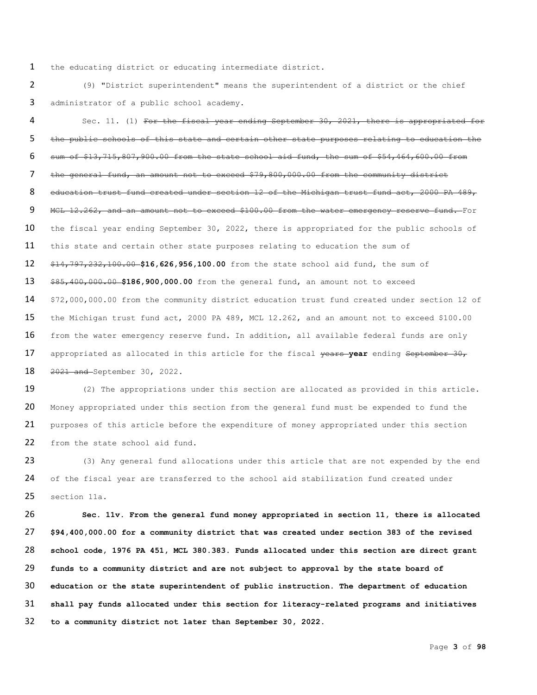the educating district or educating intermediate district.

 (9) "District superintendent" means the superintendent of a district or the chief administrator of a public school academy.

4 Sec. 11. (1) For the fiscal year ending September 30, 2021, there is appropriated for the public schools of this state and certain other state purposes relating to education the sum of \$13,715,807,900.00 from the state school aid fund, the sum of \$54,464,600.00 from the general fund, an amount not to exceed \$79,800,000.00 from the community district 8 education trust fund created under section 12 of the Michigan trust fund act, 2000 PA 489, 9 MCL 12.262, and an amount not to exceed \$100.00 from the water emergency reserve fund. For 10 the fiscal year ending September 30, 2022, there is appropriated for the public schools of 11 this state and certain other state purposes relating to education the sum of \$14,797,232,100.00 **\$16,626,956,100.00** from the state school aid fund, the sum of \$85,400,000.00 **\$186,900,000.00** from the general fund, an amount not to exceed \$72,000,000.00 from the community district education trust fund created under section 12 of the Michigan trust fund act, 2000 PA 489, MCL 12.262, and an amount not to exceed \$100.00 16 from the water emergency reserve fund. In addition, all available federal funds are only 17 appropriated as allocated in this article for the fiscal years year ending September 30, 2021 and September 30, 2022.

 (2) The appropriations under this section are allocated as provided in this article. 20 Money appropriated under this section from the general fund must be expended to fund the 21 purposes of this article before the expenditure of money appropriated under this section from the state school aid fund.

23 (3) Any general fund allocations under this article that are not expended by the end 24 of the fiscal year are transferred to the school aid stabilization fund created under section 11a.

 **Sec. 11v. From the general fund money appropriated in section 11, there is allocated \$94,400,000.00 for a community district that was created under section 383 of the revised school code, 1976 PA 451, MCL 380.383. Funds allocated under this section are direct grant funds to a community district and are not subject to approval by the state board of education or the state superintendent of public instruction. The department of education shall pay funds allocated under this section for literacy-related programs and initiatives to a community district not later than September 30, 2022.**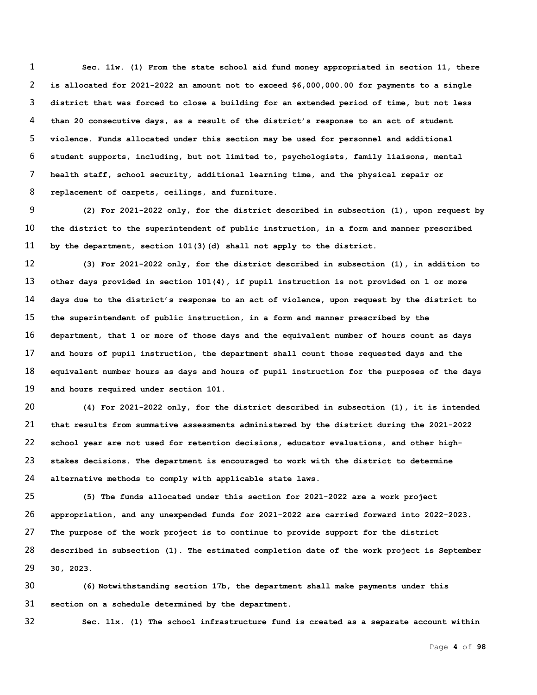**Sec. 11w. (1) From the state school aid fund money appropriated in section 11, there is allocated for 2021-2022 an amount not to exceed \$6,000,000.00 for payments to a single district that was forced to close a building for an extended period of time, but not less than 20 consecutive days, as a result of the district's response to an act of student violence. Funds allocated under this section may be used for personnel and additional student supports, including, but not limited to, psychologists, family liaisons, mental health staff, school security, additional learning time, and the physical repair or replacement of carpets, ceilings, and furniture.** 

 **(2) For 2021-2022 only, for the district described in subsection (1), upon request by the district to the superintendent of public instruction, in a form and manner prescribed by the department, section 101(3)(d) shall not apply to the district.**

 **(3) For 2021-2022 only, for the district described in subsection (1), in addition to other days provided in section 101(4), if pupil instruction is not provided on 1 or more days due to the district's response to an act of violence, upon request by the district to the superintendent of public instruction, in a form and manner prescribed by the department, that 1 or more of those days and the equivalent number of hours count as days and hours of pupil instruction, the department shall count those requested days and the equivalent number hours as days and hours of pupil instruction for the purposes of the days and hours required under section 101.**

 **(4) For 2021-2022 only, for the district described in subsection (1), it is intended that results from summative assessments administered by the district during the 2021-2022 school year are not used for retention decisions, educator evaluations, and other high- stakes decisions. The department is encouraged to work with the district to determine alternative methods to comply with applicable state laws.** 

 **(5) The funds allocated under this section for 2021-2022 are a work project appropriation, and any unexpended funds for 2021-2022 are carried forward into 2022-2023. The purpose of the work project is to continue to provide support for the district described in subsection (1). The estimated completion date of the work project is September 30, 2023.** 

 **(6) Notwithstanding section 17b, the department shall make payments under this section on a schedule determined by the department.**

**Sec. 11x. (1) The school infrastructure fund is created as a separate account within**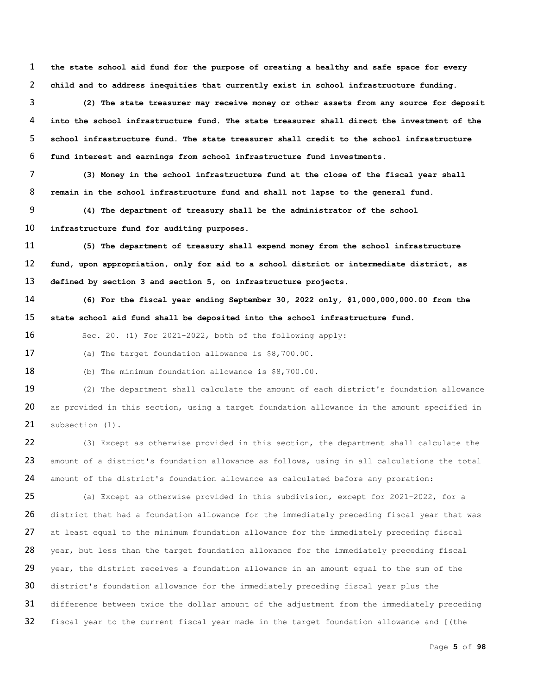**the state school aid fund for the purpose of creating a healthy and safe space for every child and to address inequities that currently exist in school infrastructure funding.** 

 **(2) The state treasurer may receive money or other assets from any source for deposit into the school infrastructure fund. The state treasurer shall direct the investment of the school infrastructure fund. The state treasurer shall credit to the school infrastructure fund interest and earnings from school infrastructure fund investments.**

 **(3) Money in the school infrastructure fund at the close of the fiscal year shall remain in the school infrastructure fund and shall not lapse to the general fund.**

 **(4) The department of treasury shall be the administrator of the school infrastructure fund for auditing purposes.**

 **(5) The department of treasury shall expend money from the school infrastructure fund, upon appropriation, only for aid to a school district or intermediate district, as defined by section 3 and section 5, on infrastructure projects.**

 **(6) For the fiscal year ending September 30, 2022 only, \$1,000,000,000.00 from the state school aid fund shall be deposited into the school infrastructure fund.**

Sec. 20. (1) For 2021-2022, both of the following apply:

(a) The target foundation allowance is \$8,700.00.

(b) The minimum foundation allowance is \$8,700.00.

 (2) The department shall calculate the amount of each district's foundation allowance 20 as provided in this section, using a target foundation allowance in the amount specified in 21 subsection (1).

 (3) Except as otherwise provided in this section, the department shall calculate the 23 amount of a district's foundation allowance as follows, using in all calculations the total amount of the district's foundation allowance as calculated before any proration:

 (a) Except as otherwise provided in this subdivision, except for 2021-2022, for a 26 district that had a foundation allowance for the immediately preceding fiscal year that was at least equal to the minimum foundation allowance for the immediately preceding fiscal 28 year, but less than the target foundation allowance for the immediately preceding fiscal 29 year, the district receives a foundation allowance in an amount equal to the sum of the district's foundation allowance for the immediately preceding fiscal year plus the 31 difference between twice the dollar amount of the adjustment from the immediately preceding fiscal year to the current fiscal year made in the target foundation allowance and [(the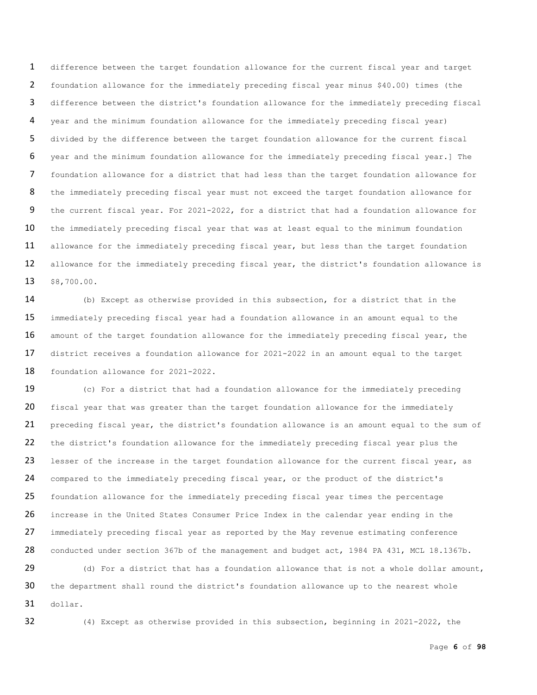difference between the target foundation allowance for the current fiscal year and target foundation allowance for the immediately preceding fiscal year minus \$40.00) times (the difference between the district's foundation allowance for the immediately preceding fiscal year and the minimum foundation allowance for the immediately preceding fiscal year) divided by the difference between the target foundation allowance for the current fiscal year and the minimum foundation allowance for the immediately preceding fiscal year.] The foundation allowance for a district that had less than the target foundation allowance for the immediately preceding fiscal year must not exceed the target foundation allowance for the current fiscal year. For 2021-2022, for a district that had a foundation allowance for 10 the immediately preceding fiscal year that was at least equal to the minimum foundation 11 allowance for the immediately preceding fiscal year, but less than the target foundation 12 allowance for the immediately preceding fiscal year, the district's foundation allowance is \$8,700.00.

 (b) Except as otherwise provided in this subsection, for a district that in the immediately preceding fiscal year had a foundation allowance in an amount equal to the 16 amount of the target foundation allowance for the immediately preceding fiscal year, the district receives a foundation allowance for 2021-2022 in an amount equal to the target foundation allowance for 2021-2022.

 (c) For a district that had a foundation allowance for the immediately preceding 20 fiscal year that was greater than the target foundation allowance for the immediately 21 preceding fiscal year, the district's foundation allowance is an amount equal to the sum of the district's foundation allowance for the immediately preceding fiscal year plus the 23 lesser of the increase in the target foundation allowance for the current fiscal year, as compared to the immediately preceding fiscal year, or the product of the district's foundation allowance for the immediately preceding fiscal year times the percentage increase in the United States Consumer Price Index in the calendar year ending in the 27 immediately preceding fiscal year as reported by the May revenue estimating conference 28 conducted under section 367b of the management and budget act, 1984 PA 431, MCL 18.1367b.

29 (d) For a district that has a foundation allowance that is not a whole dollar amount, 30 the department shall round the district's foundation allowance up to the nearest whole dollar.

(4) Except as otherwise provided in this subsection, beginning in 2021-2022, the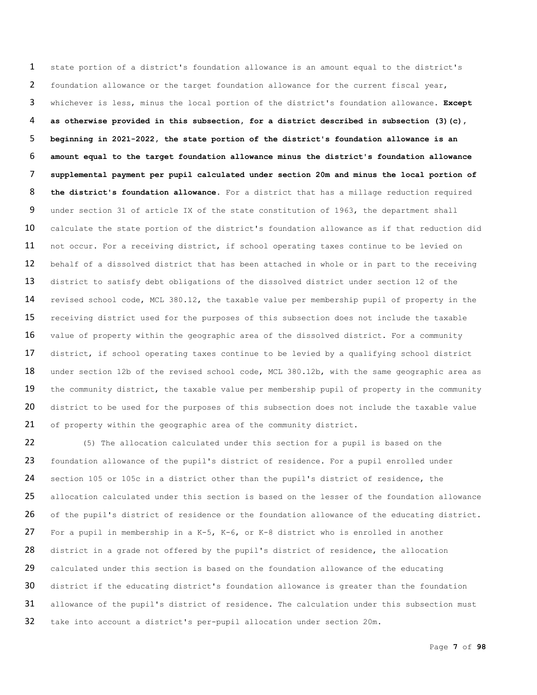state portion of a district's foundation allowance is an amount equal to the district's foundation allowance or the target foundation allowance for the current fiscal year, whichever is less, minus the local portion of the district's foundation allowance. **Except as otherwise provided in this subsection, for a district described in subsection (3)(c), beginning in 2021-2022, the state portion of the district's foundation allowance is an amount equal to the target foundation allowance minus the district's foundation allowance supplemental payment per pupil calculated under section 20m and minus the local portion of the district's foundation allowance.** For a district that has a millage reduction required under section 31 of article IX of the state constitution of 1963, the department shall 10 calculate the state portion of the district's foundation allowance as if that reduction did 11 not occur. For a receiving district, if school operating taxes continue to be levied on 12 behalf of a dissolved district that has been attached in whole or in part to the receiving district to satisfy debt obligations of the dissolved district under section 12 of the revised school code, MCL 380.12, the taxable value per membership pupil of property in the 15 receiving district used for the purposes of this subsection does not include the taxable value of property within the geographic area of the dissolved district. For a community 17 district, if school operating taxes continue to be levied by a qualifying school district 18 under section 12b of the revised school code, MCL 380.12b, with the same geographic area as 19 the community district, the taxable value per membership pupil of property in the community 20 district to be used for the purposes of this subsection does not include the taxable value of property within the geographic area of the community district.

22 (5) The allocation calculated under this section for a pupil is based on the 23 foundation allowance of the pupil's district of residence. For a pupil enrolled under 24 section 105 or 105c in a district other than the pupil's district of residence, the 25 allocation calculated under this section is based on the lesser of the foundation allowance 26 of the pupil's district of residence or the foundation allowance of the educating district. 27 For a pupil in membership in a K-5, K-6, or K-8 district who is enrolled in another 28 district in a grade not offered by the pupil's district of residence, the allocation 29 calculated under this section is based on the foundation allowance of the educating 30 district if the educating district's foundation allowance is greater than the foundation 31 allowance of the pupil's district of residence. The calculation under this subsection must 32 take into account a district's per-pupil allocation under section 20m.

Page **7** of **98**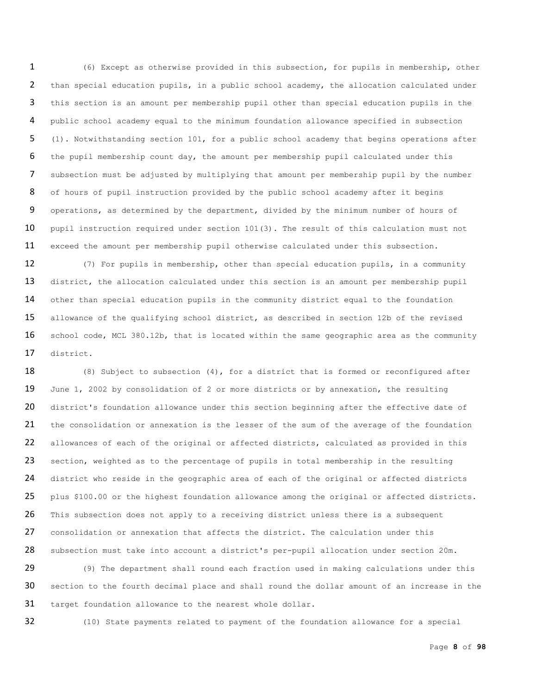(6) Except as otherwise provided in this subsection, for pupils in membership, other than special education pupils, in a public school academy, the allocation calculated under this section is an amount per membership pupil other than special education pupils in the public school academy equal to the minimum foundation allowance specified in subsection (1). Notwithstanding section 101, for a public school academy that begins operations after the pupil membership count day, the amount per membership pupil calculated under this subsection must be adjusted by multiplying that amount per membership pupil by the number 8 of hours of pupil instruction provided by the public school academy after it begins operations, as determined by the department, divided by the minimum number of hours of 10 pupil instruction required under section 101(3). The result of this calculation must not exceed the amount per membership pupil otherwise calculated under this subsection.

12 (7) For pupils in membership, other than special education pupils, in a community 13 district, the allocation calculated under this section is an amount per membership pupil 14 other than special education pupils in the community district equal to the foundation 15 allowance of the qualifying school district, as described in section 12b of the revised 16 school code, MCL 380.12b, that is located within the same geographic area as the community 17 district.

18 (8) Subject to subsection  $(4)$ , for a district that is formed or reconfigured after 19 June 1, 2002 by consolidation of 2 or more districts or by annexation, the resulting 20 district's foundation allowance under this section beginning after the effective date of 21 the consolidation or annexation is the lesser of the sum of the average of the foundation 22 allowances of each of the original or affected districts, calculated as provided in this 23 section, weighted as to the percentage of pupils in total membership in the resulting 24 district who reside in the geographic area of each of the original or affected districts 25 plus \$100.00 or the highest foundation allowance among the original or affected districts. 26 This subsection does not apply to a receiving district unless there is a subsequent 27 consolidation or annexation that affects the district. The calculation under this 28 subsection must take into account a district's per-pupil allocation under section 20m.

29 (9) The department shall round each fraction used in making calculations under this 30 section to the fourth decimal place and shall round the dollar amount of an increase in the 31 target foundation allowance to the nearest whole dollar.

32 (10) State payments related to payment of the foundation allowance for a special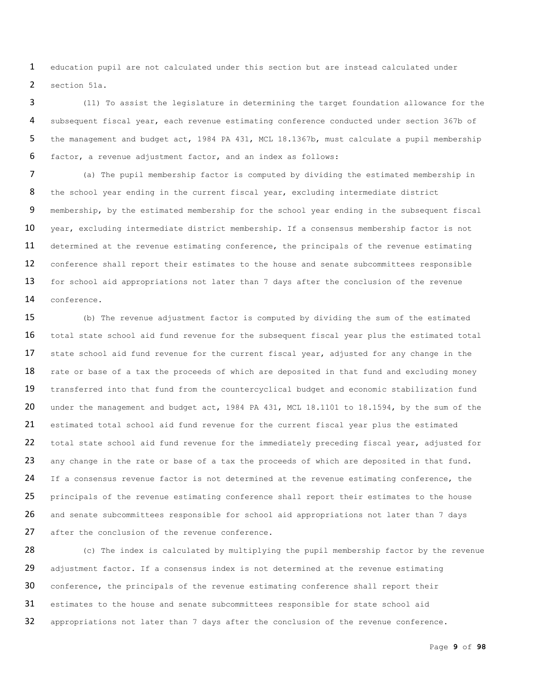1 education pupil are not calculated under this section but are instead calculated under 2 section 51a.

 (11) To assist the legislature in determining the target foundation allowance for the subsequent fiscal year, each revenue estimating conference conducted under section 367b of the management and budget act, 1984 PA 431, MCL 18.1367b, must calculate a pupil membership factor, a revenue adjustment factor, and an index as follows:

7 (a) The pupil membership factor is computed by dividing the estimated membership in 8 the school year ending in the current fiscal year, excluding intermediate district 9 membership, by the estimated membership for the school year ending in the subsequent fiscal 10 year, excluding intermediate district membership. If a consensus membership factor is not 11 determined at the revenue estimating conference, the principals of the revenue estimating 12 conference shall report their estimates to the house and senate subcommittees responsible 13 for school aid appropriations not later than 7 days after the conclusion of the revenue 14 conference.

15 (b) The revenue adjustment factor is computed by dividing the sum of the estimated 16 total state school aid fund revenue for the subsequent fiscal year plus the estimated total 17 state school aid fund revenue for the current fiscal year, adjusted for any change in the 18 rate or base of a tax the proceeds of which are deposited in that fund and excluding money 19 transferred into that fund from the countercyclical budget and economic stabilization fund 20 under the management and budget act, 1984 PA 431, MCL 18.1101 to 18.1594, by the sum of the 21 estimated total school aid fund revenue for the current fiscal year plus the estimated 22 total state school aid fund revenue for the immediately preceding fiscal year, adjusted for 23 any change in the rate or base of a tax the proceeds of which are deposited in that fund. 24 If a consensus revenue factor is not determined at the revenue estimating conference, the 25 principals of the revenue estimating conference shall report their estimates to the house 26 and senate subcommittees responsible for school aid appropriations not later than 7 days 27 after the conclusion of the revenue conference.

28 (c) The index is calculated by multiplying the pupil membership factor by the revenue 29 adjustment factor. If a consensus index is not determined at the revenue estimating 30 conference, the principals of the revenue estimating conference shall report their 31 estimates to the house and senate subcommittees responsible for state school aid 32 appropriations not later than 7 days after the conclusion of the revenue conference.

Page **9** of **98**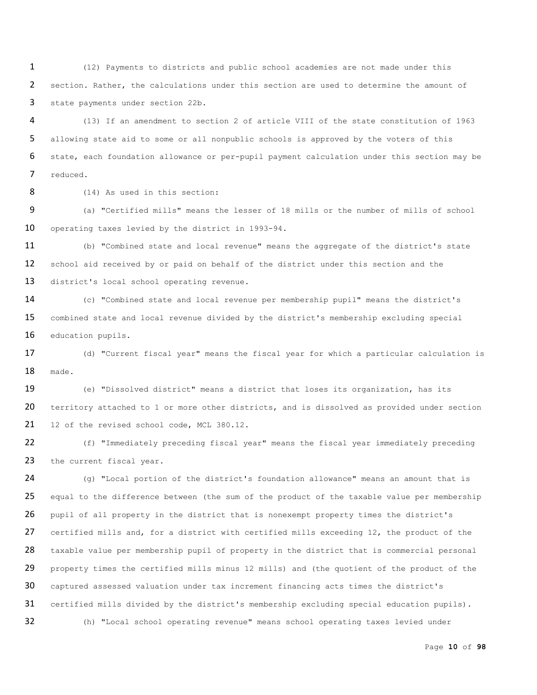(12) Payments to districts and public school academies are not made under this section. Rather, the calculations under this section are used to determine the amount of state payments under section 22b.

 (13) If an amendment to section 2 of article VIII of the state constitution of 1963 allowing state aid to some or all nonpublic schools is approved by the voters of this state, each foundation allowance or per-pupil payment calculation under this section may be reduced.

8 (14) As used in this section:

 (a) "Certified mills" means the lesser of 18 mills or the number of mills of school operating taxes levied by the district in 1993-94.

 (b) "Combined state and local revenue" means the aggregate of the district's state school aid received by or paid on behalf of the district under this section and the 13 district's local school operating revenue.

 (c) "Combined state and local revenue per membership pupil" means the district's combined state and local revenue divided by the district's membership excluding special education pupils.

 (d) "Current fiscal year" means the fiscal year for which a particular calculation is made.

 (e) "Dissolved district" means a district that loses its organization, has its 20 territory attached to 1 or more other districts, and is dissolved as provided under section 21 12 of the revised school code, MCL 380.12.

 (f) "Immediately preceding fiscal year" means the fiscal year immediately preceding 23 the current fiscal year.

 (g) "Local portion of the district's foundation allowance" means an amount that is 25 equal to the difference between (the sum of the product of the taxable value per membership pupil of all property in the district that is nonexempt property times the district's 27 certified mills and, for a district with certified mills exceeding 12, the product of the 28 taxable value per membership pupil of property in the district that is commercial personal 29 property times the certified mills minus 12 mills) and (the quotient of the product of the captured assessed valuation under tax increment financing acts times the district's certified mills divided by the district's membership excluding special education pupils). (h) "Local school operating revenue" means school operating taxes levied under

Page **10** of **98**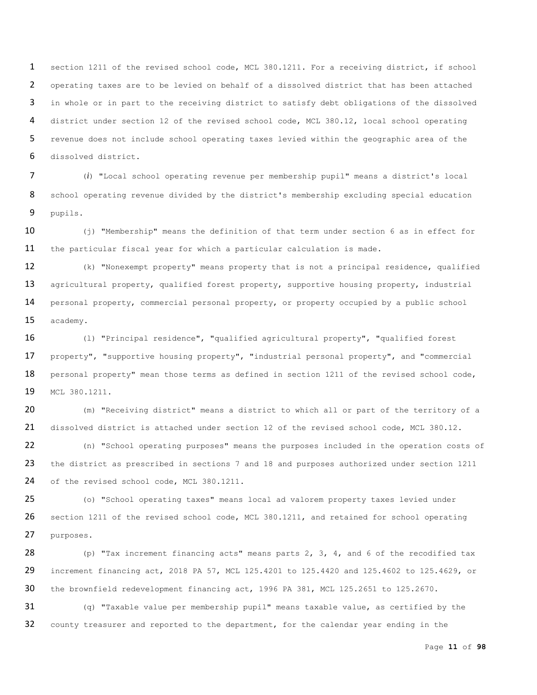section 1211 of the revised school code, MCL 380.1211. For a receiving district, if school operating taxes are to be levied on behalf of a dissolved district that has been attached in whole or in part to the receiving district to satisfy debt obligations of the dissolved district under section 12 of the revised school code, MCL 380.12, local school operating revenue does not include school operating taxes levied within the geographic area of the dissolved district.

 (*i*) "Local school operating revenue per membership pupil" means a district's local 8 school operating revenue divided by the district's membership excluding special education pupils.

10 (j) "Membership" means the definition of that term under section 6 as in effect for the particular fiscal year for which a particular calculation is made.

 (k) "Nonexempt property" means property that is not a principal residence, qualified 13 agricultural property, qualified forest property, supportive housing property, industrial personal property, commercial personal property, or property occupied by a public school academy.

 (l) "Principal residence", "qualified agricultural property", "qualified forest property", "supportive housing property", "industrial personal property", and "commercial 18 personal property" mean those terms as defined in section 1211 of the revised school code, MCL 380.1211.

 (m) "Receiving district" means a district to which all or part of the territory of a dissolved district is attached under section 12 of the revised school code, MCL 380.12.

 (n) "School operating purposes" means the purposes included in the operation costs of 23 the district as prescribed in sections 7 and 18 and purposes authorized under section 1211 24 of the revised school code, MCL 380.1211.

 (o) "School operating taxes" means local ad valorem property taxes levied under 26 section 1211 of the revised school code, MCL 380.1211, and retained for school operating purposes.

28 (p) "Tax increment financing acts" means parts ,  $3$ ,  $4$ , and  $6$  of the recodified tax increment financing act, 2018 PA 57, MCL 125.4201 to 125.4420 and 125.4602 to 125.4629, or the brownfield redevelopment financing act, 1996 PA 381, MCL 125.2651 to 125.2670.

 (q) "Taxable value per membership pupil" means taxable value, as certified by the county treasurer and reported to the department, for the calendar year ending in the

Page **11** of **98**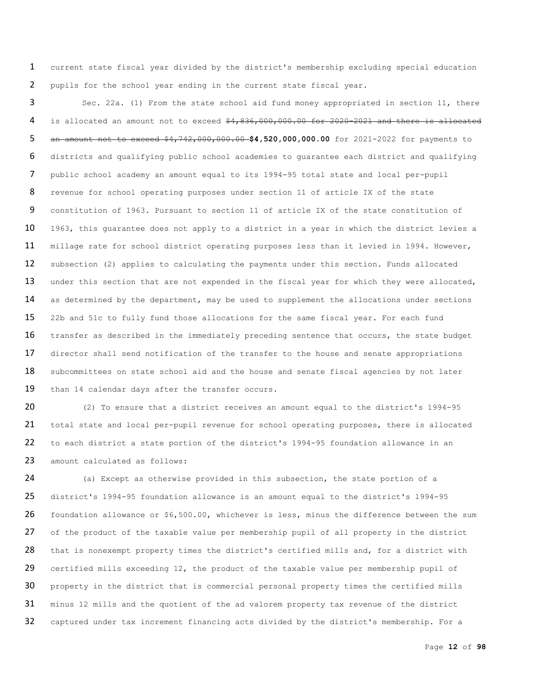1 current state fiscal year divided by the district's membership excluding special education 2 pupils for the school year ending in the current state fiscal year.

3 Sec. 22a. (1) From the state school aid fund money appropriated in section 11, there 4 is allocated an amount not to exceed \$4,836,000,000.00 for 2020-2021 and there is allocated 5 an amount not to exceed \$4,742,000,000.00 **\$4,520,000,000.00** for 2021-2022 for payments to 6 districts and qualifying public school academies to guarantee each district and qualifying 7 public school academy an amount equal to its 1994-95 total state and local per-pupil 8 revenue for school operating purposes under section 11 of article IX of the state 9 constitution of 1963. Pursuant to section 11 of article IX of the state constitution of 10 1963, this guarantee does not apply to a district in a year in which the district levies a 11 millage rate for school district operating purposes less than it levied in 1994. However, 12 subsection (2) applies to calculating the payments under this section. Funds allocated 13 under this section that are not expended in the fiscal year for which they were allocated, 14 as determined by the department, may be used to supplement the allocations under sections 15 22b and 51c to fully fund those allocations for the same fiscal year. For each fund 16 transfer as described in the immediately preceding sentence that occurs, the state budget 17 director shall send notification of the transfer to the house and senate appropriations 18 subcommittees on state school aid and the house and senate fiscal agencies by not later 19 than 14 calendar days after the transfer occurs.

20 (2) To ensure that a district receives an amount equal to the district's 1994-95 21 total state and local per-pupil revenue for school operating purposes, there is allocated 22 to each district a state portion of the district's 1994-95 foundation allowance in an 23 amount calculated as follows:

 (a) Except as otherwise provided in this subsection, the state portion of a district's 1994-95 foundation allowance is an amount equal to the district's 1994-95 foundation allowance or \$6,500.00, whichever is less, minus the difference between the sum 27 of the product of the taxable value per membership pupil of all property in the district 28 that is nonexempt property times the district's certified mills and, for a district with certified mills exceeding 12, the product of the taxable value per membership pupil of property in the district that is commercial personal property times the certified mills minus 12 mills and the quotient of the ad valorem property tax revenue of the district captured under tax increment financing acts divided by the district's membership. For a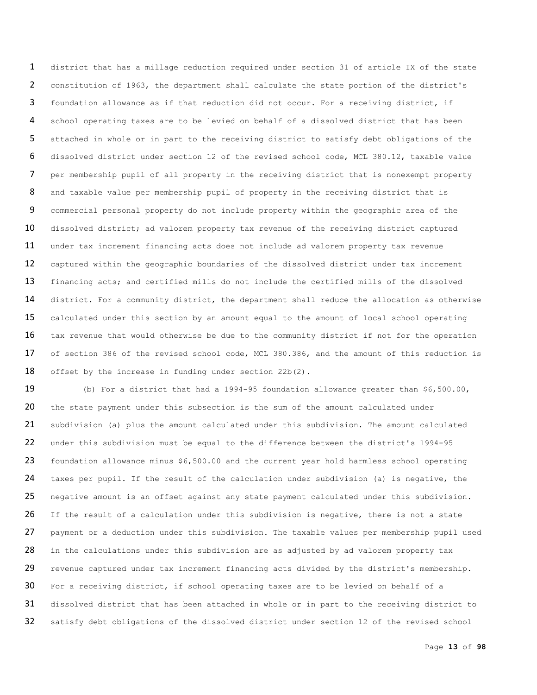district that has a millage reduction required under section 31 of article IX of the state constitution of 1963, the department shall calculate the state portion of the district's foundation allowance as if that reduction did not occur. For a receiving district, if school operating taxes are to be levied on behalf of a dissolved district that has been attached in whole or in part to the receiving district to satisfy debt obligations of the dissolved district under section 12 of the revised school code, MCL 380.12, taxable value per membership pupil of all property in the receiving district that is nonexempt property 8 and taxable value per membership pupil of property in the receiving district that is commercial personal property do not include property within the geographic area of the dissolved district; ad valorem property tax revenue of the receiving district captured under tax increment financing acts does not include ad valorem property tax revenue captured within the geographic boundaries of the dissolved district under tax increment 13 financing acts; and certified mills do not include the certified mills of the dissolved 14 district. For a community district, the department shall reduce the allocation as otherwise 15 calculated under this section by an amount equal to the amount of local school operating 16 tax revenue that would otherwise be due to the community district if not for the operation of section 386 of the revised school code, MCL 380.386, and the amount of this reduction is 18 offset by the increase in funding under section 22b(2).

 (b) For a district that had a 1994-95 foundation allowance greater than \$6,500.00, the state payment under this subsection is the sum of the amount calculated under subdivision (a) plus the amount calculated under this subdivision. The amount calculated under this subdivision must be equal to the difference between the district's 1994-95 foundation allowance minus \$6,500.00 and the current year hold harmless school operating taxes per pupil. If the result of the calculation under subdivision (a) is negative, the negative amount is an offset against any state payment calculated under this subdivision. 26 If the result of a calculation under this subdivision is negative, there is not a state 27 payment or a deduction under this subdivision. The taxable values per membership pupil used 28 in the calculations under this subdivision are as adjusted by ad valorem property tax 29 revenue captured under tax increment financing acts divided by the district's membership. For a receiving district, if school operating taxes are to be levied on behalf of a dissolved district that has been attached in whole or in part to the receiving district to satisfy debt obligations of the dissolved district under section 12 of the revised school

Page **13** of **98**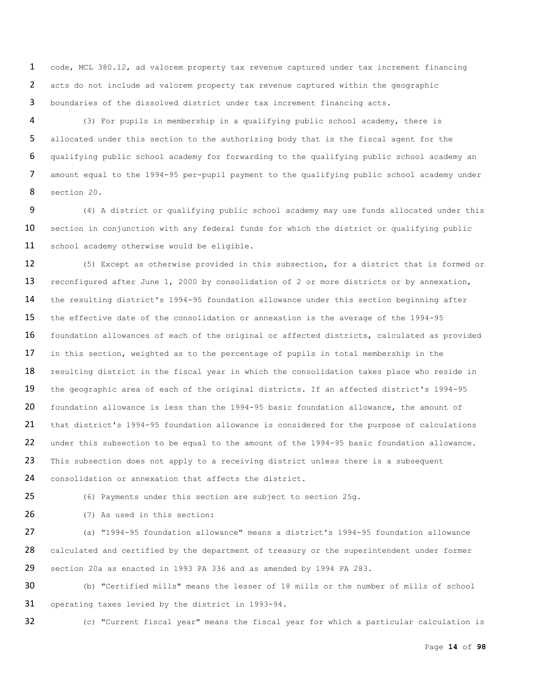code, MCL 380.12, ad valorem property tax revenue captured under tax increment financing acts do not include ad valorem property tax revenue captured within the geographic boundaries of the dissolved district under tax increment financing acts.

 (3) For pupils in membership in a qualifying public school academy, there is allocated under this section to the authorizing body that is the fiscal agent for the qualifying public school academy for forwarding to the qualifying public school academy an amount equal to the 1994-95 per-pupil payment to the qualifying public school academy under section 20.

 (4) A district or qualifying public school academy may use funds allocated under this 10 section in conjunction with any federal funds for which the district or qualifying public 11 school academy otherwise would be eligible.

12 (5) Except as otherwise provided in this subsection, for a district that is formed or 13 reconfigured after June 1, 2000 by consolidation of 2 or more districts or by annexation, the resulting district's 1994-95 foundation allowance under this section beginning after the effective date of the consolidation or annexation is the average of the 1994-95 16 foundation allowances of each of the original or affected districts, calculated as provided 17 in this section, weighted as to the percentage of pupils in total membership in the 18 resulting district in the fiscal year in which the consolidation takes place who reside in the geographic area of each of the original districts. If an affected district's 1994-95 foundation allowance is less than the 1994-95 basic foundation allowance, the amount of that district's 1994-95 foundation allowance is considered for the purpose of calculations under this subsection to be equal to the amount of the 1994-95 basic foundation allowance. 23 This subsection does not apply to a receiving district unless there is a subsequent 24 consolidation or annexation that affects the district.

(6) Payments under this section are subject to section 25g.

(7) As used in this section:

 (a) "1994-95 foundation allowance" means a district's 1994-95 foundation allowance 28 calculated and certified by the department of treasury or the superintendent under former section 20a as enacted in 1993 PA 336 and as amended by 1994 PA 283.

 (b) "Certified mills" means the lesser of 18 mills or the number of mills of school operating taxes levied by the district in 1993-94.

(c) "Current fiscal year" means the fiscal year for which a particular calculation is

Page **14** of **98**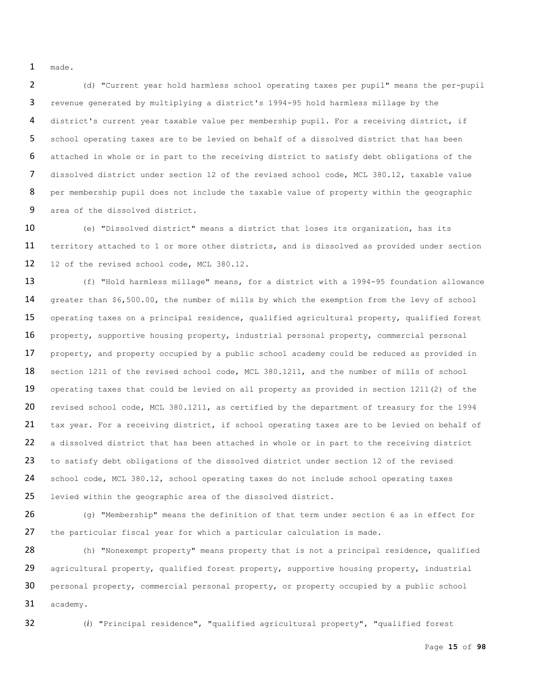1 made.

 (d) "Current year hold harmless school operating taxes per pupil" means the per-pupil revenue generated by multiplying a district's 1994-95 hold harmless millage by the district's current year taxable value per membership pupil. For a receiving district, if school operating taxes are to be levied on behalf of a dissolved district that has been attached in whole or in part to the receiving district to satisfy debt obligations of the dissolved district under section 12 of the revised school code, MCL 380.12, taxable value 8 per membership pupil does not include the taxable value of property within the geographic area of the dissolved district.

10 (e) "Dissolved district" means a district that loses its organization, has its 11 territory attached to 1 or more other districts, and is dissolved as provided under section 12 12 of the revised school code, MCL 380.12.

13 (f) "Hold harmless millage" means, for a district with a 1994-95 foundation allowance 14 greater than \$6,500.00, the number of mills by which the exemption from the levy of school 15 operating taxes on a principal residence, qualified agricultural property, qualified forest 16 property, supportive housing property, industrial personal property, commercial personal 17 property, and property occupied by a public school academy could be reduced as provided in 18 section 1211 of the revised school code, MCL 380.1211, and the number of mills of school 19 operating taxes that could be levied on all property as provided in section 1211(2) of the 20 revised school code, MCL 380.1211, as certified by the department of treasury for the 1994 21 tax year. For a receiving district, if school operating taxes are to be levied on behalf of 22 a dissolved district that has been attached in whole or in part to the receiving district 23 to satisfy debt obligations of the dissolved district under section 12 of the revised 24 school code, MCL 380.12, school operating taxes do not include school operating taxes 25 levied within the geographic area of the dissolved district.

26 (g) "Membership" means the definition of that term under section 6 as in effect for 27 the particular fiscal year for which a particular calculation is made.

28 (h) "Nonexempt property" means property that is not a principal residence, qualified 29 agricultural property, qualified forest property, supportive housing property, industrial 30 personal property, commercial personal property, or property occupied by a public school 31 academy.

32 (*i*) "Principal residence", "qualified agricultural property", "qualified forest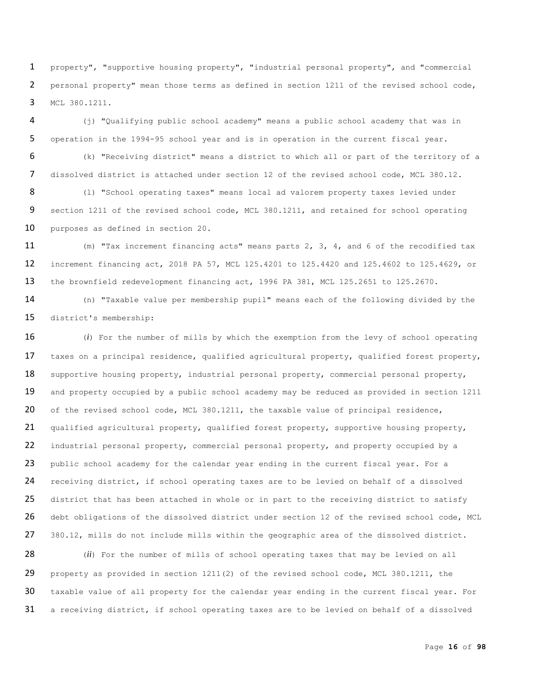property", "supportive housing property", "industrial personal property", and "commercial personal property" mean those terms as defined in section 1211 of the revised school code, MCL 380.1211.

 (j) "Qualifying public school academy" means a public school academy that was in operation in the 1994-95 school year and is in operation in the current fiscal year. (k) "Receiving district" means a district to which all or part of the territory of a

 dissolved district is attached under section 12 of the revised school code, MCL 380.12. 8 (1) "School operating taxes" means local ad valorem property taxes levied under section 1211 of the revised school code, MCL 380.1211, and retained for school operating

purposes as defined in section 20.

 (m) "Tax increment financing acts" means parts 2, 3, 4, and 6 of the recodified tax increment financing act, 2018 PA 57, MCL 125.4201 to 125.4420 and 125.4602 to 125.4629, or the brownfield redevelopment financing act, 1996 PA 381, MCL 125.2651 to 125.2670.

 (n) "Taxable value per membership pupil" means each of the following divided by the district's membership:

 (*i*) For the number of mills by which the exemption from the levy of school operating 17 taxes on a principal residence, qualified agricultural property, qualified forest property, 18 supportive housing property, industrial personal property, commercial personal property, 19 and property occupied by a public school academy may be reduced as provided in section 1211 20 of the revised school code, MCL 380.1211, the taxable value of principal residence, qualified agricultural property, qualified forest property, supportive housing property, 22 industrial personal property, commercial personal property, and property occupied by a 23 public school academy for the calendar year ending in the current fiscal year. For a receiving district, if school operating taxes are to be levied on behalf of a dissolved 25 district that has been attached in whole or in part to the receiving district to satisfy 26 debt obligations of the dissolved district under section 12 of the revised school code, MCL 380.12, mills do not include mills within the geographic area of the dissolved district.

 (*ii*) For the number of mills of school operating taxes that may be levied on all property as provided in section 1211(2) of the revised school code, MCL 380.1211, the 30 taxable value of all property for the calendar year ending in the current fiscal year. For a receiving district, if school operating taxes are to be levied on behalf of a dissolved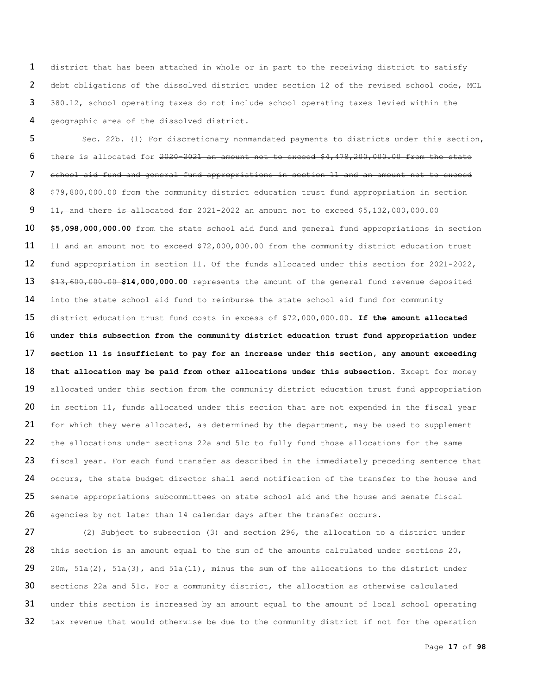district that has been attached in whole or in part to the receiving district to satisfy debt obligations of the dissolved district under section 12 of the revised school code, MCL 380.12, school operating taxes do not include school operating taxes levied within the geographic area of the dissolved district.

 Sec. 22b. (1) For discretionary nonmandated payments to districts under this section, there is allocated for 2020-2021 an amount not to exceed \$4,478,200,000.00 from the state school aid fund and general fund appropriations in section 11 and an amount not to exceed \$79,800,000.00 from the community district education trust fund appropriation in section  $11,$  and there is allocated for  $-2021-2022$  an amount not to exceed  $$5,132,000,000.00$  **\$5,098,000,000.00** from the state school aid fund and general fund appropriations in section 11 and an amount not to exceed \$72,000,000.00 from the community district education trust fund appropriation in section 11. Of the funds allocated under this section for 2021-2022, \$13,600,000.00 **\$14,000,000.00** represents the amount of the general fund revenue deposited 14 into the state school aid fund to reimburse the state school aid fund for community district education trust fund costs in excess of \$72,000,000.00. **If the amount allocated under this subsection from the community district education trust fund appropriation under section 11 is insufficient to pay for an increase under this section, any amount exceeding that allocation may be paid from other allocations under this subsection.** Except for money 19 allocated under this section from the community district education trust fund appropriation 20 in section 11, funds allocated under this section that are not expended in the fiscal year 21 for which they were allocated, as determined by the department, may be used to supplement the allocations under sections 22a and 51c to fully fund those allocations for the same 23 fiscal year. For each fund transfer as described in the immediately preceding sentence that 24 occurs, the state budget director shall send notification of the transfer to the house and senate appropriations subcommittees on state school aid and the house and senate fiscal agencies by not later than 14 calendar days after the transfer occurs.

 (2) Subject to subsection (3) and section 296, the allocation to a district under 28 this section is an amount equal to the sum of the amounts calculated under sections 20, 29 20m,  $51a(2)$ ,  $51a(3)$ , and  $51a(11)$ , minus the sum of the allocations to the district under sections 22a and 51c. For a community district, the allocation as otherwise calculated 31 under this section is increased by an amount equal to the amount of local school operating 32 tax revenue that would otherwise be due to the community district if not for the operation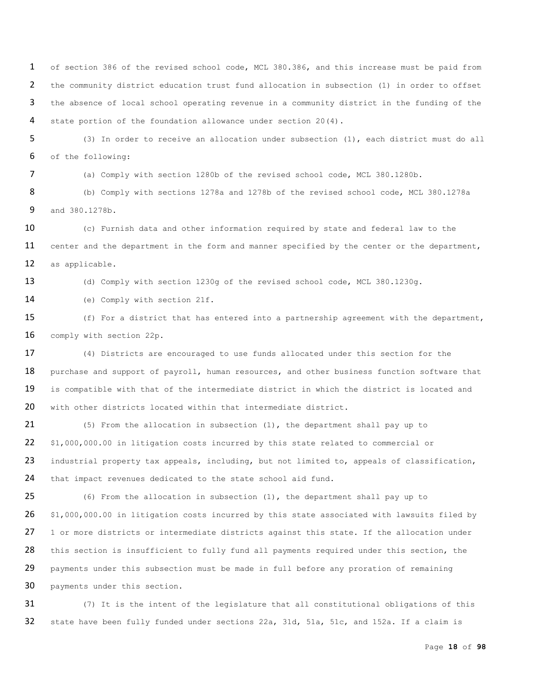of section 386 of the revised school code, MCL 380.386, and this increase must be paid from the community district education trust fund allocation in subsection (1) in order to offset the absence of local school operating revenue in a community district in the funding of the state portion of the foundation allowance under section 20(4).

5 (3) In order to receive an allocation under subsection (1), each district must do all 6 of the following:

7 (a) Comply with section 1280b of the revised school code, MCL 380.1280b.

8 (b) Comply with sections 1278a and 1278b of the revised school code, MCL 380.1278a 9 and 380.1278b.

10 (c) Furnish data and other information required by state and federal law to the 11 center and the department in the form and manner specified by the center or the department, 12 as applicable.

13 (d) Comply with section 1230q of the revised school code, MCL 380.1230q.

14 (e) Comply with section 21f.

15 (f) For a district that has entered into a partnership agreement with the department, 16 comply with section 22p.

17 (4) Districts are encouraged to use funds allocated under this section for the 18 purchase and support of payroll, human resources, and other business function software that 19 is compatible with that of the intermediate district in which the district is located and 20 with other districts located within that intermediate district.

21 (5) From the allocation in subsection (1), the department shall pay up to 22 \$1,000,000.00 in litigation costs incurred by this state related to commercial or 23 industrial property tax appeals, including, but not limited to, appeals of classification, 24 that impact revenues dedicated to the state school aid fund.

25 (6) From the allocation in subsection (1), the department shall pay up to 26 \$1,000,000.00 in litigation costs incurred by this state associated with lawsuits filed by 27 1 or more districts or intermediate districts against this state. If the allocation under 28 this section is insufficient to fully fund all payments required under this section, the 29 payments under this subsection must be made in full before any proration of remaining 30 payments under this section.

31 (7) It is the intent of the legislature that all constitutional obligations of this 32 state have been fully funded under sections 22a, 31d, 51a, 51c, and 152a. If a claim is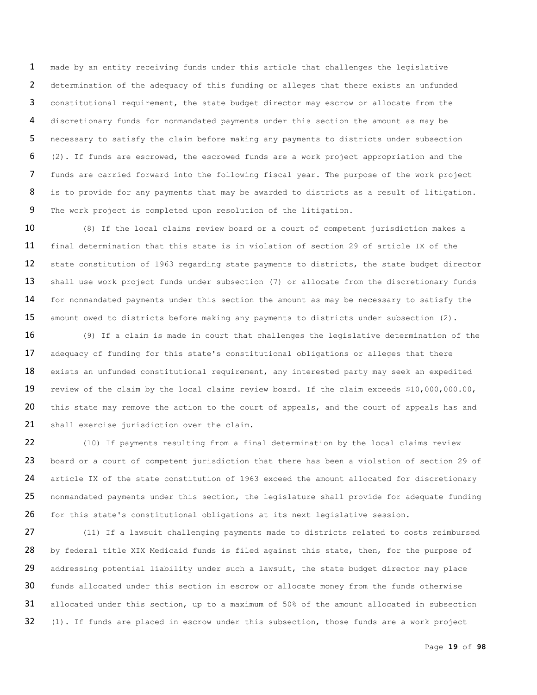made by an entity receiving funds under this article that challenges the legislative determination of the adequacy of this funding or alleges that there exists an unfunded constitutional requirement, the state budget director may escrow or allocate from the discretionary funds for nonmandated payments under this section the amount as may be necessary to satisfy the claim before making any payments to districts under subsection (2). If funds are escrowed, the escrowed funds are a work project appropriation and the funds are carried forward into the following fiscal year. The purpose of the work project 8 is to provide for any payments that may be awarded to districts as a result of litigation. The work project is completed upon resolution of the litigation.

10 (8) If the local claims review board or a court of competent jurisdiction makes a 11 final determination that this state is in violation of section 29 of article IX of the 12 state constitution of 1963 regarding state payments to districts, the state budget director 13 shall use work project funds under subsection (7) or allocate from the discretionary funds 14 for nonmandated payments under this section the amount as may be necessary to satisfy the 15 amount owed to districts before making any payments to districts under subsection (2).

16 (9) If a claim is made in court that challenges the legislative determination of the 17 adequacy of funding for this state's constitutional obligations or alleges that there 18 exists an unfunded constitutional requirement, any interested party may seek an expedited 19 review of the claim by the local claims review board. If the claim exceeds \$10,000,000.00, 20 this state may remove the action to the court of appeals, and the court of appeals has and 21 shall exercise jurisdiction over the claim.

22 (10) If payments resulting from a final determination by the local claims review 23 board or a court of competent jurisdiction that there has been a violation of section 29 of 24 article IX of the state constitution of 1963 exceed the amount allocated for discretionary 25 nonmandated payments under this section, the legislature shall provide for adequate funding 26 for this state's constitutional obligations at its next legislative session.

27 (11) If a lawsuit challenging payments made to districts related to costs reimbursed 28 by federal title XIX Medicaid funds is filed against this state, then, for the purpose of 29 addressing potential liability under such a lawsuit, the state budget director may place 30 funds allocated under this section in escrow or allocate money from the funds otherwise 31 allocated under this section, up to a maximum of 50% of the amount allocated in subsection 32 (1). If funds are placed in escrow under this subsection, those funds are a work project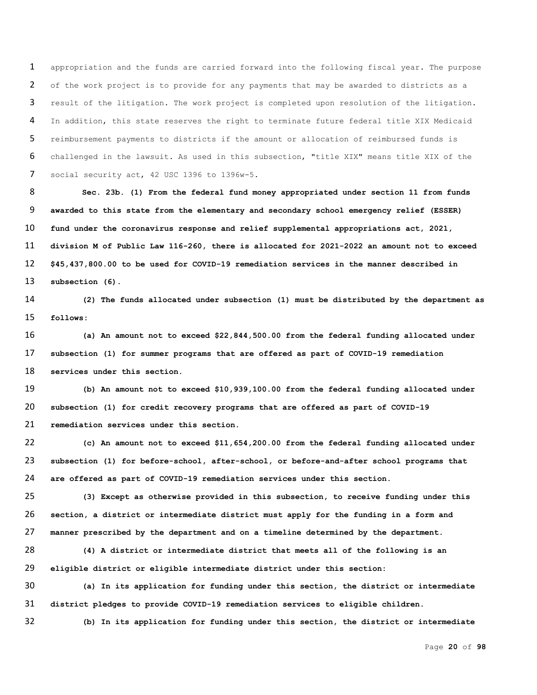appropriation and the funds are carried forward into the following fiscal year. The purpose of the work project is to provide for any payments that may be awarded to districts as a result of the litigation. The work project is completed upon resolution of the litigation. In addition, this state reserves the right to terminate future federal title XIX Medicaid reimbursement payments to districts if the amount or allocation of reimbursed funds is challenged in the lawsuit. As used in this subsection, "title XIX" means title XIX of the 7 social security act, 42 USC 1396 to 1396w-5.

 **Sec. 23b. (1) From the federal fund money appropriated under section 11 from funds awarded to this state from the elementary and secondary school emergency relief (ESSER) fund under the coronavirus response and relief supplemental appropriations act, 2021, division M of Public Law 116-260, there is allocated for 2021-2022 an amount not to exceed \$45,437,800.00 to be used for COVID-19 remediation services in the manner described in subsection (6).**

 **(2) The funds allocated under subsection (1) must be distributed by the department as follows:**

 **(a) An amount not to exceed \$22,844,500.00 from the federal funding allocated under subsection (1) for summer programs that are offered as part of COVID-19 remediation services under this section.** 

 **(b) An amount not to exceed \$10,939,100.00 from the federal funding allocated under subsection (1) for credit recovery programs that are offered as part of COVID-19 remediation services under this section.**

 **(c) An amount not to exceed \$11,654,200.00 from the federal funding allocated under subsection (1) for before-school, after-school, or before-and-after school programs that are offered as part of COVID-19 remediation services under this section.**

 **(3) Except as otherwise provided in this subsection, to receive funding under this section, a district or intermediate district must apply for the funding in a form and manner prescribed by the department and on a timeline determined by the department.**

 **(4) A district or intermediate district that meets all of the following is an eligible district or eligible intermediate district under this section:**

 **(a) In its application for funding under this section, the district or intermediate district pledges to provide COVID-19 remediation services to eligible children.**

**(b) In its application for funding under this section, the district or intermediate**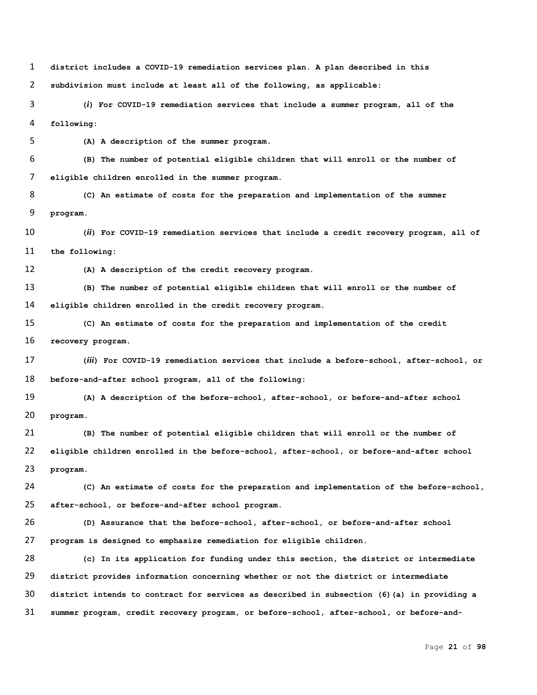**district includes a COVID-19 remediation services plan. A plan described in this subdivision must include at least all of the following, as applicable:**

 **(***i***) For COVID-19 remediation services that include a summer program, all of the following:**

**(A) A description of the summer program.**

 **(B) The number of potential eligible children that will enroll or the number of eligible children enrolled in the summer program.**

 **(C) An estimate of costs for the preparation and implementation of the summer program.**

 **(***ii***) For COVID-19 remediation services that include a credit recovery program, all of the following:**

**(A) A description of the credit recovery program.**

 **(B) The number of potential eligible children that will enroll or the number of eligible children enrolled in the credit recovery program.**

 **(C) An estimate of costs for the preparation and implementation of the credit recovery program.**

 **(***iii***) For COVID-19 remediation services that include a before-school, after-school, or before-and-after school program, all of the following:**

 **(A) A description of the before-school, after-school, or before-and-after school program.**

 **(B) The number of potential eligible children that will enroll or the number of eligible children enrolled in the before-school, after-school, or before-and-after school program.**

 **(C) An estimate of costs for the preparation and implementation of the before-school, after-school, or before-and-after school program.**

 **(D) Assurance that the before-school, after-school, or before-and-after school program is designed to emphasize remediation for eligible children.**

 **(c) In its application for funding under this section, the district or intermediate district provides information concerning whether or not the district or intermediate district intends to contract for services as described in subsection (6)(a) in providing a summer program, credit recovery program, or before-school, after-school, or before-and-**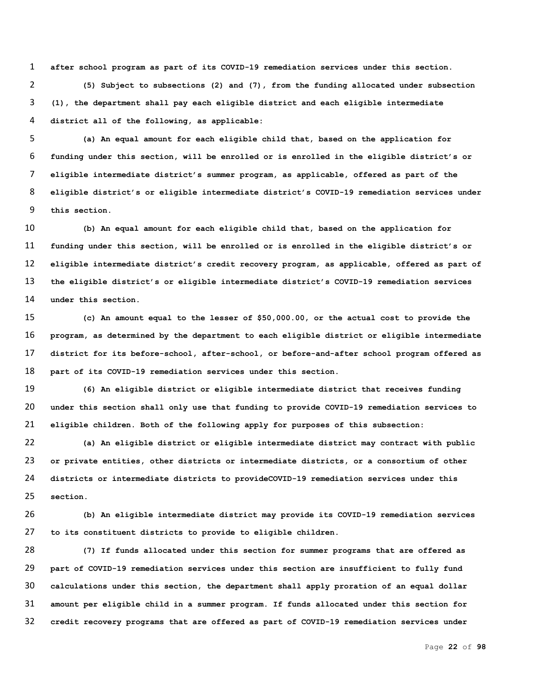**after school program as part of its COVID-19 remediation services under this section. (5) Subject to subsections (2) and (7), from the funding allocated under subsection (1), the department shall pay each eligible district and each eligible intermediate district all of the following, as applicable:**

 **(a) An equal amount for each eligible child that, based on the application for funding under this section, will be enrolled or is enrolled in the eligible district's or eligible intermediate district's summer program, as applicable, offered as part of the eligible district's or eligible intermediate district's COVID-19 remediation services under this section.**

 **(b) An equal amount for each eligible child that, based on the application for funding under this section, will be enrolled or is enrolled in the eligible district's or eligible intermediate district's credit recovery program, as applicable, offered as part of the eligible district's or eligible intermediate district's COVID-19 remediation services under this section.**

 **(c) An amount equal to the lesser of \$50,000.00, or the actual cost to provide the program, as determined by the department to each eligible district or eligible intermediate district for its before-school, after-school, or before-and-after school program offered as part of its COVID-19 remediation services under this section.**

 **(6) An eligible district or eligible intermediate district that receives funding under this section shall only use that funding to provide COVID-19 remediation services to eligible children. Both of the following apply for purposes of this subsection:**

 **(a) An eligible district or eligible intermediate district may contract with public or private entities, other districts or intermediate districts, or a consortium of other districts or intermediate districts to provideCOVID-19 remediation services under this section.**

 **(b) An eligible intermediate district may provide its COVID-19 remediation services to its constituent districts to provide to eligible children.**

 **(7) If funds allocated under this section for summer programs that are offered as part of COVID-19 remediation services under this section are insufficient to fully fund calculations under this section, the department shall apply proration of an equal dollar amount per eligible child in a summer program. If funds allocated under this section for credit recovery programs that are offered as part of COVID-19 remediation services under**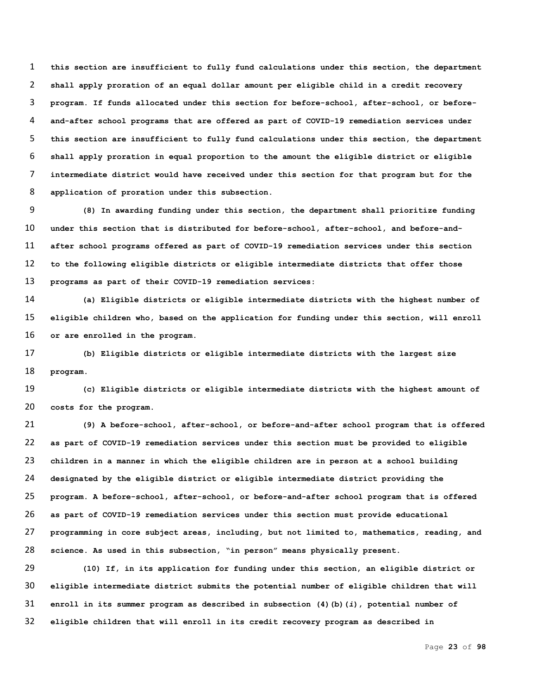**this section are insufficient to fully fund calculations under this section, the department shall apply proration of an equal dollar amount per eligible child in a credit recovery program. If funds allocated under this section for before-school, after-school, or before- and-after school programs that are offered as part of COVID-19 remediation services under this section are insufficient to fully fund calculations under this section, the department shall apply proration in equal proportion to the amount the eligible district or eligible intermediate district would have received under this section for that program but for the application of proration under this subsection.**

 **(8) In awarding funding under this section, the department shall prioritize funding under this section that is distributed for before-school, after-school, and before-and- after school programs offered as part of COVID-19 remediation services under this section to the following eligible districts or eligible intermediate districts that offer those programs as part of their COVID-19 remediation services:**

 **(a) Eligible districts or eligible intermediate districts with the highest number of eligible children who, based on the application for funding under this section, will enroll or are enrolled in the program.**

 **(b) Eligible districts or eligible intermediate districts with the largest size program.**

 **(c) Eligible districts or eligible intermediate districts with the highest amount of costs for the program.**

 **(9) A before-school, after-school, or before-and-after school program that is offered as part of COVID-19 remediation services under this section must be provided to eligible children in a manner in which the eligible children are in person at a school building designated by the eligible district or eligible intermediate district providing the program. A before-school, after-school, or before-and-after school program that is offered as part of COVID-19 remediation services under this section must provide educational programming in core subject areas, including, but not limited to, mathematics, reading, and science. As used in this subsection, "in person" means physically present.**

 **(10) If, in its application for funding under this section, an eligible district or eligible intermediate district submits the potential number of eligible children that will enroll in its summer program as described in subsection (4)(b)(***i***), potential number of eligible children that will enroll in its credit recovery program as described in**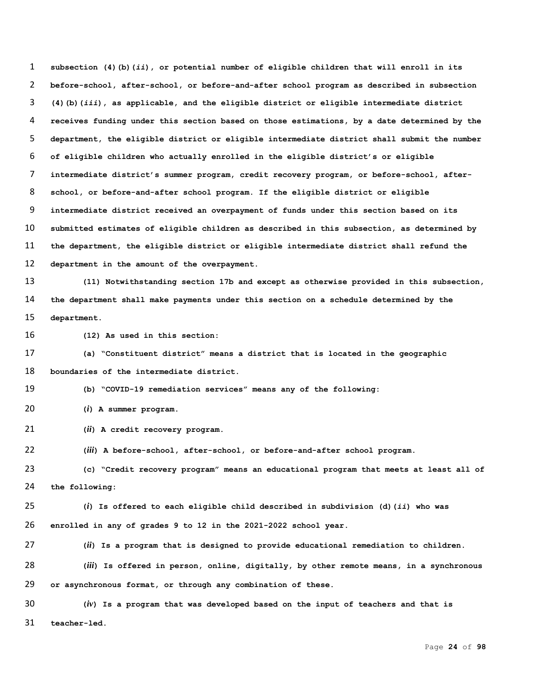**subsection (4)(b)(***ii***), or potential number of eligible children that will enroll in its before-school, after-school, or before-and-after school program as described in subsection (4)(b)(***iii***), as applicable, and the eligible district or eligible intermediate district receives funding under this section based on those estimations, by a date determined by the department, the eligible district or eligible intermediate district shall submit the number of eligible children who actually enrolled in the eligible district's or eligible intermediate district's summer program, credit recovery program, or before-school, after- school, or before-and-after school program. If the eligible district or eligible intermediate district received an overpayment of funds under this section based on its submitted estimates of eligible children as described in this subsection, as determined by the department, the eligible district or eligible intermediate district shall refund the department in the amount of the overpayment.**

 **(11) Notwithstanding section 17b and except as otherwise provided in this subsection, the department shall make payments under this section on a schedule determined by the department.**

**(12) As used in this section:**

 **(a) "Constituent district" means a district that is located in the geographic boundaries of the intermediate district.**

**(b) "COVID-19 remediation services" means any of the following:**

**(***i***) A summer program.**

**(***ii***) A credit recovery program.**

**(***iii***) A before-school, after-school, or before-and-after school program.**

 **(c) "Credit recovery program" means an educational program that meets at least all of the following:**

 **(***i***) Is offered to each eligible child described in subdivision (d)(***ii***) who was enrolled in any of grades 9 to 12 in the 2021-2022 school year.**

**(***ii***) Is a program that is designed to provide educational remediation to children.**

 **(***iii***) Is offered in person, online, digitally, by other remote means, in a synchronous or asynchronous format, or through any combination of these.**

 **(***iv***) Is a program that was developed based on the input of teachers and that is teacher-led.**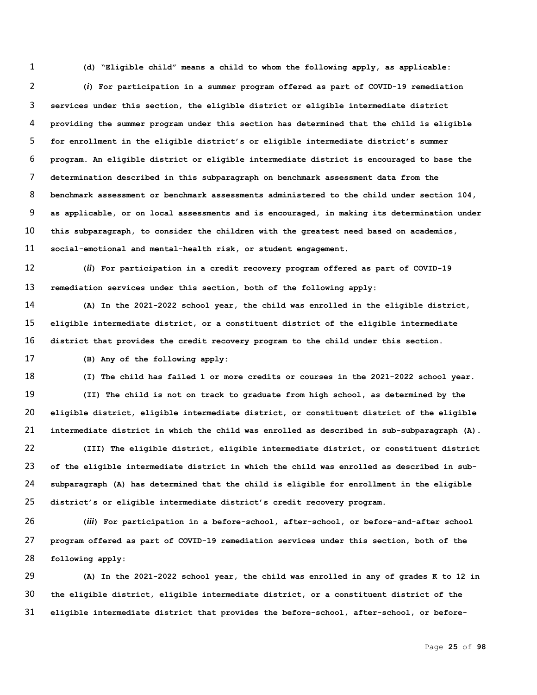**(d) "Eligible child" means a child to whom the following apply, as applicable:**

 **(***i***) For participation in a summer program offered as part of COVID-19 remediation services under this section, the eligible district or eligible intermediate district providing the summer program under this section has determined that the child is eligible for enrollment in the eligible district's or eligible intermediate district's summer program. An eligible district or eligible intermediate district is encouraged to base the determination described in this subparagraph on benchmark assessment data from the benchmark assessment or benchmark assessments administered to the child under section 104, as applicable, or on local assessments and is encouraged, in making its determination under this subparagraph, to consider the children with the greatest need based on academics, social-emotional and mental-health risk, or student engagement.**

 **(***ii***) For participation in a credit recovery program offered as part of COVID-19 remediation services under this section, both of the following apply:**

 **(A) In the 2021-2022 school year, the child was enrolled in the eligible district, eligible intermediate district, or a constituent district of the eligible intermediate district that provides the credit recovery program to the child under this section.**

**(B) Any of the following apply:**

 **(I) The child has failed 1 or more credits or courses in the 2021-2022 school year. (II) The child is not on track to graduate from high school, as determined by the eligible district, eligible intermediate district, or constituent district of the eligible intermediate district in which the child was enrolled as described in sub-subparagraph (A).**

 **(III) The eligible district, eligible intermediate district, or constituent district of the eligible intermediate district in which the child was enrolled as described in sub- subparagraph (A) has determined that the child is eligible for enrollment in the eligible district's or eligible intermediate district's credit recovery program.**

 **(***iii***) For participation in a before-school, after-school, or before-and-after school program offered as part of COVID-19 remediation services under this section, both of the following apply:**

 **(A) In the 2021-2022 school year, the child was enrolled in any of grades K to 12 in the eligible district, eligible intermediate district, or a constituent district of the eligible intermediate district that provides the before-school, after-school, or before-**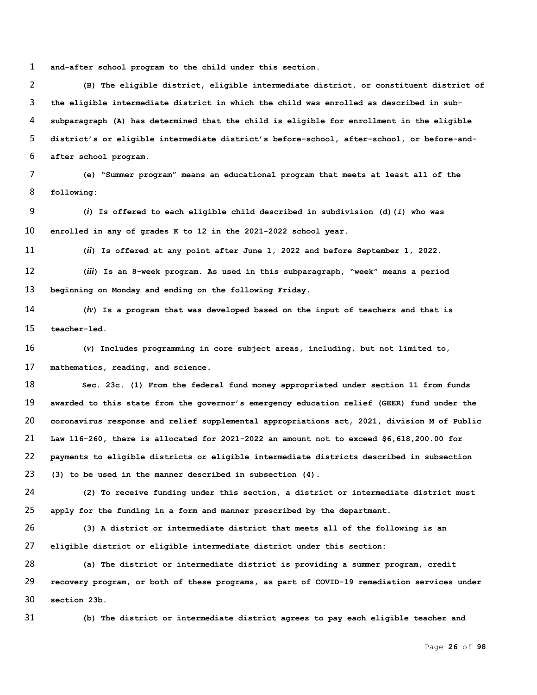**and-after school program to the child under this section.**

 **(B) The eligible district, eligible intermediate district, or constituent district of the eligible intermediate district in which the child was enrolled as described in sub- subparagraph (A) has determined that the child is eligible for enrollment in the eligible district's or eligible intermediate district's before-school, after-school, or before-and-after school program.**

 **(e) "Summer program" means an educational program that meets at least all of the following:**

 **(***i***) Is offered to each eligible child described in subdivision (d)(***i***) who was enrolled in any of grades K to 12 in the 2021-2022 school year.**

**(***ii***) Is offered at any point after June 1, 2022 and before September 1, 2022.**

 **(***iii***) Is an 8-week program. As used in this subparagraph, "week" means a period beginning on Monday and ending on the following Friday.**

 **(***iv***) Is a program that was developed based on the input of teachers and that is teacher-led.**

 **(***v***) Includes programming in core subject areas, including, but not limited to, mathematics, reading, and science.**

 **Sec. 23c. (1) From the federal fund money appropriated under section 11 from funds awarded to this state from the governor's emergency education relief (GEER) fund under the coronavirus response and relief supplemental appropriations act, 2021, division M of Public Law 116-260, there is allocated for 2021-2022 an amount not to exceed \$6,618,200.00 for payments to eligible districts or eligible intermediate districts described in subsection (3) to be used in the manner described in subsection (4).**

 **(2) To receive funding under this section, a district or intermediate district must apply for the funding in a form and manner prescribed by the department.** 

 **(3) A district or intermediate district that meets all of the following is an eligible district or eligible intermediate district under this section:**

 **(a) The district or intermediate district is providing a summer program, credit recovery program, or both of these programs, as part of COVID-19 remediation services under section 23b.**

**(b) The district or intermediate district agrees to pay each eligible teacher and**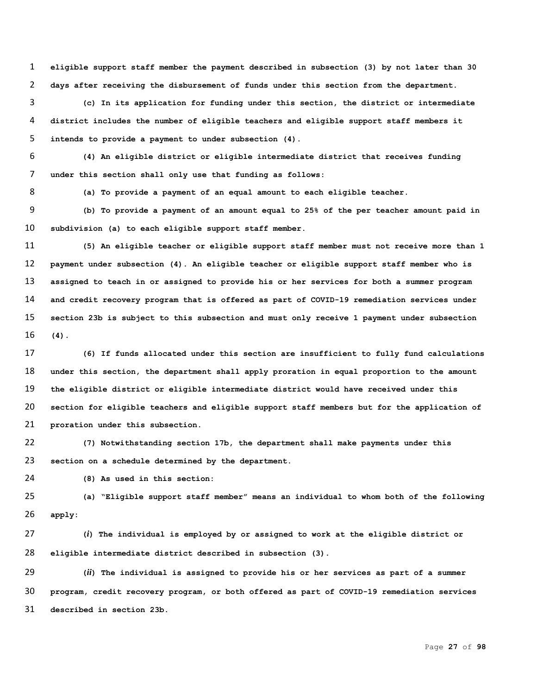**eligible support staff member the payment described in subsection (3) by not later than 30 days after receiving the disbursement of funds under this section from the department.**

 **(c) In its application for funding under this section, the district or intermediate district includes the number of eligible teachers and eligible support staff members it intends to provide a payment to under subsection (4).**

 **(4) An eligible district or eligible intermediate district that receives funding under this section shall only use that funding as follows:**

**(a) To provide a payment of an equal amount to each eligible teacher.**

 **(b) To provide a payment of an amount equal to 25% of the per teacher amount paid in subdivision (a) to each eligible support staff member.**

 **(5) An eligible teacher or eligible support staff member must not receive more than 1 payment under subsection (4). An eligible teacher or eligible support staff member who is assigned to teach in or assigned to provide his or her services for both a summer program and credit recovery program that is offered as part of COVID-19 remediation services under section 23b is subject to this subsection and must only receive 1 payment under subsection (4).**

 **(6) If funds allocated under this section are insufficient to fully fund calculations under this section, the department shall apply proration in equal proportion to the amount the eligible district or eligible intermediate district would have received under this section for eligible teachers and eligible support staff members but for the application of proration under this subsection.**

 **(7) Notwithstanding section 17b, the department shall make payments under this section on a schedule determined by the department.**

**(8) As used in this section:**

 **(a) "Eligible support staff member" means an individual to whom both of the following apply:**

 **(***i***) The individual is employed by or assigned to work at the eligible district or eligible intermediate district described in subsection (3).**

 **(***ii***) The individual is assigned to provide his or her services as part of a summer program, credit recovery program, or both offered as part of COVID-19 remediation services described in section 23b.**

Page **27** of **98**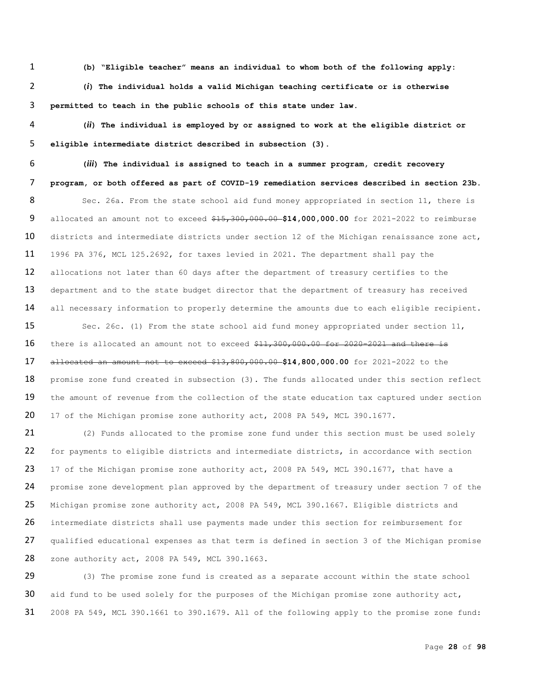1 **(b) "Eligible teacher" means an individual to whom both of the following apply:**

2 **(***i***) The individual holds a valid Michigan teaching certificate or is otherwise**  3 **permitted to teach in the public schools of this state under law.**

4 **(***ii***) The individual is employed by or assigned to work at the eligible district or**  5 **eligible intermediate district described in subsection (3).**

6 **(***iii***) The individual is assigned to teach in a summer program, credit recovery**  7 **program, or both offered as part of COVID-19 remediation services described in section 23b.** 8 Sec. 26a. From the state school aid fund money appropriated in section 11, there is 9 allocated an amount not to exceed \$15,300,000.00 **\$14,000,000.00** for 2021-2022 to reimburse 10 districts and intermediate districts under section 12 of the Michigan renaissance zone act, 11 1996 PA 376, MCL 125.2692, for taxes levied in 2021. The department shall pay the 12 allocations not later than 60 days after the department of treasury certifies to the 13 department and to the state budget director that the department of treasury has received 14 all necessary information to properly determine the amounts due to each eligible recipient.

15 Sec. 26c. (1) From the state school aid fund money appropriated under section 11, 16 there is allocated an amount not to exceed  $$11,300,000.00$  for 2020-2021 and there is 17 allocated an amount not to exceed \$13,800,000.00 **\$14,800,000.00** for 2021-2022 to the 18 promise zone fund created in subsection (3). The funds allocated under this section reflect 19 the amount of revenue from the collection of the state education tax captured under section 20 17 of the Michigan promise zone authority act, 2008 PA 549, MCL 390.1677.

21 (2) Funds allocated to the promise zone fund under this section must be used solely 22 for payments to eligible districts and intermediate districts, in accordance with section 23 17 of the Michigan promise zone authority act, 2008 PA 549, MCL 390.1677, that have a 24 promise zone development plan approved by the department of treasury under section 7 of the 25 Michigan promise zone authority act, 2008 PA 549, MCL 390.1667. Eligible districts and 26 intermediate districts shall use payments made under this section for reimbursement for 27 qualified educational expenses as that term is defined in section 3 of the Michigan promise 28 zone authority act, 2008 PA 549, MCL 390.1663.

29 (3) The promise zone fund is created as a separate account within the state school 30 aid fund to be used solely for the purposes of the Michigan promise zone authority  $act$ , 31 2008 PA 549, MCL 390.1661 to 390.1679. All of the following apply to the promise zone fund: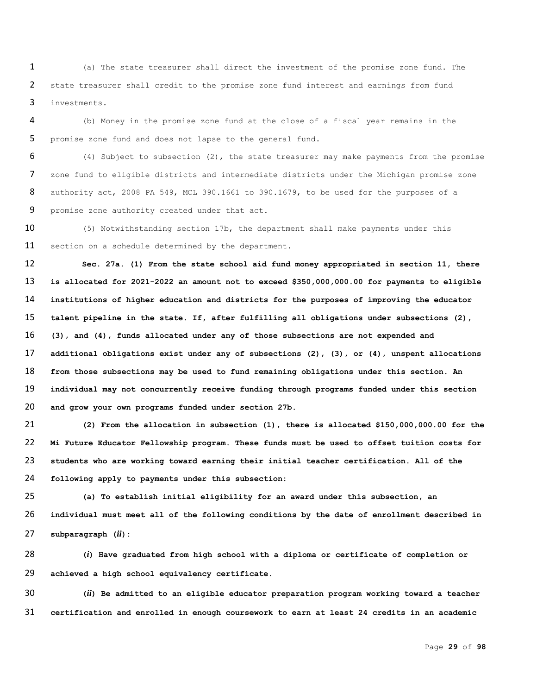(a) The state treasurer shall direct the investment of the promise zone fund. The 2 state treasurer shall credit to the promise zone fund interest and earnings from fund investments.

 (b) Money in the promise zone fund at the close of a fiscal year remains in the promise zone fund and does not lapse to the general fund.

 (4) Subject to subsection (2), the state treasurer may make payments from the promise zone fund to eligible districts and intermediate districts under the Michigan promise zone authority act, 2008 PA 549, MCL 390.1661 to 390.1679, to be used for the purposes of a promise zone authority created under that act.

10 (5) Notwithstanding section 17b, the department shall make payments under this 11 section on a schedule determined by the department.

 **Sec. 27a. (1) From the state school aid fund money appropriated in section 11, there is allocated for 2021-2022 an amount not to exceed \$350,000,000.00 for payments to eligible institutions of higher education and districts for the purposes of improving the educator talent pipeline in the state. If, after fulfilling all obligations under subsections (2), (3), and (4), funds allocated under any of those subsections are not expended and additional obligations exist under any of subsections (2), (3), or (4), unspent allocations from those subsections may be used to fund remaining obligations under this section. An individual may not concurrently receive funding through programs funded under this section and grow your own programs funded under section 27b.**

 **(2) From the allocation in subsection (1), there is allocated \$150,000,000.00 for the Mi Future Educator Fellowship program. These funds must be used to offset tuition costs for students who are working toward earning their initial teacher certification. All of the following apply to payments under this subsection:**

 **(a) To establish initial eligibility for an award under this subsection, an individual must meet all of the following conditions by the date of enrollment described in subparagraph (***ii***):**

 **(***i***) Have graduated from high school with a diploma or certificate of completion or achieved a high school equivalency certificate.**

 **(***ii***) Be admitted to an eligible educator preparation program working toward a teacher certification and enrolled in enough coursework to earn at least 24 credits in an academic** 

Page **29** of **98**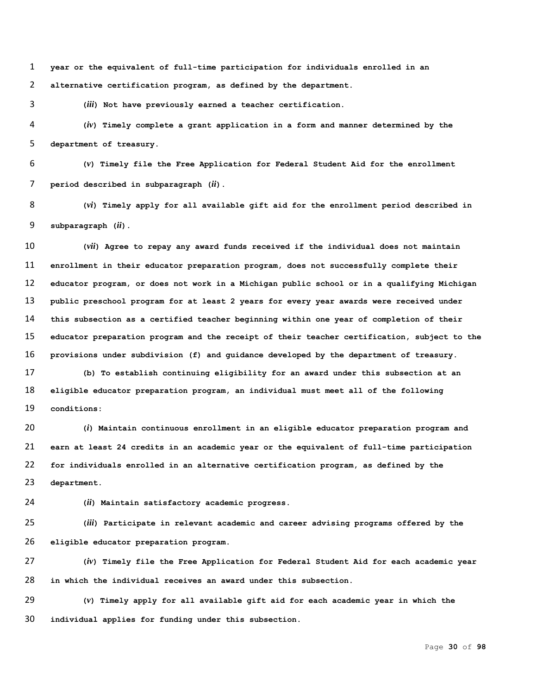**year or the equivalent of full-time participation for individuals enrolled in an alternative certification program, as defined by the department.**

**(***iii***) Not have previously earned a teacher certification.**

 **(***iv***) Timely complete a grant application in a form and manner determined by the department of treasury.**

 **(***v***) Timely file the Free Application for Federal Student Aid for the enrollment period described in subparagraph (***ii***).**

 **(***vi***) Timely apply for all available gift aid for the enrollment period described in subparagraph (***ii***).** 

 **(***vii***) Agree to repay any award funds received if the individual does not maintain enrollment in their educator preparation program, does not successfully complete their educator program, or does not work in a Michigan public school or in a qualifying Michigan public preschool program for at least 2 years for every year awards were received under this subsection as a certified teacher beginning within one year of completion of their educator preparation program and the receipt of their teacher certification, subject to the provisions under subdivision (f) and guidance developed by the department of treasury.**

 **(b) To establish continuing eligibility for an award under this subsection at an eligible educator preparation program, an individual must meet all of the following conditions:**

 **(***i***) Maintain continuous enrollment in an eligible educator preparation program and earn at least 24 credits in an academic year or the equivalent of full-time participation for individuals enrolled in an alternative certification program, as defined by the department.**

**(***ii***) Maintain satisfactory academic progress.**

 **(***iii***) Participate in relevant academic and career advising programs offered by the eligible educator preparation program.**

 **(***iv***) Timely file the Free Application for Federal Student Aid for each academic year in which the individual receives an award under this subsection.**

 **(***v***) Timely apply for all available gift aid for each academic year in which the individual applies for funding under this subsection.**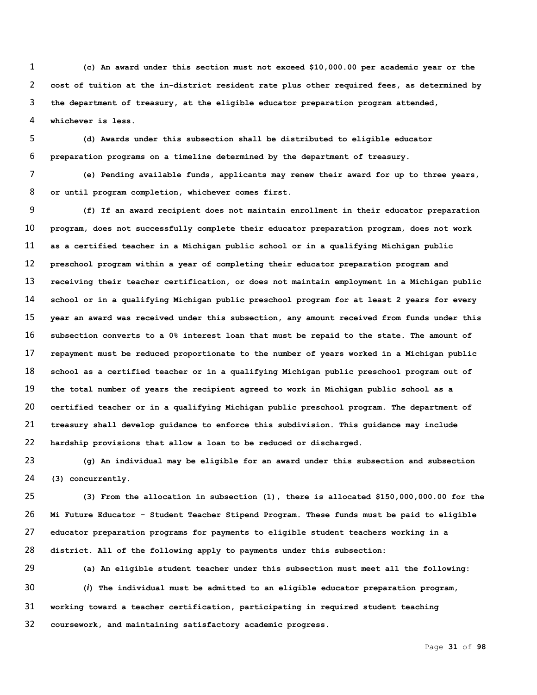**(c) An award under this section must not exceed \$10,000.00 per academic year or the cost of tuition at the in-district resident rate plus other required fees, as determined by the department of treasury, at the eligible educator preparation program attended, whichever is less.** 

 **(d) Awards under this subsection shall be distributed to eligible educator preparation programs on a timeline determined by the department of treasury.** 

 **(e) Pending available funds, applicants may renew their award for up to three years, or until program completion, whichever comes first.** 

 **(f) If an award recipient does not maintain enrollment in their educator preparation program, does not successfully complete their educator preparation program, does not work as a certified teacher in a Michigan public school or in a qualifying Michigan public preschool program within a year of completing their educator preparation program and receiving their teacher certification, or does not maintain employment in a Michigan public school or in a qualifying Michigan public preschool program for at least 2 years for every year an award was received under this subsection, any amount received from funds under this subsection converts to a 0% interest loan that must be repaid to the state. The amount of repayment must be reduced proportionate to the number of years worked in a Michigan public school as a certified teacher or in a qualifying Michigan public preschool program out of the total number of years the recipient agreed to work in Michigan public school as a certified teacher or in a qualifying Michigan public preschool program. The department of treasury shall develop guidance to enforce this subdivision. This guidance may include hardship provisions that allow a loan to be reduced or discharged.**

 **(g) An individual may be eligible for an award under this subsection and subsection (3) concurrently.** 

 **(3) From the allocation in subsection (1), there is allocated \$150,000,000.00 for the Mi Future Educator – Student Teacher Stipend Program. These funds must be paid to eligible educator preparation programs for payments to eligible student teachers working in a district. All of the following apply to payments under this subsection:**

 **(a) An eligible student teacher under this subsection must meet all the following: (***i***) The individual must be admitted to an eligible educator preparation program, working toward a teacher certification, participating in required student teaching coursework, and maintaining satisfactory academic progress.**

Page **31** of **98**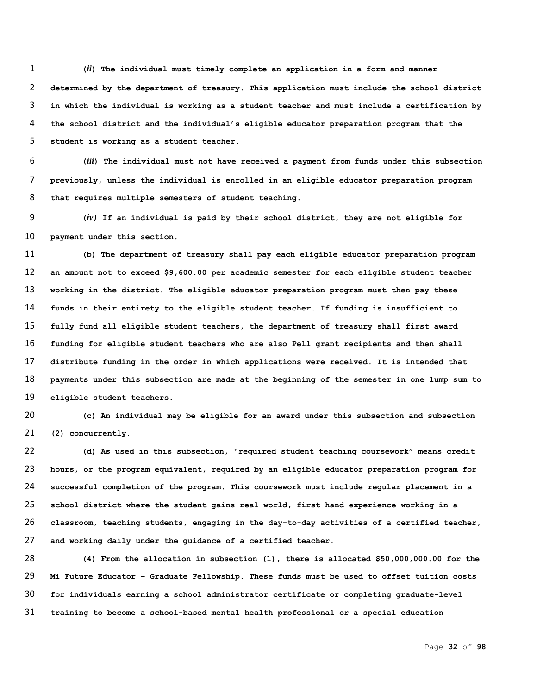**(***ii***) The individual must timely complete an application in a form and manner determined by the department of treasury. This application must include the school district in which the individual is working as a student teacher and must include a certification by the school district and the individual's eligible educator preparation program that the student is working as a student teacher.** 

 **(***iii***) The individual must not have received a payment from funds under this subsection previously, unless the individual is enrolled in an eligible educator preparation program that requires multiple semesters of student teaching.** 

 **(***iv)* **If an individual is paid by their school district, they are not eligible for payment under this section.**

 **(b) The department of treasury shall pay each eligible educator preparation program an amount not to exceed \$9,600.00 per academic semester for each eligible student teacher working in the district. The eligible educator preparation program must then pay these funds in their entirety to the eligible student teacher. If funding is insufficient to fully fund all eligible student teachers, the department of treasury shall first award funding for eligible student teachers who are also Pell grant recipients and then shall distribute funding in the order in which applications were received. It is intended that payments under this subsection are made at the beginning of the semester in one lump sum to eligible student teachers.** 

 **(c) An individual may be eligible for an award under this subsection and subsection (2) concurrently.** 

 **(d) As used in this subsection, "required student teaching coursework" means credit hours, or the program equivalent, required by an eligible educator preparation program for successful completion of the program. This coursework must include regular placement in a school district where the student gains real-world, first-hand experience working in a classroom, teaching students, engaging in the day-to-day activities of a certified teacher, and working daily under the guidance of a certified teacher.** 

 **(4) From the allocation in subsection (1), there is allocated \$50,000,000.00 for the Mi Future Educator – Graduate Fellowship. These funds must be used to offset tuition costs for individuals earning a school administrator certificate or completing graduate-level training to become a school-based mental health professional or a special education**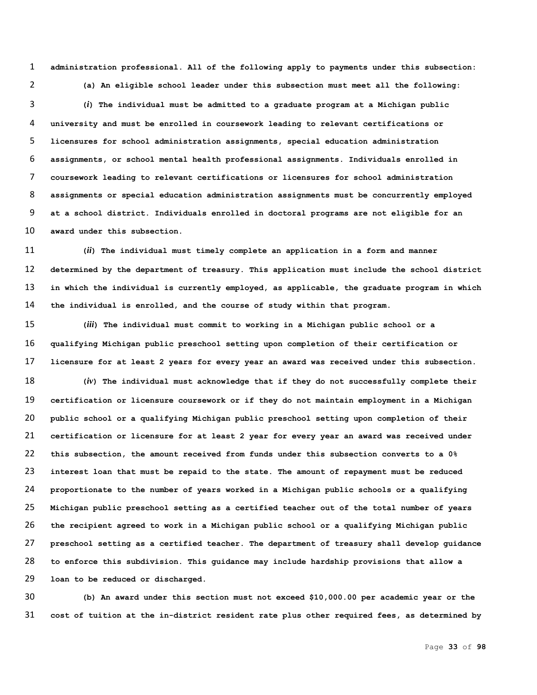**administration professional. All of the following apply to payments under this subsection: (a) An eligible school leader under this subsection must meet all the following:** 

 **(***i***) The individual must be admitted to a graduate program at a Michigan public university and must be enrolled in coursework leading to relevant certifications or licensures for school administration assignments, special education administration assignments, or school mental health professional assignments. Individuals enrolled in coursework leading to relevant certifications or licensures for school administration assignments or special education administration assignments must be concurrently employed at a school district. Individuals enrolled in doctoral programs are not eligible for an award under this subsection.**

 **(***ii***) The individual must timely complete an application in a form and manner determined by the department of treasury. This application must include the school district in which the individual is currently employed, as applicable, the graduate program in which the individual is enrolled, and the course of study within that program.** 

 **(***iii***) The individual must commit to working in a Michigan public school or a qualifying Michigan public preschool setting upon completion of their certification or licensure for at least 2 years for every year an award was received under this subsection.**

 **(***iv***) The individual must acknowledge that if they do not successfully complete their certification or licensure coursework or if they do not maintain employment in a Michigan public school or a qualifying Michigan public preschool setting upon completion of their certification or licensure for at least 2 year for every year an award was received under this subsection, the amount received from funds under this subsection converts to a 0% interest loan that must be repaid to the state. The amount of repayment must be reduced proportionate to the number of years worked in a Michigan public schools or a qualifying Michigan public preschool setting as a certified teacher out of the total number of years the recipient agreed to work in a Michigan public school or a qualifying Michigan public preschool setting as a certified teacher. The department of treasury shall develop guidance to enforce this subdivision. This guidance may include hardship provisions that allow a loan to be reduced or discharged.**

 **(b) An award under this section must not exceed \$10,000.00 per academic year or the cost of tuition at the in-district resident rate plus other required fees, as determined by**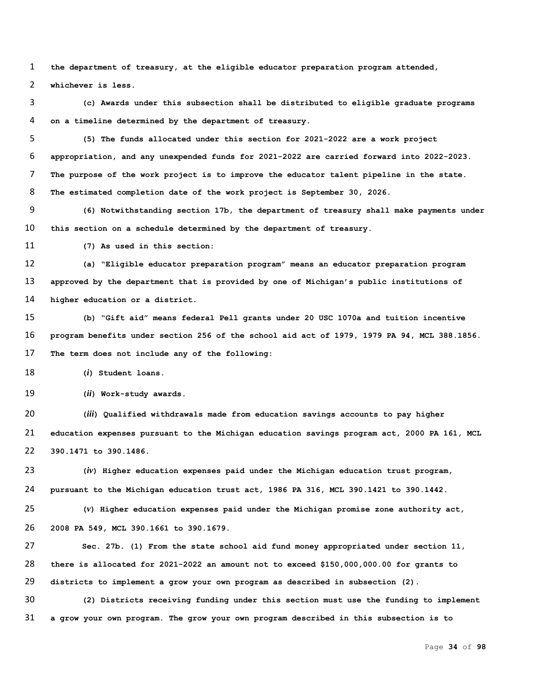**the department of treasury, at the eligible educator preparation program attended,** 

**whichever is less.**

 **(c) Awards under this subsection shall be distributed to eligible graduate programs on a timeline determined by the department of treasury.** 

 **(5) The funds allocated under this section for 2021-2022 are a work project appropriation, and any unexpended funds for 2021-2022 are carried forward into 2022-2023. The purpose of the work project is to improve the educator talent pipeline in the state. The estimated completion date of the work project is September 30, 2026.**

 **(6) Notwithstanding section 17b, the department of treasury shall make payments under this section on a schedule determined by the department of treasury.**

**(7) As used in this section:**

 **(a) "Eligible educator preparation program" means an educator preparation program approved by the department that is provided by one of Michigan's public institutions of higher education or a district.**

 **(b) "Gift aid" means federal Pell grants under 20 USC 1070a and tuition incentive program benefits under section 256 of the school aid act of 1979, 1979 PA 94, MCL 388.1856. The term does not include any of the following:**

**(***i***) Student loans.**

**(***ii***) Work-study awards.**

 **(***iii***) Qualified withdrawals made from education savings accounts to pay higher education expenses pursuant to the Michigan education savings program act, 2000 PA 161, MCL 390.1471 to 390.1486.**

 **(***iv***) Higher education expenses paid under the Michigan education trust program, pursuant to the Michigan education trust act, 1986 PA 316, MCL 390.1421 to 390.1442.**

 **(***v***) Higher education expenses paid under the Michigan promise zone authority act, 2008 PA 549, MCL 390.1661 to 390.1679.**

 **Sec. 27b. (1) From the state school aid fund money appropriated under section 11, there is allocated for 2021-2022 an amount not to exceed \$150,000,000.00 for grants to districts to implement a grow your own program as described in subsection (2).**

 **(2) Districts receiving funding under this section must use the funding to implement a grow your own program. The grow your own program described in this subsection is to** 

Page **34** of **98**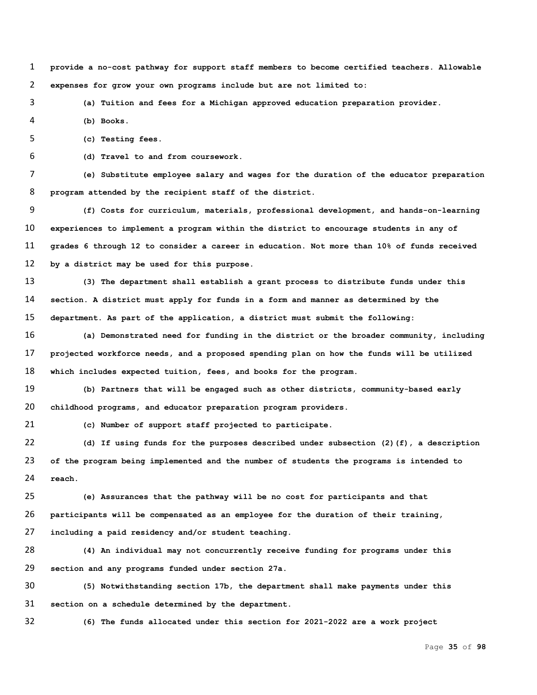**provide a no-cost pathway for support staff members to become certified teachers. Allowable expenses for grow your own programs include but are not limited to:**

**(a) Tuition and fees for a Michigan approved education preparation provider.** 

**(b) Books.**

**(c) Testing fees.**

**(d) Travel to and from coursework.**

 **(e) Substitute employee salary and wages for the duration of the educator preparation program attended by the recipient staff of the district.** 

 **(f) Costs for curriculum, materials, professional development, and hands-on-learning experiences to implement a program within the district to encourage students in any of grades 6 through 12 to consider a career in education. Not more than 10% of funds received by a district may be used for this purpose.**

 **(3) The department shall establish a grant process to distribute funds under this section. A district must apply for funds in a form and manner as determined by the department. As part of the application, a district must submit the following:**

 **(a) Demonstrated need for funding in the district or the broader community, including projected workforce needs, and a proposed spending plan on how the funds will be utilized which includes expected tuition, fees, and books for the program.**

 **(b) Partners that will be engaged such as other districts, community-based early childhood programs, and educator preparation program providers.** 

**(c) Number of support staff projected to participate.**

 **(d) If using funds for the purposes described under subsection (2)(f), a description of the program being implemented and the number of students the programs is intended to reach.**

 **(e) Assurances that the pathway will be no cost for participants and that participants will be compensated as an employee for the duration of their training, including a paid residency and/or student teaching.** 

 **(4) An individual may not concurrently receive funding for programs under this section and any programs funded under section 27a.**

 **(5) Notwithstanding section 17b, the department shall make payments under this section on a schedule determined by the department.**

**(6) The funds allocated under this section for 2021-2022 are a work project**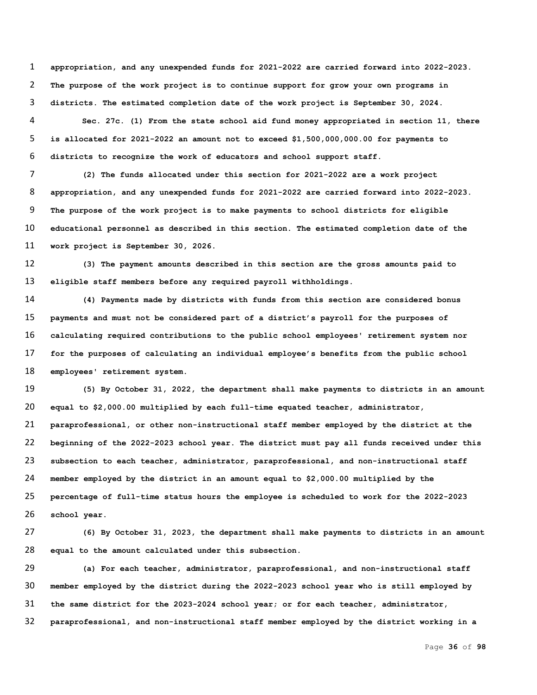**appropriation, and any unexpended funds for 2021-2022 are carried forward into 2022-2023. The purpose of the work project is to continue support for grow your own programs in districts. The estimated completion date of the work project is September 30, 2024.**

 **Sec. 27c. (1) From the state school aid fund money appropriated in section 11, there is allocated for 2021-2022 an amount not to exceed \$1,500,000,000.00 for payments to districts to recognize the work of educators and school support staff.** 

 **(2) The funds allocated under this section for 2021-2022 are a work project appropriation, and any unexpended funds for 2021-2022 are carried forward into 2022-2023. The purpose of the work project is to make payments to school districts for eligible educational personnel as described in this section. The estimated completion date of the work project is September 30, 2026.**

 **(3) The payment amounts described in this section are the gross amounts paid to eligible staff members before any required payroll withholdings.**

 **(4) Payments made by districts with funds from this section are considered bonus payments and must not be considered part of a district's payroll for the purposes of calculating required contributions to the public school employees' retirement system nor for the purposes of calculating an individual employee's benefits from the public school employees' retirement system.**

 **(5) By October 31, 2022, the department shall make payments to districts in an amount equal to \$2,000.00 multiplied by each full-time equated teacher, administrator, paraprofessional, or other non-instructional staff member employed by the district at the beginning of the 2022-2023 school year. The district must pay all funds received under this subsection to each teacher, administrator, paraprofessional, and non-instructional staff member employed by the district in an amount equal to \$2,000.00 multiplied by the percentage of full-time status hours the employee is scheduled to work for the 2022-2023 school year.**

 **(6) By October 31, 2023, the department shall make payments to districts in an amount equal to the amount calculated under this subsection.**

 **(a) For each teacher, administrator, paraprofessional, and non-instructional staff member employed by the district during the 2022-2023 school year who is still employed by the same district for the 2023-2024 school year; or for each teacher, administrator, paraprofessional, and non-instructional staff member employed by the district working in a**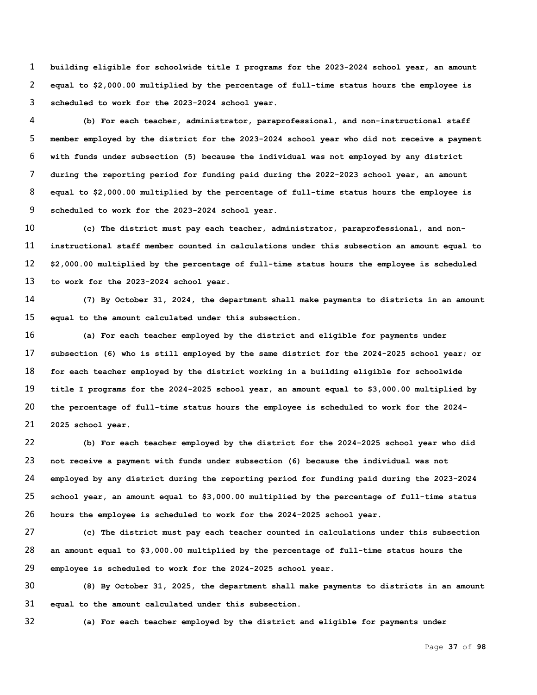**building eligible for schoolwide title I programs for the 2023-2024 school year, an amount equal to \$2,000.00 multiplied by the percentage of full-time status hours the employee is scheduled to work for the 2023-2024 school year.** 

 **(b) For each teacher, administrator, paraprofessional, and non-instructional staff member employed by the district for the 2023-2024 school year who did not receive a payment with funds under subsection (5) because the individual was not employed by any district during the reporting period for funding paid during the 2022-2023 school year, an amount equal to \$2,000.00 multiplied by the percentage of full-time status hours the employee is scheduled to work for the 2023-2024 school year.**

 **(c) The district must pay each teacher, administrator, paraprofessional, and non- instructional staff member counted in calculations under this subsection an amount equal to \$2,000.00 multiplied by the percentage of full-time status hours the employee is scheduled to work for the 2023-2024 school year.**

 **(7) By October 31, 2024, the department shall make payments to districts in an amount equal to the amount calculated under this subsection.**

 **(a) For each teacher employed by the district and eligible for payments under subsection (6) who is still employed by the same district for the 2024-2025 school year; or for each teacher employed by the district working in a building eligible for schoolwide title I programs for the 2024-2025 school year, an amount equal to \$3,000.00 multiplied by the percentage of full-time status hours the employee is scheduled to work for the 2024- 2025 school year.** 

 **(b) For each teacher employed by the district for the 2024-2025 school year who did not receive a payment with funds under subsection (6) because the individual was not employed by any district during the reporting period for funding paid during the 2023-2024 school year, an amount equal to \$3,000.00 multiplied by the percentage of full-time status hours the employee is scheduled to work for the 2024-2025 school year.**

 **(c) The district must pay each teacher counted in calculations under this subsection an amount equal to \$3,000.00 multiplied by the percentage of full-time status hours the employee is scheduled to work for the 2024-2025 school year.**

 **(8) By October 31, 2025, the department shall make payments to districts in an amount equal to the amount calculated under this subsection.**

**(a) For each teacher employed by the district and eligible for payments under** 

Page **37** of **98**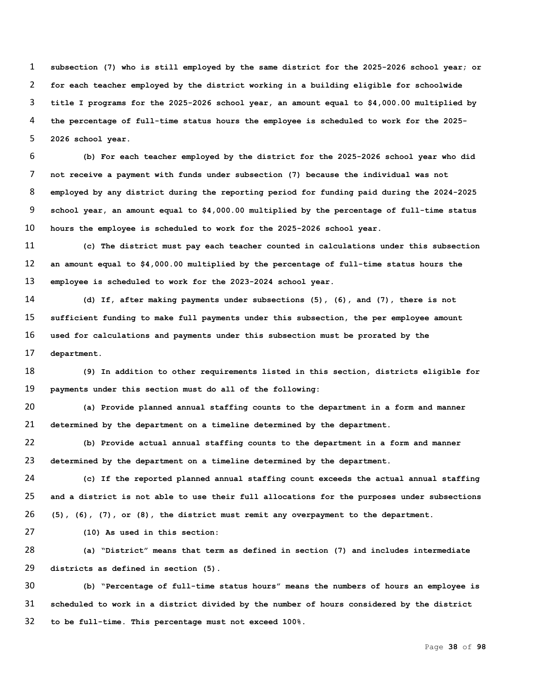**subsection (7) who is still employed by the same district for the 2025-2026 school year; or for each teacher employed by the district working in a building eligible for schoolwide title I programs for the 2025-2026 school year, an amount equal to \$4,000.00 multiplied by the percentage of full-time status hours the employee is scheduled to work for the 2025- 2026 school year.** 

 **(b) For each teacher employed by the district for the 2025-2026 school year who did not receive a payment with funds under subsection (7) because the individual was not employed by any district during the reporting period for funding paid during the 2024-2025 school year, an amount equal to \$4,000.00 multiplied by the percentage of full-time status hours the employee is scheduled to work for the 2025-2026 school year.**

 **(c) The district must pay each teacher counted in calculations under this subsection an amount equal to \$4,000.00 multiplied by the percentage of full-time status hours the employee is scheduled to work for the 2023-2024 school year.**

 **(d) If, after making payments under subsections (5), (6), and (7), there is not sufficient funding to make full payments under this subsection, the per employee amount used for calculations and payments under this subsection must be prorated by the department.**

 **(9) In addition to other requirements listed in this section, districts eligible for payments under this section must do all of the following:**

 **(a) Provide planned annual staffing counts to the department in a form and manner determined by the department on a timeline determined by the department.**

 **(b) Provide actual annual staffing counts to the department in a form and manner determined by the department on a timeline determined by the department.** 

 **(c) If the reported planned annual staffing count exceeds the actual annual staffing and a district is not able to use their full allocations for the purposes under subsections (5), (6), (7), or (8), the district must remit any overpayment to the department.**

**(10) As used in this section:**

 **(a) "District" means that term as defined in section (7) and includes intermediate districts as defined in section (5).**

 **(b) "Percentage of full-time status hours" means the numbers of hours an employee is scheduled to work in a district divided by the number of hours considered by the district to be full-time. This percentage must not exceed 100%.**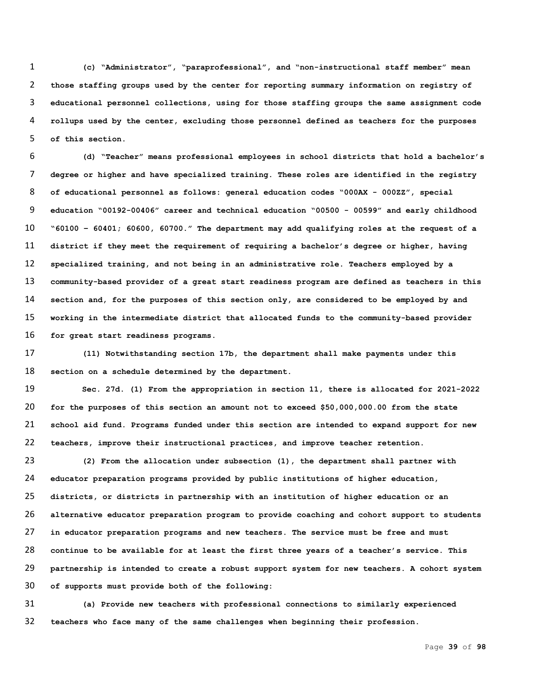**(c) "Administrator", "paraprofessional", and "non-instructional staff member" mean those staffing groups used by the center for reporting summary information on registry of educational personnel collections, using for those staffing groups the same assignment code rollups used by the center, excluding those personnel defined as teachers for the purposes of this section.**

 **(d) "Teacher" means professional employees in school districts that hold a bachelor's degree or higher and have specialized training. These roles are identified in the registry of educational personnel as follows: general education codes "000AX - 000ZZ", special education "00192-00406" career and technical education "00500 - 00599" and early childhood "60100 – 60401; 60600, 60700." The department may add qualifying roles at the request of a district if they meet the requirement of requiring a bachelor's degree or higher, having specialized training, and not being in an administrative role. Teachers employed by a community-based provider of a great start readiness program are defined as teachers in this section and, for the purposes of this section only, are considered to be employed by and working in the intermediate district that allocated funds to the community-based provider for great start readiness programs.**

 **(11) Notwithstanding section 17b, the department shall make payments under this section on a schedule determined by the department.**

 **Sec. 27d. (1) From the appropriation in section 11, there is allocated for 2021-2022 for the purposes of this section an amount not to exceed \$50,000,000.00 from the state school aid fund. Programs funded under this section are intended to expand support for new teachers, improve their instructional practices, and improve teacher retention.**

 **(2) From the allocation under subsection (1), the department shall partner with educator preparation programs provided by public institutions of higher education, districts, or districts in partnership with an institution of higher education or an alternative educator preparation program to provide coaching and cohort support to students in educator preparation programs and new teachers. The service must be free and must continue to be available for at least the first three years of a teacher's service. This partnership is intended to create a robust support system for new teachers. A cohort system of supports must provide both of the following:**

 **(a) Provide new teachers with professional connections to similarly experienced teachers who face many of the same challenges when beginning their profession.**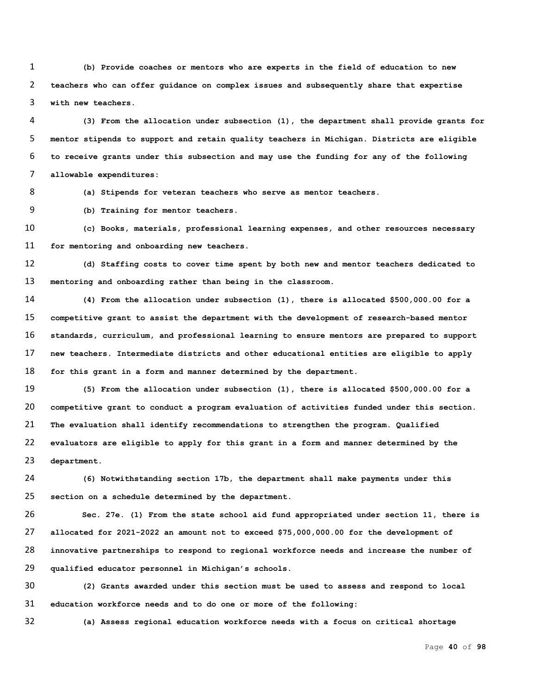**(b) Provide coaches or mentors who are experts in the field of education to new teachers who can offer guidance on complex issues and subsequently share that expertise with new teachers.**

 **(3) From the allocation under subsection (1), the department shall provide grants for mentor stipends to support and retain quality teachers in Michigan. Districts are eligible to receive grants under this subsection and may use the funding for any of the following allowable expenditures:**

**(a) Stipends for veteran teachers who serve as mentor teachers.**

**(b) Training for mentor teachers.**

 **(c) Books, materials, professional learning expenses, and other resources necessary for mentoring and onboarding new teachers.**

 **(d) Staffing costs to cover time spent by both new and mentor teachers dedicated to mentoring and onboarding rather than being in the classroom.**

 **(4) From the allocation under subsection (1), there is allocated \$500,000.00 for a competitive grant to assist the department with the development of research-based mentor standards, curriculum, and professional learning to ensure mentors are prepared to support new teachers. Intermediate districts and other educational entities are eligible to apply for this grant in a form and manner determined by the department.**

 **(5) From the allocation under subsection (1), there is allocated \$500,000.00 for a competitive grant to conduct a program evaluation of activities funded under this section. The evaluation shall identify recommendations to strengthen the program. Qualified evaluators are eligible to apply for this grant in a form and manner determined by the department.**

 **(6) Notwithstanding section 17b, the department shall make payments under this section on a schedule determined by the department.**

 **Sec. 27e. (1) From the state school aid fund appropriated under section 11, there is allocated for 2021-2022 an amount not to exceed \$75,000,000.00 for the development of innovative partnerships to respond to regional workforce needs and increase the number of qualified educator personnel in Michigan's schools.** 

 **(2) Grants awarded under this section must be used to assess and respond to local education workforce needs and to do one or more of the following:**

**(a) Assess regional education workforce needs with a focus on critical shortage**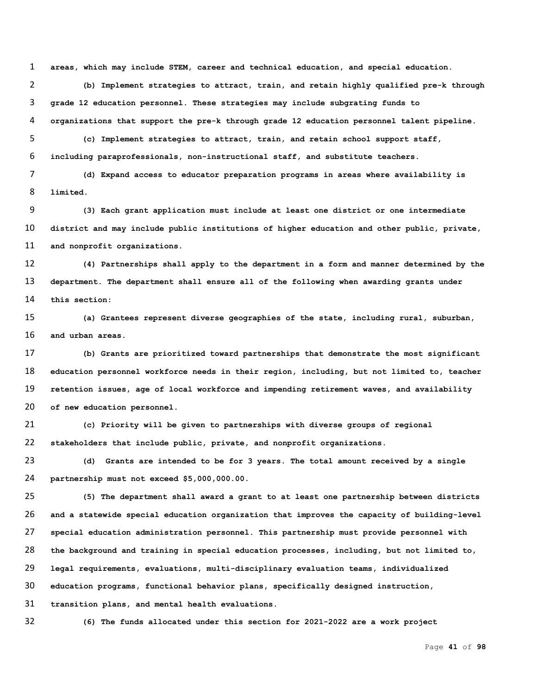**areas, which may include STEM, career and technical education, and special education.** 

 **(b) Implement strategies to attract, train, and retain highly qualified pre-k through grade 12 education personnel. These strategies may include subgrating funds to organizations that support the pre-k through grade 12 education personnel talent pipeline.**

 **(c) Implement strategies to attract, train, and retain school support staff, including paraprofessionals, non-instructional staff, and substitute teachers.**

 **(d) Expand access to educator preparation programs in areas where availability is limited.**

 **(3) Each grant application must include at least one district or one intermediate district and may include public institutions of higher education and other public, private, and nonprofit organizations.**

 **(4) Partnerships shall apply to the department in a form and manner determined by the department. The department shall ensure all of the following when awarding grants under this section:**

 **(a) Grantees represent diverse geographies of the state, including rural, suburban, and urban areas.**

 **(b) Grants are prioritized toward partnerships that demonstrate the most significant education personnel workforce needs in their region, including, but not limited to, teacher retention issues, age of local workforce and impending retirement waves, and availability of new education personnel.**

 **(c) Priority will be given to partnerships with diverse groups of regional stakeholders that include public, private, and nonprofit organizations.**

 **(d) Grants are intended to be for 3 years. The total amount received by a single partnership must not exceed \$5,000,000.00.**

 **(5) The department shall award a grant to at least one partnership between districts and a statewide special education organization that improves the capacity of building-level special education administration personnel. This partnership must provide personnel with the background and training in special education processes, including, but not limited to, legal requirements, evaluations, multi-disciplinary evaluation teams, individualized education programs, functional behavior plans, specifically designed instruction, transition plans, and mental health evaluations.**

**(6) The funds allocated under this section for 2021-2022 are a work project**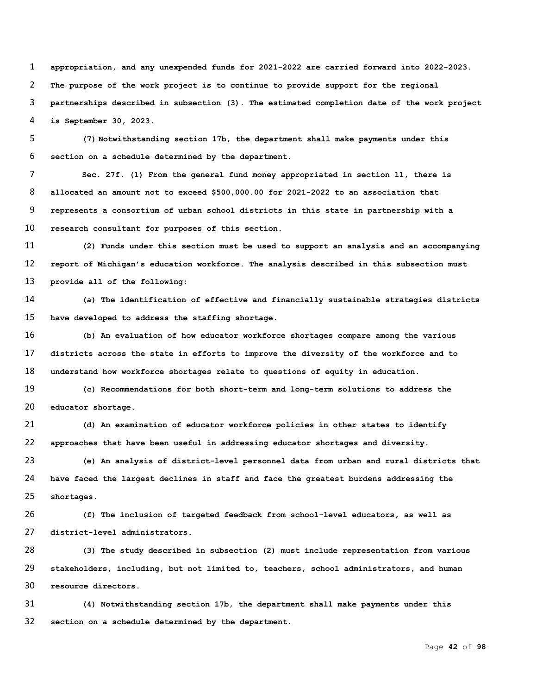**appropriation, and any unexpended funds for 2021-2022 are carried forward into 2022-2023. The purpose of the work project is to continue to provide support for the regional partnerships described in subsection (3). The estimated completion date of the work project is September 30, 2023.** 

 **(7) Notwithstanding section 17b, the department shall make payments under this section on a schedule determined by the department.**

 **Sec. 27f. (1) From the general fund money appropriated in section 11, there is allocated an amount not to exceed \$500,000.00 for 2021-2022 to an association that represents a consortium of urban school districts in this state in partnership with a research consultant for purposes of this section.**

 **(2) Funds under this section must be used to support an analysis and an accompanying report of Michigan's education workforce. The analysis described in this subsection must provide all of the following:**

 **(a) The identification of effective and financially sustainable strategies districts have developed to address the staffing shortage.**

 **(b) An evaluation of how educator workforce shortages compare among the various districts across the state in efforts to improve the diversity of the workforce and to understand how workforce shortages relate to questions of equity in education.** 

 **(c) Recommendations for both short-term and long-term solutions to address the educator shortage.**

 **(d) An examination of educator workforce policies in other states to identify approaches that have been useful in addressing educator shortages and diversity.** 

 **(e) An analysis of district-level personnel data from urban and rural districts that have faced the largest declines in staff and face the greatest burdens addressing the shortages.**

 **(f) The inclusion of targeted feedback from school-level educators, as well as district-level administrators.**

 **(3) The study described in subsection (2) must include representation from various stakeholders, including, but not limited to, teachers, school administrators, and human resource directors.**

 **(4) Notwithstanding section 17b, the department shall make payments under this section on a schedule determined by the department.**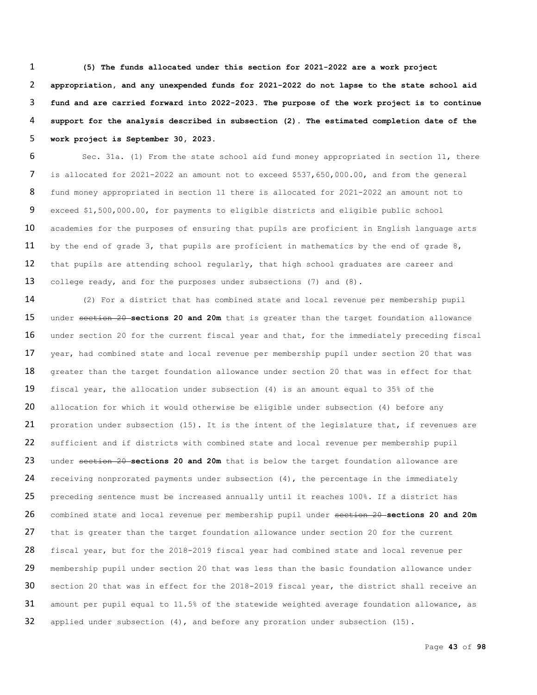**(5) The funds allocated under this section for 2021-2022 are a work project appropriation, and any unexpended funds for 2021-2022 do not lapse to the state school aid fund and are carried forward into 2022-2023. The purpose of the work project is to continue support for the analysis described in subsection (2). The estimated completion date of the work project is September 30, 2023.**

 Sec. 31a. (1) From the state school aid fund money appropriated in section 11, there is allocated for 2021-2022 an amount not to exceed \$537,650,000.00, and from the general fund money appropriated in section 11 there is allocated for 2021-2022 an amount not to exceed \$1,500,000.00, for payments to eligible districts and eligible public school 10 academies for the purposes of ensuring that pupils are proficient in English language arts by the end of grade 3, that pupils are proficient in mathematics by the end of grade 8, 12 that pupils are attending school regularly, that high school graduates are career and 13 college ready, and for the purposes under subsections (7) and (8).

14 (2) For a district that has combined state and local revenue per membership pupil 15 under section 20 **sections 20 and 20m** that is greater than the target foundation allowance 16 under section 20 for the current fiscal year and that, for the immediately preceding fiscal 17 year, had combined state and local revenue per membership pupil under section 20 that was 18 greater than the target foundation allowance under section 20 that was in effect for that 19 fiscal year, the allocation under subsection (4) is an amount equal to 35% of the 20 allocation for which it would otherwise be eligible under subsection (4) before any 21 proration under subsection (15). It is the intent of the legislature that, if revenues are 22 sufficient and if districts with combined state and local revenue per membership pupil 23 under section 20 **sections 20 and 20m** that is below the target foundation allowance are 24 receiving nonprorated payments under subsection  $(4)$ , the percentage in the immediately 25 preceding sentence must be increased annually until it reaches 100%. If a district has 26 combined state and local revenue per membership pupil under section 20 **sections 20 and 20m** 27 that is greater than the target foundation allowance under section 20 for the current 28 fiscal year, but for the 2018-2019 fiscal year had combined state and local revenue per 29 membership pupil under section 20 that was less than the basic foundation allowance under 30 section 20 that was in effect for the 2018-2019 fiscal year, the district shall receive an 31 amount per pupil equal to 11.5% of the statewide weighted average foundation allowance, as 32 applied under subsection (4), and before any proration under subsection (15).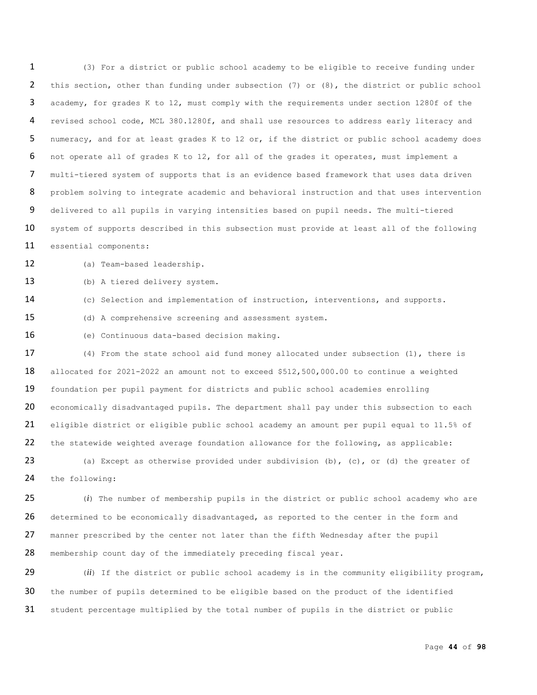(3) For a district or public school academy to be eligible to receive funding under this section, other than funding under subsection (7) or (8), the district or public school academy, for grades K to 12, must comply with the requirements under section 1280f of the revised school code, MCL 380.1280f, and shall use resources to address early literacy and numeracy, and for at least grades K to 12 or, if the district or public school academy does not operate all of grades K to 12, for all of the grades it operates, must implement a multi-tiered system of supports that is an evidence based framework that uses data driven 8 problem solving to integrate academic and behavioral instruction and that uses intervention delivered to all pupils in varying intensities based on pupil needs. The multi-tiered 10 system of supports described in this subsection must provide at least all of the following essential components:

(a) Team-based leadership.

(b) A tiered delivery system.

(c) Selection and implementation of instruction, interventions, and supports.

(d) A comprehensive screening and assessment system.

(e) Continuous data-based decision making.

 (4) From the state school aid fund money allocated under subsection (1), there is allocated for 2021-2022 an amount not to exceed \$512,500,000.00 to continue a weighted foundation per pupil payment for districts and public school academies enrolling 20 economically disadvantaged pupils. The department shall pay under this subsection to each eligible district or eligible public school academy an amount per pupil equal to 11.5% of the statewide weighted average foundation allowance for the following, as applicable:

23 (a) Except as otherwise provided under subdivision (b), (c), or (d) the greater of the following:

 (*i*) The number of membership pupils in the district or public school academy who are 26 determined to be economically disadvantaged, as reported to the center in the form and manner prescribed by the center not later than the fifth Wednesday after the pupil membership count day of the immediately preceding fiscal year.

 (*ii*) If the district or public school academy is in the community eligibility program, the number of pupils determined to be eligible based on the product of the identified student percentage multiplied by the total number of pupils in the district or public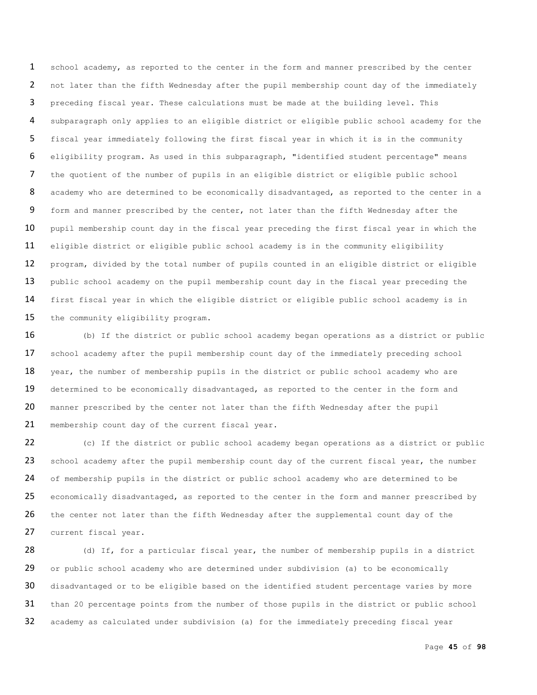1 school academy, as reported to the center in the form and manner prescribed by the center 2 not later than the fifth Wednesday after the pupil membership count day of the immediately 3 preceding fiscal year. These calculations must be made at the building level. This 4 subparagraph only applies to an eligible district or eligible public school academy for the 5 fiscal year immediately following the first fiscal year in which it is in the community 6 eligibility program. As used in this subparagraph, "identified student percentage" means 7 the quotient of the number of pupils in an eligible district or eligible public school 8 academy who are determined to be economically disadvantaged, as reported to the center in a 9 form and manner prescribed by the center, not later than the fifth Wednesday after the 10 pupil membership count day in the fiscal year preceding the first fiscal year in which the 11 eligible district or eligible public school academy is in the community eligibility 12 program, divided by the total number of pupils counted in an eligible district or eligible 13 public school academy on the pupil membership count day in the fiscal year preceding the 14 first fiscal year in which the eligible district or eligible public school academy is in 15 the community eligibility program.

16 (b) If the district or public school academy began operations as a district or public 17 school academy after the pupil membership count day of the immediately preceding school 18 year, the number of membership pupils in the district or public school academy who are 19 determined to be economically disadvantaged, as reported to the center in the form and 20 manner prescribed by the center not later than the fifth Wednesday after the pupil 21 membership count day of the current fiscal year.

22 (c) If the district or public school academy began operations as a district or public 23 school academy after the pupil membership count day of the current fiscal year, the number 24 of membership pupils in the district or public school academy who are determined to be 25 economically disadvantaged, as reported to the center in the form and manner prescribed by 26 the center not later than the fifth Wednesday after the supplemental count day of the 27 current fiscal year.

28 (d) If, for a particular fiscal year, the number of membership pupils in a district 29 or public school academy who are determined under subdivision (a) to be economically 30 disadvantaged or to be eligible based on the identified student percentage varies by more 31 than 20 percentage points from the number of those pupils in the district or public school 32 academy as calculated under subdivision (a) for the immediately preceding fiscal year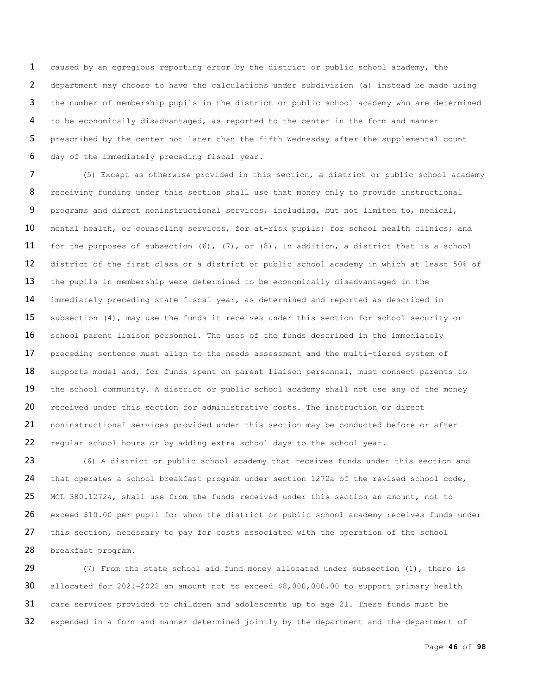caused by an egregious reporting error by the district or public school academy, the department may choose to have the calculations under subdivision (a) instead be made using the number of membership pupils in the district or public school academy who are determined to be economically disadvantaged, as reported to the center in the form and manner 5 prescribed by the center not later than the fifth Wednesday after the supplemental count day of the immediately preceding fiscal year.

 (5) Except as otherwise provided in this section, a district or public school academy 8 receiving funding under this section shall use that money only to provide instructional programs and direct noninstructional services, including, but not limited to, medical, 10 mental health, or counseling services, for at-risk pupils; for school health clinics; and for the purposes of subsection (6), (7), or (8). In addition, a district that is a school district of the first class or a district or public school academy in which at least 50% of the pupils in membership were determined to be economically disadvantaged in the immediately preceding state fiscal year, as determined and reported as described in 15 subsection (4), may use the funds it receives under this section for school security or 16 school parent liaison personnel. The uses of the funds described in the immediately preceding sentence must align to the needs assessment and the multi-tiered system of 18 supports model and, for funds spent on parent liaison personnel, must connect parents to 19 the school community. A district or public school academy shall not use any of the money 20 received under this section for administrative costs. The instruction or direct noninstructional services provided under this section may be conducted before or after regular school hours or by adding extra school days to the school year.

 (6) A district or public school academy that receives funds under this section and that operates a school breakfast program under section 1272a of the revised school code, MCL 380.1272a, shall use from the funds received under this section an amount, not to exceed \$10.00 per pupil for whom the district or public school academy receives funds under 27 this section, necessary to pay for costs associated with the operation of the school breakfast program.

29 (7) From the state school aid fund money allocated under subsection (1), there is allocated for 2021-2022 an amount not to exceed \$8,000,000.00 to support primary health care services provided to children and adolescents up to age 21. These funds must be expended in a form and manner determined jointly by the department and the department of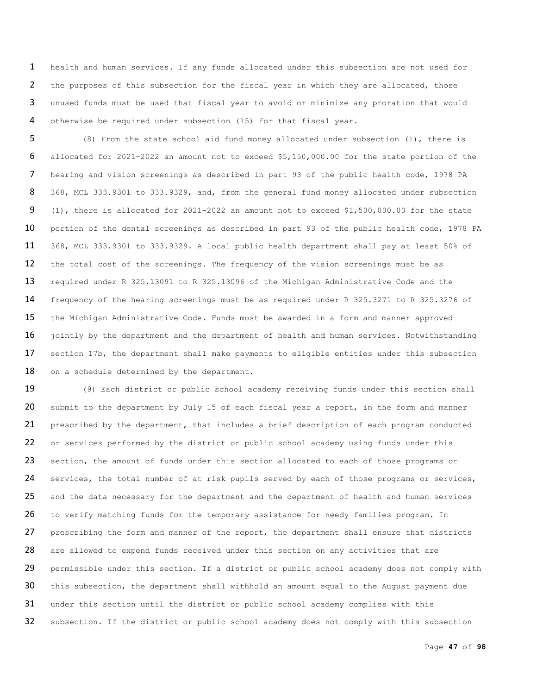health and human services. If any funds allocated under this subsection are not used for the purposes of this subsection for the fiscal year in which they are allocated, those unused funds must be used that fiscal year to avoid or minimize any proration that would otherwise be required under subsection (15) for that fiscal year.

 (8) From the state school aid fund money allocated under subsection (1), there is allocated for 2021-2022 an amount not to exceed \$5,150,000.00 for the state portion of the hearing and vision screenings as described in part 93 of the public health code, 1978 PA 368, MCL 333.9301 to 333.9329, and, from the general fund money allocated under subsection (1), there is allocated for 2021-2022 an amount not to exceed \$1,500,000.00 for the state 10 portion of the dental screenings as described in part 93 of the public health code, 1978 PA 368, MCL 333.9301 to 333.9329. A local public health department shall pay at least 50% of 12 the total cost of the screenings. The frequency of the vision screenings must be as required under R 325.13091 to R 325.13096 of the Michigan Administrative Code and the frequency of the hearing screenings must be as required under R 325.3271 to R 325.3276 of the Michigan Administrative Code. Funds must be awarded in a form and manner approved 16 jointly by the department and the department of health and human services. Notwithstanding 17 section 17b, the department shall make payments to eligible entities under this subsection 18 on a schedule determined by the department.

19 (9) Each district or public school academy receiving funds under this section shall 20 submit to the department by July 15 of each fiscal year a report, in the form and manner 21 prescribed by the department, that includes a brief description of each program conducted 22 or services performed by the district or public school academy using funds under this 23 section, the amount of funds under this section allocated to each of those programs or 24 services, the total number of at risk pupils served by each of those programs or services, 25 and the data necessary for the department and the department of health and human services 26 to verify matching funds for the temporary assistance for needy families program. In 27 prescribing the form and manner of the report, the department shall ensure that districts 28 are allowed to expend funds received under this section on any activities that are 29 permissible under this section. If a district or public school academy does not comply with 30 this subsection, the department shall withhold an amount equal to the August payment due 31 under this section until the district or public school academy complies with this 32 subsection. If the district or public school academy does not comply with this subsection

Page **47** of **98**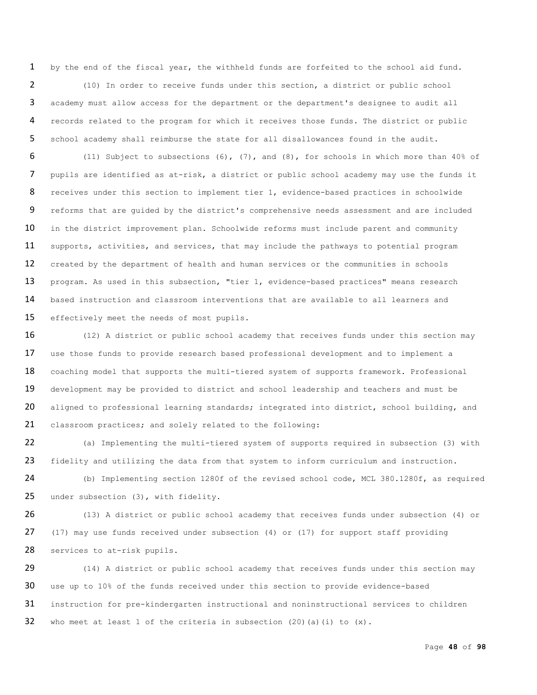by the end of the fiscal year, the withheld funds are forfeited to the school aid fund. (10) In order to receive funds under this section, a district or public school academy must allow access for the department or the department's designee to audit all records related to the program for which it receives those funds. The district or public school academy shall reimburse the state for all disallowances found in the audit.

 (11) Subject to subsections (6), (7), and (8), for schools in which more than 40% of pupils are identified as at-risk, a district or public school academy may use the funds it receives under this section to implement tier 1, evidence-based practices in schoolwide reforms that are guided by the district's comprehensive needs assessment and are included 10 in the district improvement plan. Schoolwide reforms must include parent and community 11 supports, activities, and services, that may include the pathways to potential program 12 created by the department of health and human services or the communities in schools program. As used in this subsection, "tier 1, evidence-based practices" means research based instruction and classroom interventions that are available to all learners and 15 effectively meet the needs of most pupils.

16 (12) A district or public school academy that receives funds under this section may 17 use those funds to provide research based professional development and to implement a 18 coaching model that supports the multi-tiered system of supports framework. Professional development may be provided to district and school leadership and teachers and must be 20 aligned to professional learning standards; integrated into district, school building, and classroom practices; and solely related to the following:

 (a) Implementing the multi-tiered system of supports required in subsection (3) with fidelity and utilizing the data from that system to inform curriculum and instruction.

 (b) Implementing section 1280f of the revised school code, MCL 380.1280f, as required under subsection (3), with fidelity.

 (13) A district or public school academy that receives funds under subsection (4) or (17) may use funds received under subsection (4) or (17) for support staff providing services to at-risk pupils.

29 (14) A district or public school academy that receives funds under this section may use up to 10% of the funds received under this section to provide evidence-based instruction for pre-kindergarten instructional and noninstructional services to children 32 who meet at least 1 of the criteria in subsection  $(20)$  (a)(i) to  $(x)$ .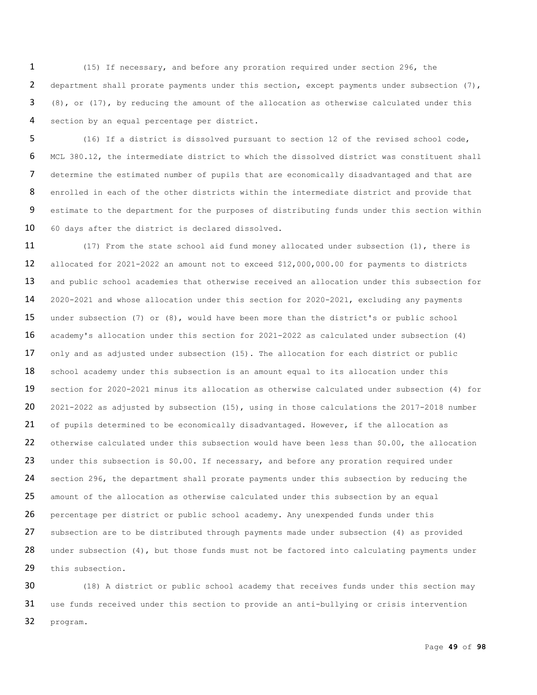(15) If necessary, and before any proration required under section 296, the 2 department shall prorate payments under this section, except payments under subsection (7), 3 (8), or (17), by reducing the amount of the allocation as otherwise calculated under this section by an equal percentage per district.

 (16) If a district is dissolved pursuant to section 12 of the revised school code, MCL 380.12, the intermediate district to which the dissolved district was constituent shall determine the estimated number of pupils that are economically disadvantaged and that are 8 enrolled in each of the other districts within the intermediate district and provide that estimate to the department for the purposes of distributing funds under this section within 60 days after the district is declared dissolved.

 (17) From the state school aid fund money allocated under subsection (1), there is allocated for 2021-2022 an amount not to exceed \$12,000,000.00 for payments to districts 13 and public school academies that otherwise received an allocation under this subsection for 2020-2021 and whose allocation under this section for 2020-2021, excluding any payments under subsection (7) or (8), would have been more than the district's or public school academy's allocation under this section for 2021-2022 as calculated under subsection (4) only and as adjusted under subsection (15). The allocation for each district or public 18 school academy under this subsection is an amount equal to its allocation under this section for 2020-2021 minus its allocation as otherwise calculated under subsection (4) for 20 2021-2022 as adjusted by subsection (15), using in those calculations the 2017-2018 number 21 of pupils determined to be economically disadvantaged. However, if the allocation as otherwise calculated under this subsection would have been less than \$0.00, the allocation 23 under this subsection is \$0.00. If necessary, and before any proration required under 24 section 296, the department shall prorate payments under this subsection by reducing the 25 amount of the allocation as otherwise calculated under this subsection by an equal percentage per district or public school academy. Any unexpended funds under this subsection are to be distributed through payments made under subsection (4) as provided 28 under subsection (4), but those funds must not be factored into calculating payments under 29 this subsection.

 (18) A district or public school academy that receives funds under this section may use funds received under this section to provide an anti-bullying or crisis intervention program.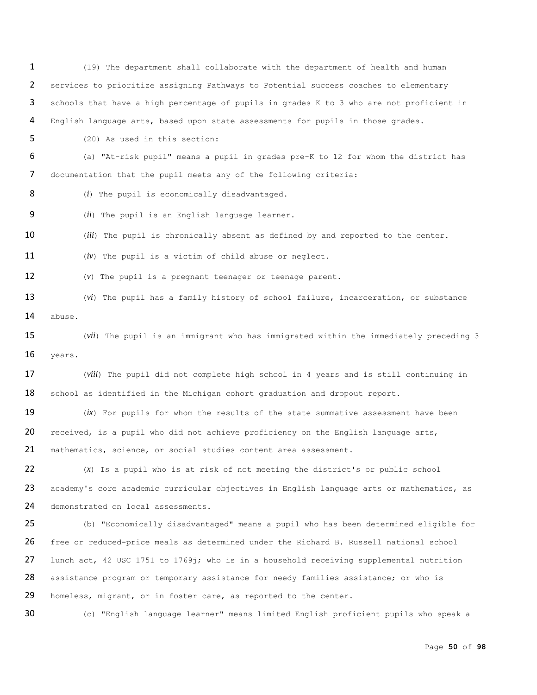(19) The department shall collaborate with the department of health and human services to prioritize assigning Pathways to Potential success coaches to elementary schools that have a high percentage of pupils in grades K to 3 who are not proficient in English language arts, based upon state assessments for pupils in those grades. (20) As used in this section: (a) "At-risk pupil" means a pupil in grades pre-K to 12 for whom the district has documentation that the pupil meets any of the following criteria: 8 (*i*) The pupil is economically disadvantaged. (*ii*) The pupil is an English language learner. (*iii*) The pupil is chronically absent as defined by and reported to the center. (*iv*) The pupil is a victim of child abuse or neglect. (*v*) The pupil is a pregnant teenager or teenage parent. (*vi*) The pupil has a family history of school failure, incarceration, or substance abuse. (*vii*) The pupil is an immigrant who has immigrated within the immediately preceding 3 years. (*viii*) The pupil did not complete high school in 4 years and is still continuing in 18 school as identified in the Michigan cohort graduation and dropout report. (*ix*) For pupils for whom the results of the state summative assessment have been received, is a pupil who did not achieve proficiency on the English language arts, 21 mathematics, science, or social studies content area assessment. (*x*) Is a pupil who is at risk of not meeting the district's or public school 23 academy's core academic curricular objectives in English language arts or mathematics, as 24 demonstrated on local assessments. (b) "Economically disadvantaged" means a pupil who has been determined eligible for free or reduced-price meals as determined under the Richard B. Russell national school 27 lunch act, 42 USC 1751 to 1769j; who is in a household receiving supplemental nutrition assistance program or temporary assistance for needy families assistance; or who is 29 homeless, migrant, or in foster care, as reported to the center.

(c) "English language learner" means limited English proficient pupils who speak a

Page **50** of **98**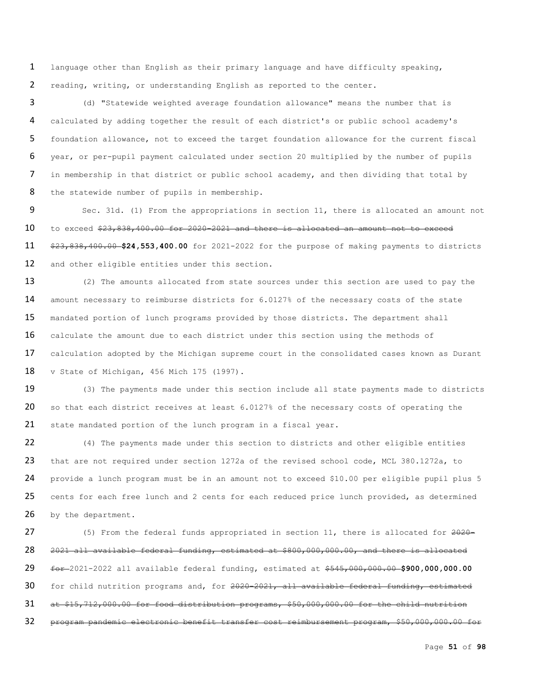1 language other than English as their primary language and have difficulty speaking, 2 reading, writing, or understanding English as reported to the center.

 (d) "Statewide weighted average foundation allowance" means the number that is calculated by adding together the result of each district's or public school academy's foundation allowance, not to exceed the target foundation allowance for the current fiscal year, or per-pupil payment calculated under section 20 multiplied by the number of pupils in membership in that district or public school academy, and then dividing that total by 8 the statewide number of pupils in membership.

 Sec. 31d. (1) From the appropriations in section 11, there is allocated an amount not to exceed \$23,838,400.00 for 2020-2021 and there is allocated an amount not to exceed \$23,838,400.00 **\$24,553,400.00** for 2021-2022 for the purpose of making payments to districts 12 and other eligible entities under this section.

13 (2) The amounts allocated from state sources under this section are used to pay the 14 amount necessary to reimburse districts for 6.0127% of the necessary costs of the state 15 mandated portion of lunch programs provided by those districts. The department shall 16 calculate the amount due to each district under this section using the methods of 17 calculation adopted by the Michigan supreme court in the consolidated cases known as Durant 18 v State of Michigan, 456 Mich 175 (1997).

19 (3) The payments made under this section include all state payments made to districts 20 so that each district receives at least 6.0127% of the necessary costs of operating the 21 state mandated portion of the lunch program in a fiscal year.

22 (4) The payments made under this section to districts and other eligible entities 23 that are not required under section 1272a of the revised school code, MCL 380.1272a, to 24 provide a lunch program must be in an amount not to exceed \$10.00 per eligible pupil plus 5 25 cents for each free lunch and 2 cents for each reduced price lunch provided, as determined 26 by the department.

27 (5) From the federal funds appropriated in section 11, there is allocated for  $2020-$ 28 2021 all available federal funding, estimated at \$800,000,000.00, and there is allocated 29 for 2021-2022 all available federal funding, estimated at \$545,000,000.00 \$900,000,000.00 30 for child nutrition programs and, for 2020-2021, all available federal funding, estimated 31 at \$15,712,000.00 for food distribution programs, \$50,000,000.00 for the child nutrition 32 program pandemic electronic benefit transfer cost reimbursement program, \$50,000,000.00 for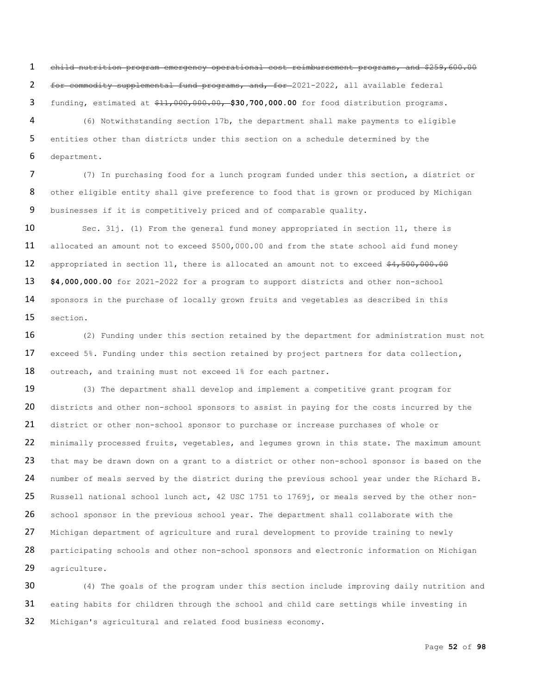child nutrition program emergency operational cost reimbursement programs, and \$259,600.00 for commodity supplemental fund programs, and, for 2021-2022, all available federal funding, estimated at \$11,000,000.00, **\$30,700,000.00** for food distribution programs.

 (6) Notwithstanding section 17b, the department shall make payments to eligible entities other than districts under this section on a schedule determined by the department.

 (7) In purchasing food for a lunch program funded under this section, a district or 8 other eligible entity shall give preference to food that is grown or produced by Michigan businesses if it is competitively priced and of comparable quality.

 Sec. 31j. (1) From the general fund money appropriated in section 11, there is allocated an amount not to exceed \$500,000.00 and from the state school aid fund money 12 appropriated in section 11, there is allocated an amount not to exceed \$4,500,000.00 **\$4,000,000.00** for 2021-2022 for a program to support districts and other non-school sponsors in the purchase of locally grown fruits and vegetables as described in this section.

 (2) Funding under this section retained by the department for administration must not exceed 5%. Funding under this section retained by project partners for data collection**,** outreach**,** and training must not exceed 1% for each partner.

19 (3) The department shall develop and implement a competitive grant program for 20 districts and other non-school sponsors to assist in paying for the costs incurred by the district or other non-school sponsor to purchase or increase purchases of whole or 22 minimally processed fruits, vegetables, and legumes grown in this state. The maximum amount 23 that may be drawn down on a grant to a district or other non-school sponsor is based on the number of meals served by the district during the previous school year under the Richard B. 25 Russell national school lunch act, 42 USC 1751 to 1769j, or meals served by the other non-26 school sponsor in the previous school year. The department shall collaborate with the Michigan department of agriculture and rural development to provide training to newly 28 participating schools and other non-school sponsors and electronic information on Michigan agriculture.

 (4) The goals of the program under this section include improving daily nutrition and eating habits for children through the school and child care settings while investing in Michigan's agricultural and related food business economy.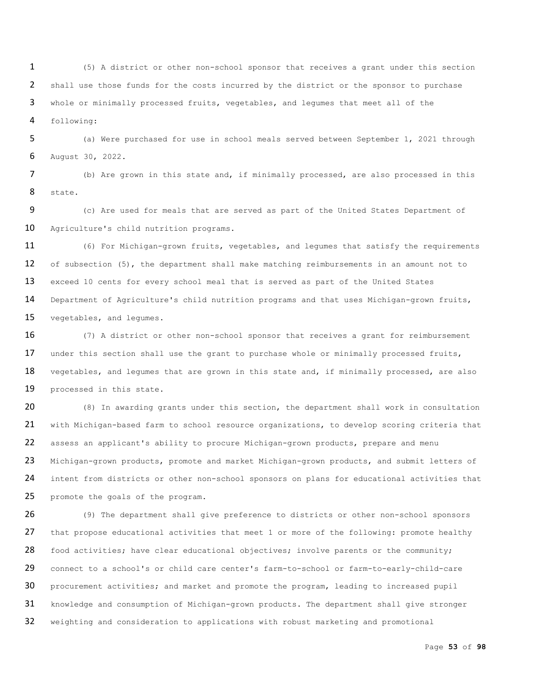(5) A district or other non-school sponsor that receives a grant under this section shall use those funds for the costs incurred by the district or the sponsor to purchase whole or minimally processed fruits, vegetables, and legumes that meet all of the following:

 (a) Were purchased for use in school meals served between September 1, 2021 through August 30, 2022.

 (b) Are grown in this state and, if minimally processed, are also processed in this state.

 (c) Are used for meals that are served as part of the United States Department of Agriculture's child nutrition programs.

 (6) For Michigan-grown fruits, vegetables, and legumes that satisfy the requirements 12 of subsection (5), the department shall make matching reimbursements in an amount not to exceed 10 cents for every school meal that is served as part of the United States Department of Agriculture's child nutrition programs and that uses Michigan-grown fruits, vegetables, and legumes.

 (7) A district or other non-school sponsor that receives a grant for reimbursement 17 under this section shall use the grant to purchase whole or minimally processed fruits, 18 vegetables, and legumes that are grown in this state and, if minimally processed, are also processed in this state.

 (8) In awarding grants under this section, the department shall work in consultation with Michigan-based farm to school resource organizations, to develop scoring criteria that assess an applicant's ability to procure Michigan-grown products, prepare and menu 23 Michigan-grown products, promote and market Michigan-grown products, and submit letters of 24 intent from districts or other non-school sponsors on plans for educational activities that 25 promote the goals of the program.

 (9) The department shall give preference to districts or other non-school sponsors 27 that propose educational activities that meet 1 or more of the following: promote healthy 28 food activities; have clear educational objectives; involve parents or the community; connect to a school's or child care center's farm-to-school or farm-to-early-child-care procurement activities; and market and promote the program, leading to increased pupil knowledge and consumption of Michigan-grown products. The department shall give stronger weighting and consideration to applications with robust marketing and promotional

Page **53** of **98**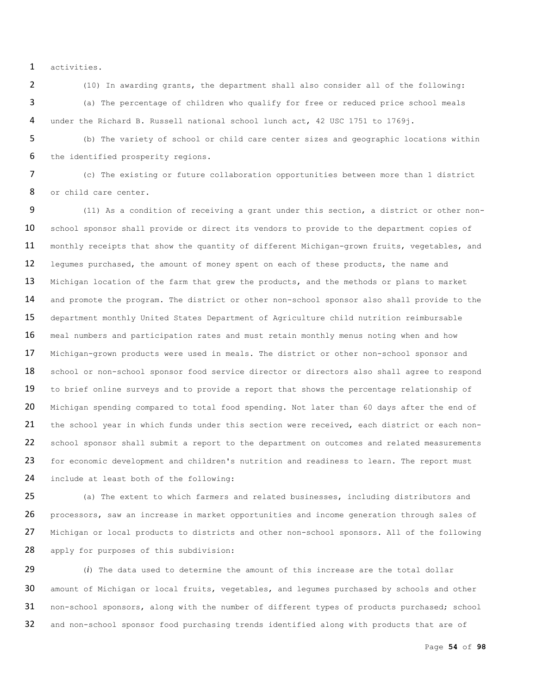1 activities.

2 (10) In awarding grants, the department shall also consider all of the following: 3 (a) The percentage of children who qualify for free or reduced price school meals 4 under the Richard B. Russell national school lunch act, 42 USC 1751 to 1769j.

5 (b) The variety of school or child care center sizes and geographic locations within 6 the identified prosperity regions.

7 (c) The existing or future collaboration opportunities between more than 1 district 8 or child care center.

9 (11) As a condition of receiving a grant under this section, a district or other non-10 school sponsor shall provide or direct its vendors to provide to the department copies of 11 monthly receipts that show the quantity of different Michigan-grown fruits, vegetables, and 12 legumes purchased, the amount of money spent on each of these products, the name and 13 Michigan location of the farm that grew the products, and the methods or plans to market 14 and promote the program. The district or other non-school sponsor also shall provide to the 15 department monthly United States Department of Agriculture child nutrition reimbursable 16 meal numbers and participation rates and must retain monthly menus noting when and how 17 Michigan-grown products were used in meals. The district or other non-school sponsor and 18 school or non-school sponsor food service director or directors also shall agree to respond 19 to brief online surveys and to provide a report that shows the percentage relationship of 20 Michigan spending compared to total food spending. Not later than 60 days after the end of 21 the school year in which funds under this section were received, each district or each non-22 school sponsor shall submit a report to the department on outcomes and related measurements 23 for economic development and children's nutrition and readiness to learn. The report must 24 include at least both of the following:

25 (a) The extent to which farmers and related businesses, including distributors and 26 processors, saw an increase in market opportunities and income generation through sales of 27 Michigan or local products to districts and other non-school sponsors. All of the following 28 apply for purposes of this subdivision:

29 (*i*) The data used to determine the amount of this increase are the total dollar 30 amount of Michigan or local fruits, vegetables, and legumes purchased by schools and other 31 non-school sponsors, along with the number of different types of products purchased; school 32 and non-school sponsor food purchasing trends identified along with products that are of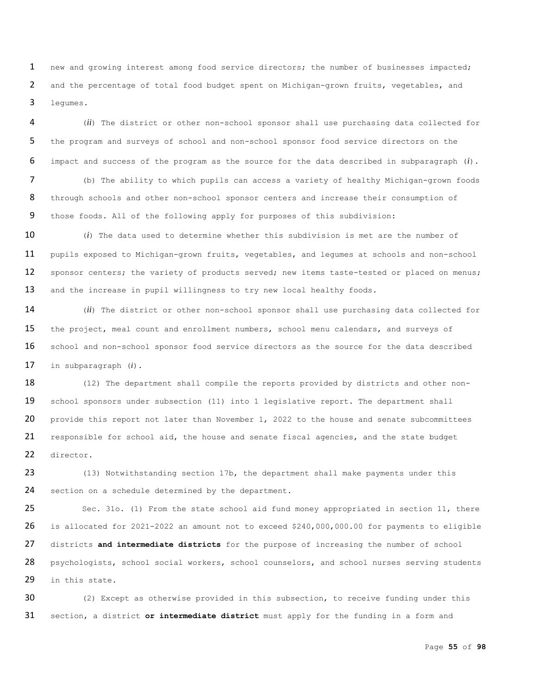1 new and growing interest among food service directors; the number of businesses impacted; 2 and the percentage of total food budget spent on Michigan-grown fruits, vegetables, and 3 legumes.

4 (*ii*) The district or other non-school sponsor shall use purchasing data collected for 5 the program and surveys of school and non-school sponsor food service directors on the 6 impact and success of the program as the source for the data described in subparagraph (*i*).

7 (b) The ability to which pupils can access a variety of healthy Michigan-grown foods 8 through schools and other non-school sponsor centers and increase their consumption of 9 those foods. All of the following apply for purposes of this subdivision:

10 (*i*) The data used to determine whether this subdivision is met are the number of 11 pupils exposed to Michigan-grown fruits, vegetables, and legumes at schools and non-school 12 sponsor centers; the variety of products served; new items taste-tested or placed on menus; 13 and the increase in pupil willingness to try new local healthy foods.

14 (*ii*) The district or other non-school sponsor shall use purchasing data collected for 15 the project, meal count and enrollment numbers, school menu calendars, and surveys of 16 school and non-school sponsor food service directors as the source for the data described 17 in subparagraph (*i*).

18 (12) The department shall compile the reports provided by districts and other non-19 school sponsors under subsection (11) into 1 legislative report. The department shall 20 provide this report not later than November 1, 2022 to the house and senate subcommittees 21 responsible for school aid, the house and senate fiscal agencies, and the state budget 22 director.

23 (13) Notwithstanding section 17b, the department shall make payments under this 24 section on a schedule determined by the department.

 Sec. 31o. (1) From the state school aid fund money appropriated in section 11, there is allocated for 2021-2022 an amount not to exceed \$240,000,000.00 for payments to eligible districts **and intermediate districts** for the purpose of increasing the number of school 28 psychologists, school social workers, school counselors, and school nurses serving students in this state.

30 (2) Except as otherwise provided in this subsection, to receive funding under this 31 section, a district **or intermediate district** must apply for the funding in a form and

Page **55** of **98**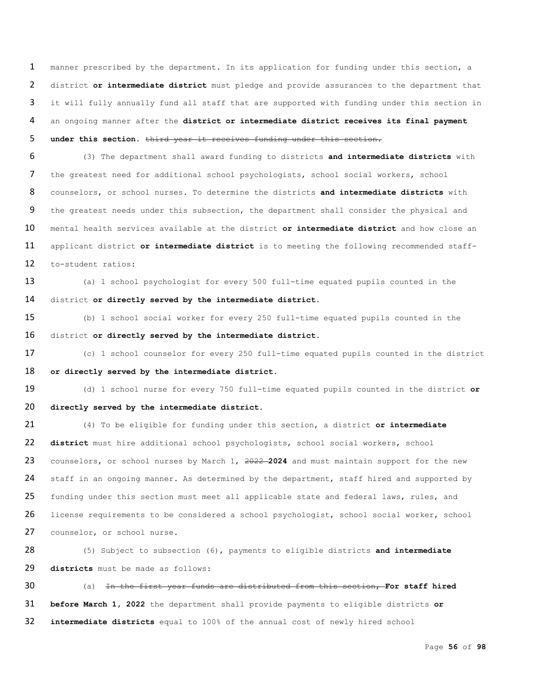manner prescribed by the department. In its application for funding under this section, a district **or intermediate district** must pledge and provide assurances to the department that 3 it will fully annually fund all staff that are supported with funding under this section in an ongoing manner after the **district or intermediate district receives its final payment under this section.** third year it receives funding under this section.

 (3) The department shall award funding to districts **and intermediate districts** with the greatest need for additional school psychologists, school social workers, school counselors, or school nurses. To determine the districts **and intermediate districts** with the greatest needs under this subsection, the department shall consider the physical and mental health services available at the district **or intermediate district** and how close an applicant district **or intermediate district** is to meeting the following recommended staff-to-student ratios:

 (a) 1 school psychologist for every 500 full-time equated pupils counted in the district **or directly served by the intermediate district**.

 (b) 1 school social worker for every 250 full-time equated pupils counted in the district **or directly served by the intermediate district**.

 (c) 1 school counselor for every 250 full-time equated pupils counted in the district **or directly served by the intermediate district**.

 (d) 1 school nurse for every 750 full-time equated pupils counted in the district **or directly served by the intermediate district**.

 (4) To be eligible for funding under this section, a district **or intermediate district** must hire additional school psychologists, school social workers, school counselors, or school nurses by March 1, 2022 **2024** and must maintain support for the new 24 staff in an ongoing manner. As determined by the department, staff hired and supported by 25 funding under this section must meet all applicable state and federal laws, rules, and license requirements to be considered a school psychologist, school social worker, school 27 counselor, or school nurse.

 (5) Subject to subsection (6), payments to eligible districts **and intermediate districts** must be made as follows:

 (a) In the first year funds are distributed from this section, **For staff hired before March 1, 2022** the department shall provide payments to eligible districts **or intermediate districts** equal to 100% of the annual cost of newly hired school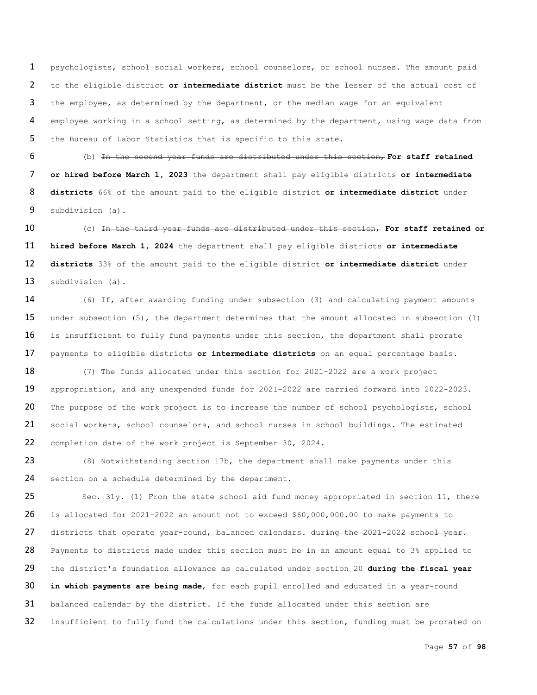psychologists, school social workers, school counselors, or school nurses. The amount paid to the eligible district **or intermediate district** must be the lesser of the actual cost of the employee, as determined by the department, or the median wage for an equivalent employee working in a school setting, as determined by the department, using wage data from the Bureau of Labor Statistics that is specific to this state.

 (b) In the second year funds are distributed under this section, **For staff retained or hired before March 1, 2023** the department shall pay eligible districts **or intermediate districts** 66% of the amount paid to the eligible district **or intermediate district** under subdivision (a).

 (c) In the third year funds are distributed under this section, **For staff retained or hired before March 1, 2024** the department shall pay eligible districts **or intermediate districts** 33% of the amount paid to the eligible district **or intermediate district** under subdivision (a).

 (6) If, after awarding funding under subsection (3) and calculating payment amounts 15 under subsection (5), the department determines that the amount allocated in subsection (1) 16 is insufficient to fully fund payments under this section, the department shall prorate payments to eligible districts **or intermediate districts** on an equal percentage basis.

18 (7) The funds allocated under this section for 2021-2022 are a work project appropriation, and any unexpended funds for 2021-2022 are carried forward into 2022-2023. 20 The purpose of the work project is to increase the number of school psychologists, school social workers, school counselors, and school nurses in school buildings. The estimated 22 completion date of the work project is September 30, 2024.

 (8) Notwithstanding section 17b, the department shall make payments under this 24 section on a schedule determined by the department.

 Sec. 31y. (1) From the state school aid fund money appropriated in section 11, there is allocated for 2021-2022 an amount not to exceed \$60,000,000.00 to make payments to districts that operate year-round, balanced calendars**.** during the 2021-2022 school year. 28 Payments to districts made under this section must be in an amount equal to 3% applied to the district's foundation allowance as calculated under section 20 **during the fiscal year in which payments are being made**, for each pupil enrolled and educated in a year-round balanced calendar by the district. If the funds allocated under this section are 32 insufficient to fully fund the calculations under this section, funding must be prorated on

Page **57** of **98**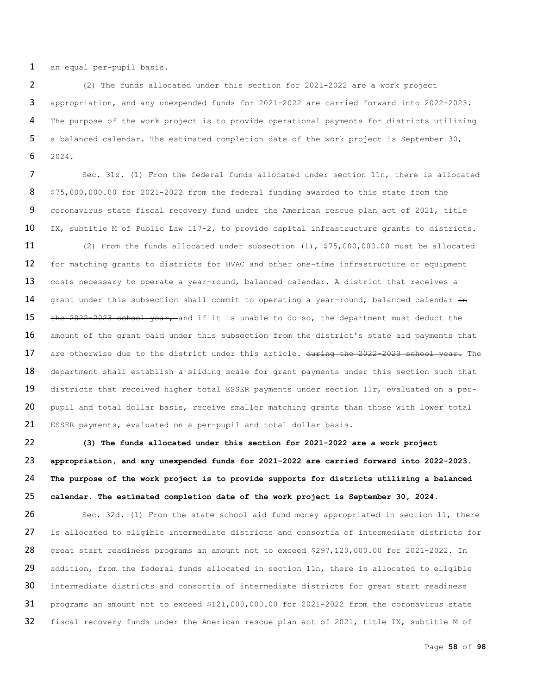an equal per-pupil basis.

 (2) The funds allocated under this section for 2021-2022 are a work project appropriation, and any unexpended funds for 2021-2022 are carried forward into 2022-2023. The purpose of the work project is to provide operational payments for districts utilizing a balanced calendar. The estimated completion date of the work project is September 30, 2024.

 Sec. 31z. (1) From the federal funds allocated under section 11n, there is allocated \$75,000,000.00 for 2021-2022 from the federal funding awarded to this state from the coronavirus state fiscal recovery fund under the American rescue plan act of 2021, title IX, subtitle M of Public Law 117-2, to provide capital infrastructure grants to districts.

 (2) From the funds allocated under subsection (1), \$75,000,000.00 must be allocated for matching grants to districts for HVAC and other one-time infrastructure or equipment 13 costs necessary to operate a year-round, balanced calendar. A district that receives a 14 grant under this subsection shall commit to operating a year-round, balanced calendar in 15 the 2022-2023 school year, and if it is unable to do so, the department must deduct the 16 amount of the grant paid under this subsection from the district's state aid payments that are otherwise due to the district under this article**.** during the 2022-2023 school year. The 18 department shall establish a sliding scale for grant payments under this section such that 19 districts that received higher total ESSER payments under section 11r, evaluated on a per-20 pupil and total dollar basis, receive smaller matching grants than those with lower total ESSER payments, evaluated on a per-pupil and total dollar basis.

 **(3) The funds allocated under this section for 2021-2022 are a work project appropriation, and any unexpended funds for 2021-2022 are carried forward into 2022-2023. The purpose of the work project is to provide supports for districts utilizing a balanced calendar. The estimated completion date of the work project is September 30, 2024.**

 Sec. 32d. (1) From the state school aid fund money appropriated in section 11, there 27 is allocated to eligible intermediate districts and consortia of intermediate districts for great start readiness programs an amount not to exceed \$297,120,000.00 for 2021-2022. In 29 addition, from the federal funds allocated in section 11n, there is allocated to eligible intermediate districts and consortia of intermediate districts for great start readiness programs an amount not to exceed \$121,000,000.00 for 2021-2022 from the coronavirus state 32 fiscal recovery funds under the American rescue plan act of 2021, title IX, subtitle M of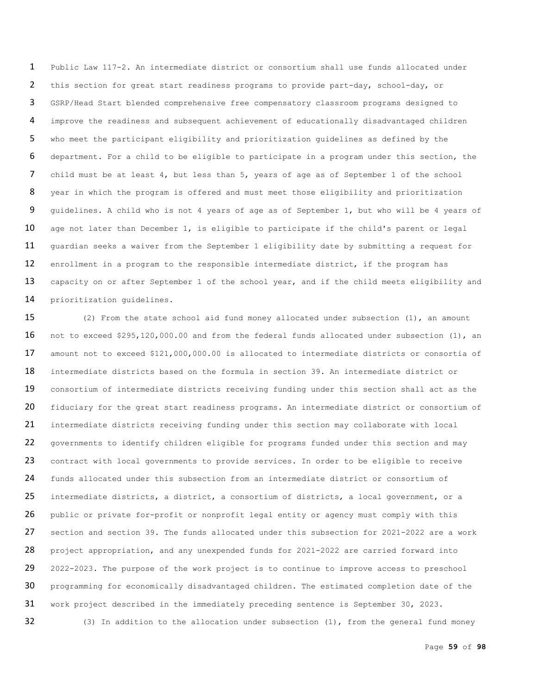Public Law 117-2. An intermediate district or consortium shall use funds allocated under this section for great start readiness programs to provide part-day, school-day, or GSRP/Head Start blended comprehensive free compensatory classroom programs designed to improve the readiness and subsequent achievement of educationally disadvantaged children who meet the participant eligibility and prioritization guidelines as defined by the department. For a child to be eligible to participate in a program under this section, the child must be at least 4, but less than 5, years of age as of September 1 of the school year in which the program is offered and must meet those eligibility and prioritization guidelines. A child who is not 4 years of age as of September 1, but who will be 4 years of 10 age not later than December 1, is eligible to participate if the child's parent or legal 11 guardian seeks a waiver from the September 1 eligibility date by submitting a request for enrollment in a program to the responsible intermediate district, if the program has 13 capacity on or after September 1 of the school year, and if the child meets eligibility and prioritization guidelines.

 (2) From the state school aid fund money allocated under subsection (1), an amount not to exceed \$295,120,000.00 and from the federal funds allocated under subsection (1), an amount not to exceed \$121,000,000.00 is allocated to intermediate districts or consortia of intermediate districts based on the formula in section 39. An intermediate district or 19 consortium of intermediate districts receiving funding under this section shall act as the 20 fiduciary for the great start readiness programs. An intermediate district or consortium of intermediate districts receiving funding under this section may collaborate with local governments to identify children eligible for programs funded under this section and may 23 contract with local governments to provide services. In order to be eligible to receive funds allocated under this subsection from an intermediate district or consortium of 25 intermediate districts, a district, a consortium of districts, a local government, or a 26 public or private for-profit or nonprofit legal entity or agency must comply with this section and section 39. The funds allocated under this subsection for 2021-2022 are a work 28 project appropriation, and any unexpended funds for 2021-2022 are carried forward into 2022-2023. The purpose of the work project is to continue to improve access to preschool 30 programming for economically disadvantaged children. The estimated completion date of the work project described in the immediately preceding sentence is September 30, 2023. 32 (3) In addition to the allocation under subsection (1), from the general fund money

Page **59** of **98**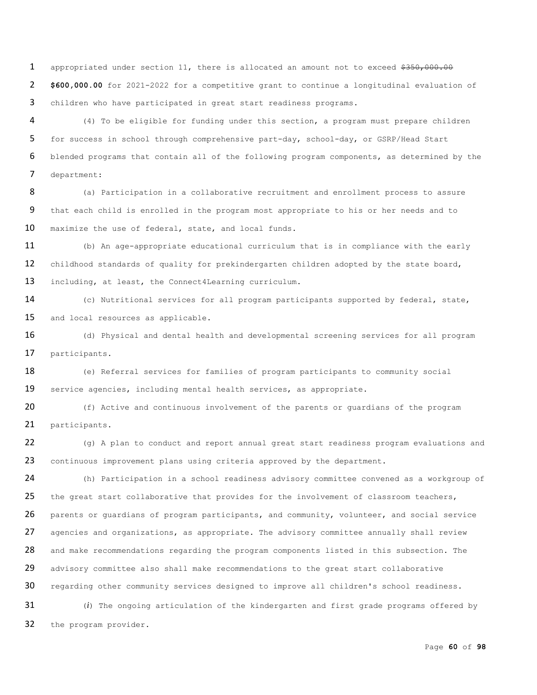1 appropriated under section 11, there is allocated an amount not to exceed \$350,000.00 2 **\$600,000.00** for 2021-2022 for a competitive grant to continue a longitudinal evaluation of 3 children who have participated in great start readiness programs.

 (4) To be eligible for funding under this section, a program must prepare children for success in school through comprehensive part-day, school-day, or GSRP/Head Start blended programs that contain all of the following program components, as determined by the department:

8 (a) Participation in a collaborative recruitment and enrollment process to assure 9 that each child is enrolled in the program most appropriate to his or her needs and to 10 maximize the use of federal, state, and local funds.

11 (b) An age-appropriate educational curriculum that is in compliance with the early 12 childhood standards of quality for prekindergarten children adopted by the state board, 13 including, at least, the Connect4Learning curriculum.

14 (c) Nutritional services for all program participants supported by federal, state, 15 and local resources as applicable.

16 (d) Physical and dental health and developmental screening services for all program 17 participants.

18 (e) Referral services for families of program participants to community social 19 service agencies, including mental health services, as appropriate.

20 (f) Active and continuous involvement of the parents or quardians of the program 21 participants.

22 (g) A plan to conduct and report annual great start readiness program evaluations and 23 continuous improvement plans using criteria approved by the department.

24 (h) Participation in a school readiness advisory committee convened as a workgroup of 25 the great start collaborative that provides for the involvement of classroom teachers, 26 parents or guardians of program participants, and community, volunteer, and social service 27 agencies and organizations, as appropriate. The advisory committee annually shall review 28 and make recommendations regarding the program components listed in this subsection. The 29 advisory committee also shall make recommendations to the great start collaborative 30 regarding other community services designed to improve all children's school readiness. 31 (*i*) The ongoing articulation of the kindergarten and first grade programs offered by

32 the program provider.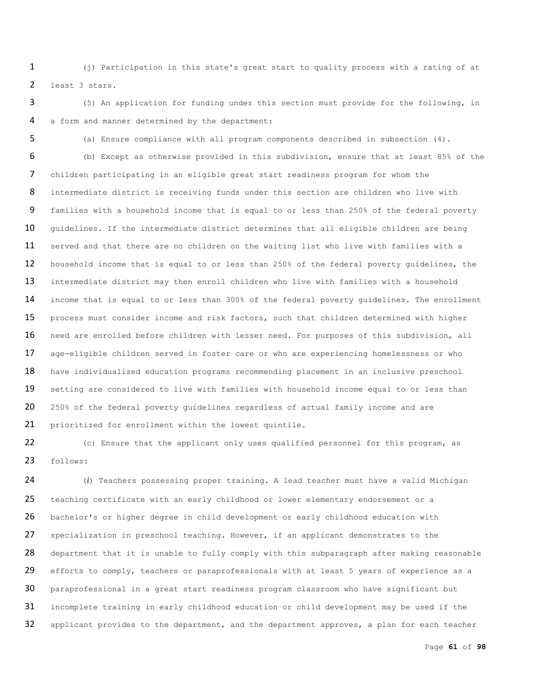(j) Participation in this state's great start to quality process with a rating of at least 3 stars.

 (5) An application for funding under this section must provide for the following, in a form and manner determined by the department:

(a) Ensure compliance with all program components described in subsection (4).

 (b) Except as otherwise provided in this subdivision, ensure that at least 85% of the children participating in an eligible great start readiness program for whom the intermediate district is receiving funds under this section are children who live with families with a household income that is equal to or less than 250% of the federal poverty 10 guidelines. If the intermediate district determines that all eligible children are being 11 served and that there are no children on the waiting list who live with families with a 12 household income that is equal to or less than 250% of the federal poverty guidelines, the intermediate district may then enroll children who live with families with a household 14 income that is equal to or less than 300% of the federal poverty guidelines. The enrollment process must consider income and risk factors, such that children determined with higher need are enrolled before children with lesser need. For purposes of this subdivision, all age-eligible children served in foster care or who are experiencing homelessness or who 18 have individualized education programs recommending placement in an inclusive preschool 19 setting are considered to live with families with household income equal to or less than 20 250% of the federal poverty guidelines regardless of actual family income and are prioritized for enrollment within the lowest quintile.

 (c) Ensure that the applicant only uses qualified personnel for this program, as follows:

 (*i*) Teachers possessing proper training. A lead teacher must have a valid Michigan teaching certificate with an early childhood or lower elementary endorsement or a bachelor's or higher degree in child development or early childhood education with 27 specialization in preschool teaching. However, if an applicant demonstrates to the 28 department that it is unable to fully comply with this subparagraph after making reasonable 29 efforts to comply, teachers or paraprofessionals with at least 5 years of experience as a paraprofessional in a great start readiness program classroom who have significant but incomplete training in early childhood education or child development may be used if the 32 applicant provides to the department, and the department approves, a plan for each teacher

Page **61** of **98**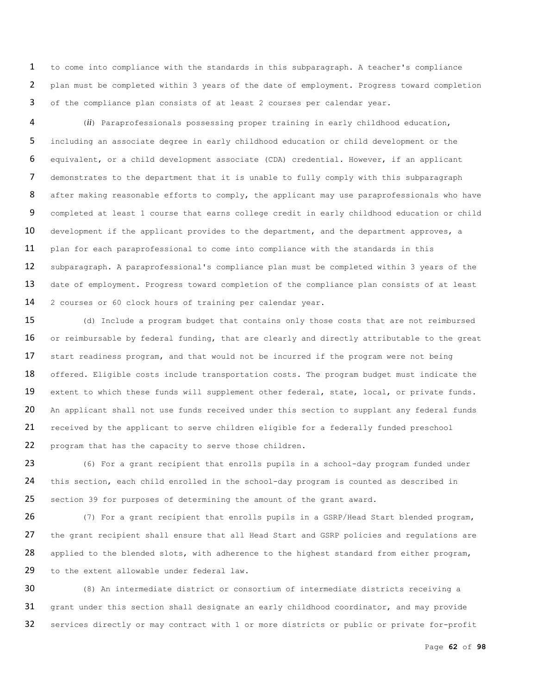to come into compliance with the standards in this subparagraph. A teacher's compliance plan must be completed within 3 years of the date of employment. Progress toward completion of the compliance plan consists of at least 2 courses per calendar year.

 (*ii*) Paraprofessionals possessing proper training in early childhood education, including an associate degree in early childhood education or child development or the equivalent, or a child development associate (CDA) credential. However, if an applicant demonstrates to the department that it is unable to fully comply with this subparagraph 8 after making reasonable efforts to comply, the applicant may use paraprofessionals who have 9 completed at least 1 course that earns college credit in early childhood education or child 10 development if the applicant provides to the department, and the department approves, a plan for each paraprofessional to come into compliance with the standards in this subparagraph. A paraprofessional's compliance plan must be completed within 3 years of the 13 date of employment. Progress toward completion of the compliance plan consists of at least 2 courses or 60 clock hours of training per calendar year.

 (d) Include a program budget that contains only those costs that are not reimbursed 16 or reimbursable by federal funding, that are clearly and directly attributable to the great 17 start readiness program, and that would not be incurred if the program were not being 18 offered. Eligible costs include transportation costs. The program budget must indicate the 19 extent to which these funds will supplement other federal, state, local, or private funds. 20 An applicant shall not use funds received under this section to supplant any federal funds received by the applicant to serve children eligible for a federally funded preschool program that has the capacity to serve those children.

 (6) For a grant recipient that enrolls pupils in a school-day program funded under this section, each child enrolled in the school-day program is counted as described in section 39 for purposes of determining the amount of the grant award.

 (7) For a grant recipient that enrolls pupils in a GSRP/Head Start blended program, 27 the grant recipient shall ensure that all Head Start and GSRP policies and regulations are applied to the blended slots, with adherence to the highest standard from either program, 29 to the extent allowable under federal law.

 (8) An intermediate district or consortium of intermediate districts receiving a grant under this section shall designate an early childhood coordinator, and may provide services directly or may contract with 1 or more districts or public or private for-profit

Page **62** of **98**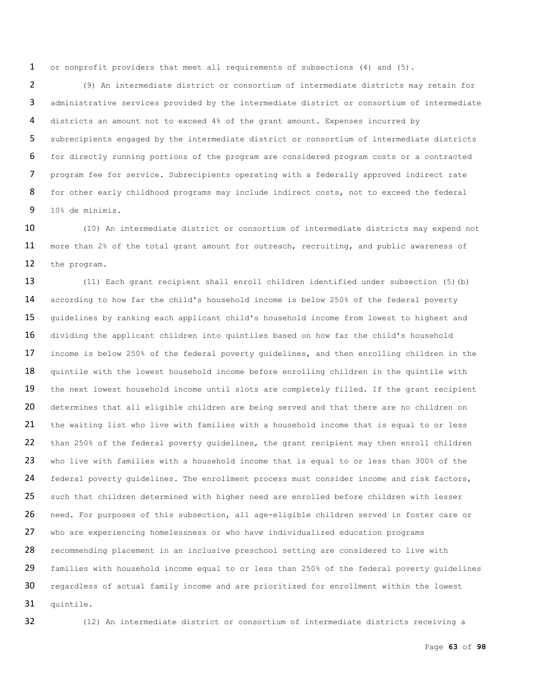or nonprofit providers that meet all requirements of subsections (4) and (5).

 (9) An intermediate district or consortium of intermediate districts may retain for administrative services provided by the intermediate district or consortium of intermediate districts an amount not to exceed 4% of the grant amount. Expenses incurred by subrecipients engaged by the intermediate district or consortium of intermediate districts for directly running portions of the program are considered program costs or a contracted program fee for service. Subrecipients operating with a federally approved indirect rate 8 for other early childhood programs may include indirect costs, not to exceed the federal 10% de minimis.

 (10) An intermediate district or consortium of intermediate districts may expend not 11 more than 2% of the total grant amount for outreach, recruiting, and public awareness of the program.

13 (11) Each grant recipient shall enroll children identified under subsection (5)(b) according to how far the child's household income is below 250% of the federal poverty guidelines by ranking each applicant child's household income from lowest to highest and dividing the applicant children into quintiles based on how far the child's household 17 income is below 250% of the federal poverty guidelines, and then enrolling children in the 18 quintile with the lowest household income before enrolling children in the quintile with 19 the next lowest household income until slots are completely filled. If the grant recipient 20 determines that all eligible children are being served and that there are no children on the waiting list who live with families with a household income that is equal to or less than 250% of the federal poverty guidelines, the grant recipient may then enroll children 23 who live with families with a household income that is equal to or less than 300% of the 24 federal poverty quidelines. The enrollment process must consider income and risk factors, 25 such that children determined with higher need are enrolled before children with lesser need. For purposes of this subsection, all age-eligible children served in foster care or who are experiencing homelessness or who have individualized education programs recommending placement in an inclusive preschool setting are considered to live with 29 families with household income equal to or less than 250% of the federal poverty quidelines regardless of actual family income and are prioritized for enrollment within the lowest quintile.

(12) An intermediate district or consortium of intermediate districts receiving a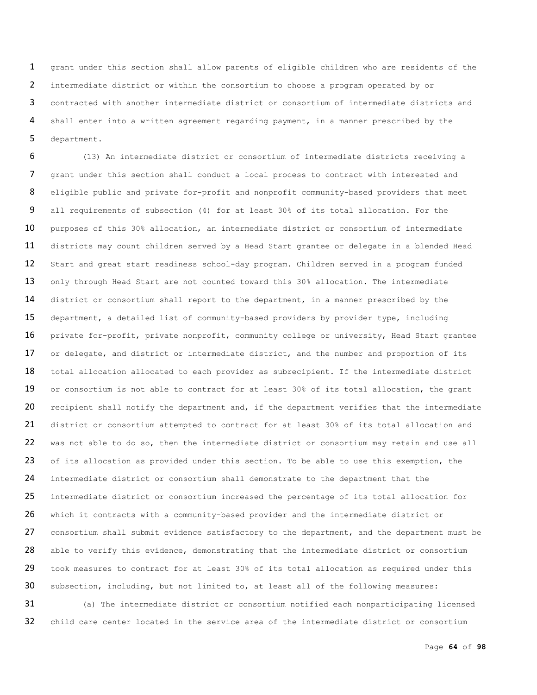grant under this section shall allow parents of eligible children who are residents of the intermediate district or within the consortium to choose a program operated by or contracted with another intermediate district or consortium of intermediate districts and shall enter into a written agreement regarding payment, in a manner prescribed by the department.

6 (13) An intermediate district or consortium of intermediate districts receiving a 7 grant under this section shall conduct a local process to contract with interested and 8 eligible public and private for-profit and nonprofit community-based providers that meet 9 all requirements of subsection (4) for at least 30% of its total allocation. For the 10 purposes of this 30% allocation, an intermediate district or consortium of intermediate 11 districts may count children served by a Head Start grantee or delegate in a blended Head 12 Start and great start readiness school-day program. Children served in a program funded 13 only through Head Start are not counted toward this 30% allocation. The intermediate 14 district or consortium shall report to the department, in a manner prescribed by the 15 department, a detailed list of community-based providers by provider type, including 16 private for-profit, private nonprofit, community college or university, Head Start grantee 17 or delegate, and district or intermediate district, and the number and proportion of its 18 total allocation allocated to each provider as subrecipient. If the intermediate district 19 or consortium is not able to contract for at least 30% of its total allocation, the grant 20 recipient shall notify the department and, if the department verifies that the intermediate 21 district or consortium attempted to contract for at least 30% of its total allocation and 22 was not able to do so, then the intermediate district or consortium may retain and use all 23 of its allocation as provided under this section. To be able to use this exemption, the 24 intermediate district or consortium shall demonstrate to the department that the 25 intermediate district or consortium increased the percentage of its total allocation for 26 which it contracts with a community-based provider and the intermediate district or 27 consortium shall submit evidence satisfactory to the department, and the department must be 28 able to verify this evidence, demonstrating that the intermediate district or consortium 29 took measures to contract for at least 30% of its total allocation as required under this 30 subsection, including, but not limited to, at least all of the following measures:

31 (a) The intermediate district or consortium notified each nonparticipating licensed 32 child care center located in the service area of the intermediate district or consortium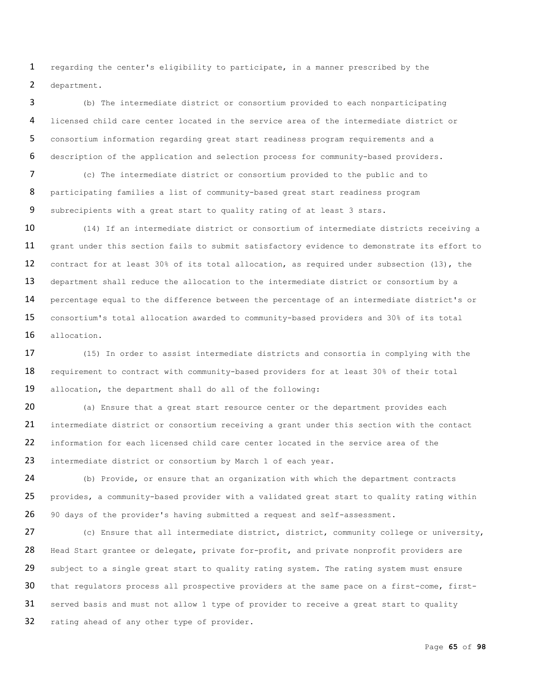regarding the center's eligibility to participate, in a manner prescribed by the department.

 (b) The intermediate district or consortium provided to each nonparticipating licensed child care center located in the service area of the intermediate district or consortium information regarding great start readiness program requirements and a description of the application and selection process for community-based providers.

 (c) The intermediate district or consortium provided to the public and to participating families a list of community-based great start readiness program subrecipients with a great start to quality rating of at least 3 stars.

10 (14) If an intermediate district or consortium of intermediate districts receiving a 11 grant under this section fails to submit satisfactory evidence to demonstrate its effort to contract for at least 30% of its total allocation, as required under subsection (13), the 13 department shall reduce the allocation to the intermediate district or consortium by a 14 percentage equal to the difference between the percentage of an intermediate district's or consortium's total allocation awarded to community-based providers and 30% of its total allocation.

 (15) In order to assist intermediate districts and consortia in complying with the 18 requirement to contract with community-based providers for at least 30% of their total allocation, the department shall do all of the following:

20 (a) Ensure that a great start resource center or the department provides each intermediate district or consortium receiving a grant under this section with the contact information for each licensed child care center located in the service area of the 23 intermediate district or consortium by March 1 of each year.

 (b) Provide, or ensure that an organization with which the department contracts 25 provides, a community-based provider with a validated great start to quality rating within 90 days of the provider's having submitted a request and self-assessment.

 (c) Ensure that all intermediate district, district, community college or university, 28 Head Start grantee or delegate, private for-profit, and private nonprofit providers are 29 subject to a single great start to quality rating system. The rating system must ensure that regulators process all prospective providers at the same pace on a first-come, first-31 served basis and must not allow 1 type of provider to receive a great start to quality 32 rating ahead of any other type of provider.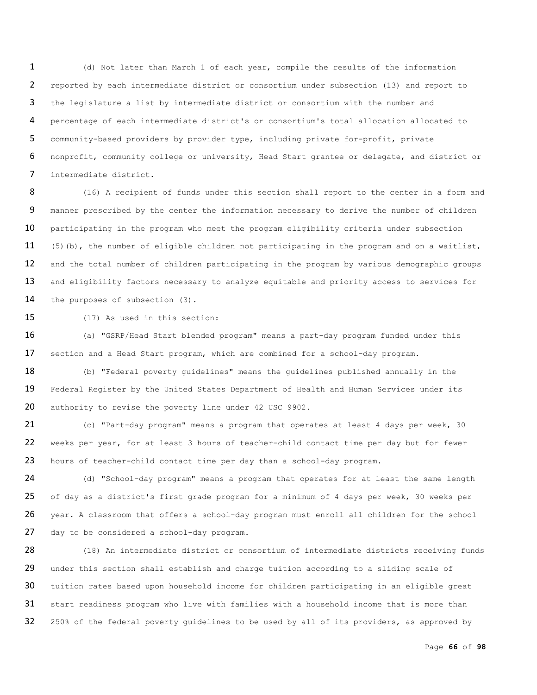(d) Not later than March 1 of each year, compile the results of the information reported by each intermediate district or consortium under subsection (13) and report to the legislature a list by intermediate district or consortium with the number and percentage of each intermediate district's or consortium's total allocation allocated to community-based providers by provider type, including private for-profit, private nonprofit, community college or university, Head Start grantee or delegate, and district or intermediate district.

8 (16) A recipient of funds under this section shall report to the center in a form and 9 manner prescribed by the center the information necessary to derive the number of children 10 participating in the program who meet the program eligibility criteria under subsection 11 (5)(b), the number of eligible children not participating in the program and on a waitlist, 12 and the total number of children participating in the program by various demographic groups 13 and eligibility factors necessary to analyze equitable and priority access to services for 14 the purposes of subsection (3).

15 (17) As used in this section:

16 (a) "GSRP/Head Start blended program" means a part-day program funded under this 17 section and a Head Start program, which are combined for a school-day program.

18 (b) "Federal poverty guidelines" means the guidelines published annually in the 19 Federal Register by the United States Department of Health and Human Services under its 20 authority to revise the poverty line under 42 USC 9902.

21 (c) "Part-day program" means a program that operates at least 4 days per week, 30 22 weeks per year, for at least 3 hours of teacher-child contact time per day but for fewer 23 hours of teacher-child contact time per day than a school-day program.

24 (d) "School-day program" means a program that operates for at least the same length 25 of day as a district's first grade program for a minimum of 4 days per week, 30 weeks per 26 year. A classroom that offers a school-day program must enroll all children for the school 27 day to be considered a school-day program.

28 (18) An intermediate district or consortium of intermediate districts receiving funds 29 under this section shall establish and charge tuition according to a sliding scale of 30 tuition rates based upon household income for children participating in an eligible great 31 start readiness program who live with families with a household income that is more than 32 250% of the federal poverty guidelines to be used by all of its providers, as approved by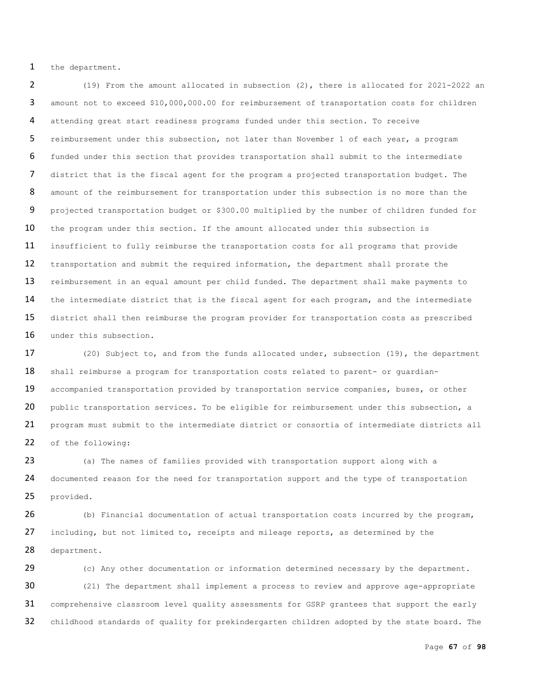1 the department.

2 (19) From the amount allocated in subsection (2), there is allocated for 2021-2022 an 3 amount not to exceed \$10,000,000.00 for reimbursement of transportation costs for children 4 attending great start readiness programs funded under this section. To receive 5 reimbursement under this subsection, not later than November 1 of each year, a program 6 funded under this section that provides transportation shall submit to the intermediate 7 district that is the fiscal agent for the program a projected transportation budget. The 8 amount of the reimbursement for transportation under this subsection is no more than the 9 projected transportation budget or \$300.00 multiplied by the number of children funded for 10 the program under this section. If the amount allocated under this subsection is 11 insufficient to fully reimburse the transportation costs for all programs that provide 12 transportation and submit the required information, the department shall prorate the 13 reimbursement in an equal amount per child funded. The department shall make payments to 14 the intermediate district that is the fiscal agent for each program, and the intermediate 15 district shall then reimburse the program provider for transportation costs as prescribed 16 under this subsection.

17 (20) Subject to, and from the funds allocated under, subsection (19), the department 18 shall reimburse a program for transportation costs related to parent- or guardian-19 accompanied transportation provided by transportation service companies, buses, or other 20 public transportation services. To be eligible for reimbursement under this subsection, a 21 program must submit to the intermediate district or consortia of intermediate districts all 22 of the following:

23 (a) The names of families provided with transportation support along with a 24 documented reason for the need for transportation support and the type of transportation 25 provided.

26 (b) Financial documentation of actual transportation costs incurred by the program, 27 including, but not limited to, receipts and mileage reports, as determined by the 28 department.

29 (c) Any other documentation or information determined necessary by the department. 30 (21) The department shall implement a process to review and approve age-appropriate 31 comprehensive classroom level quality assessments for GSRP grantees that support the early 32 childhood standards of quality for prekindergarten children adopted by the state board. The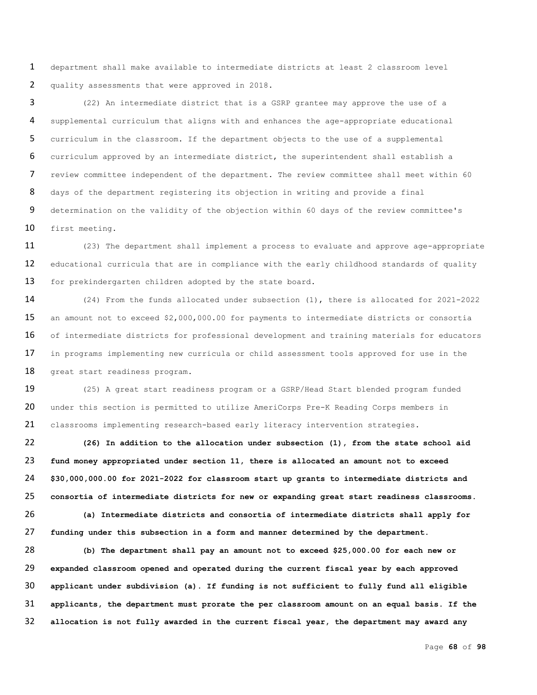department shall make available to intermediate districts at least 2 classroom level quality assessments that were approved in 2018.

 (22) An intermediate district that is a GSRP grantee may approve the use of a supplemental curriculum that aligns with and enhances the age-appropriate educational curriculum in the classroom. If the department objects to the use of a supplemental curriculum approved by an intermediate district, the superintendent shall establish a review committee independent of the department. The review committee shall meet within 60 8 days of the department registering its objection in writing and provide a final determination on the validity of the objection within 60 days of the review committee's first meeting.

11 (23) The department shall implement a process to evaluate and approve age-appropriate 12 educational curricula that are in compliance with the early childhood standards of quality 13 for prekindergarten children adopted by the state board.

 (24) From the funds allocated under subsection (1), there is allocated for 2021-2022 an amount not to exceed \$2,000,000.00 for payments to intermediate districts or consortia 16 of intermediate districts for professional development and training materials for educators in programs implementing new curricula or child assessment tools approved for use in the great start readiness program.

 (25) A great start readiness program or a GSRP/Head Start blended program funded 20 under this section is permitted to utilize AmeriCorps Pre-K Reading Corps members in classrooms implementing research-based early literacy intervention strategies.

 **(26) In addition to the allocation under subsection (1), from the state school aid fund money appropriated under section 11, there is allocated an amount not to exceed \$30,000,000.00 for 2021-2022 for classroom start up grants to intermediate districts and consortia of intermediate districts for new or expanding great start readiness classrooms.**

 **(a) Intermediate districts and consortia of intermediate districts shall apply for funding under this subsection in a form and manner determined by the department.** 

 **(b) The department shall pay an amount not to exceed \$25,000.00 for each new or expanded classroom opened and operated during the current fiscal year by each approved applicant under subdivision (a). If funding is not sufficient to fully fund all eligible applicants, the department must prorate the per classroom amount on an equal basis. If the allocation is not fully awarded in the current fiscal year, the department may award any**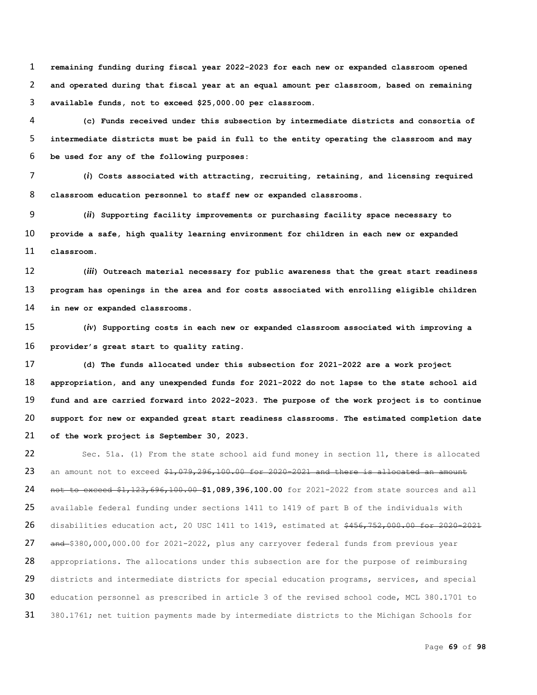**remaining funding during fiscal year 2022-2023 for each new or expanded classroom opened and operated during that fiscal year at an equal amount per classroom, based on remaining available funds, not to exceed \$25,000.00 per classroom.**

 **(c) Funds received under this subsection by intermediate districts and consortia of intermediate districts must be paid in full to the entity operating the classroom and may be used for any of the following purposes:** 

 **(***i***) Costs associated with attracting, recruiting, retaining, and licensing required classroom education personnel to staff new or expanded classrooms.**

 **(***ii***) Supporting facility improvements or purchasing facility space necessary to provide a safe, high quality learning environment for children in each new or expanded classroom.**

 **(***iii***) Outreach material necessary for public awareness that the great start readiness program has openings in the area and for costs associated with enrolling eligible children in new or expanded classrooms.**

 **(***iv***) Supporting costs in each new or expanded classroom associated with improving a provider's great start to quality rating.**

 **(d) The funds allocated under this subsection for 2021-2022 are a work project appropriation, and any unexpended funds for 2021-2022 do not lapse to the state school aid fund and are carried forward into 2022-2023. The purpose of the work project is to continue support for new or expanded great start readiness classrooms. The estimated completion date of the work project is September 30, 2023.**

 Sec. 51a. (1) From the state school aid fund money in section 11, there is allocated 23 an amount not to exceed  $$1,079,296,100.00$  for 2020-2021 and there is allocated an amount not to exceed \$1,123,696,100.00 **\$1,089,396,100.00** for 2021-2022 from state sources and all available federal funding under sections 1411 to 1419 of part B of the individuals with 26 disabilities education act, 20 USC 1411 to 1419, estimated at \$456,752,000.00 for 2020-2021 27 and \$380,000,000.00 for 2021-2022, plus any carryover federal funds from previous year 28 appropriations. The allocations under this subsection are for the purpose of reimbursing 29 districts and intermediate districts for special education programs, services, and special education personnel as prescribed in article 3 of the revised school code, MCL 380.1701 to 31 380.1761; net tuition payments made by intermediate districts to the Michigan Schools for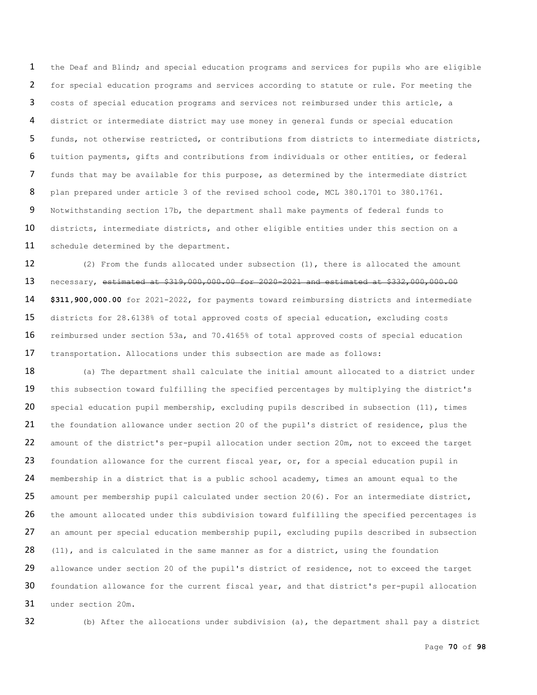the Deaf and Blind; and special education programs and services for pupils who are eligible for special education programs and services according to statute or rule. For meeting the costs of special education programs and services not reimbursed under this article, a district or intermediate district may use money in general funds or special education funds, not otherwise restricted, or contributions from districts to intermediate districts, tuition payments, gifts and contributions from individuals or other entities, or federal funds that may be available for this purpose, as determined by the intermediate district 8 plan prepared under article 3 of the revised school code, MCL 380.1701 to 380.1761. Notwithstanding section 17b, the department shall make payments of federal funds to 10 districts, intermediate districts, and other eligible entities under this section on a 11 schedule determined by the department.

12 (2) From the funds allocated under subsection (1), there is allocated the amount necessary, estimated at \$319,000,000.00 for 2020-2021 and estimated at \$332,000,000.00 **\$311,900,000.00** for 2021-2022, for payments toward reimbursing districts and intermediate districts for 28.6138% of total approved costs of special education, excluding costs reimbursed under section 53a, and 70.4165% of total approved costs of special education transportation. Allocations under this subsection are made as follows:

18 (a) The department shall calculate the initial amount allocated to a district under 19 this subsection toward fulfilling the specified percentages by multiplying the district's special education pupil membership, excluding pupils described in subsection (11), times the foundation allowance under section 20 of the pupil's district of residence, plus the amount of the district's per-pupil allocation under section 20m, not to exceed the target 23 foundation allowance for the current fiscal year, or, for a special education pupil in membership in a district that is a public school academy, times an amount equal to the 25 amount per membership pupil calculated under section  $20(6)$ . For an intermediate district, 26 the amount allocated under this subdivision toward fulfilling the specified percentages is 27 an amount per special education membership pupil, excluding pupils described in subsection 28 (11), and is calculated in the same manner as for a district, using the foundation 29 allowance under section 20 of the pupil's district of residence, not to exceed the target foundation allowance for the current fiscal year, and that district's per-pupil allocation under section 20m.

(b) After the allocations under subdivision (a), the department shall pay a district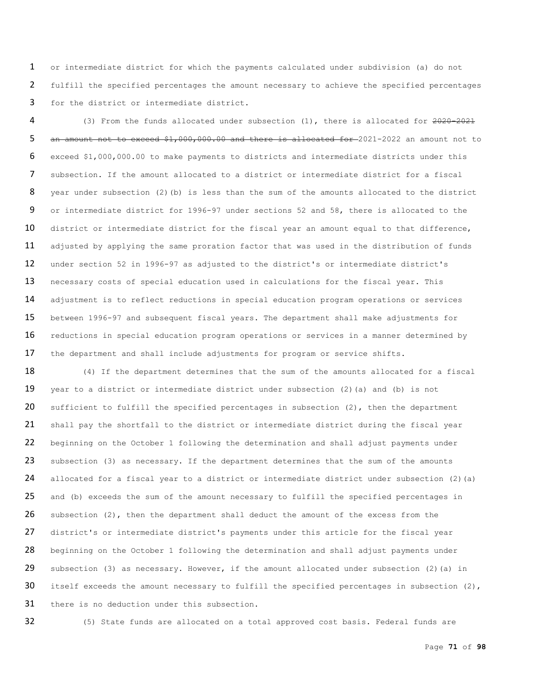1 or intermediate district for which the payments calculated under subdivision (a) do not 2 fulfill the specified percentages the amount necessary to achieve the specified percentages 3 for the district or intermediate district.

4 (3) From the funds allocated under subsection (1), there is allocated for  $2020-2021$ 5 an amount not to exceed \$1,000,000.00 and there is allocated for -2021-2022 an amount not to 6 exceed \$1,000,000.00 to make payments to districts and intermediate districts under this 7 subsection. If the amount allocated to a district or intermediate district for a fiscal 8 year under subsection (2)(b) is less than the sum of the amounts allocated to the district 9 or intermediate district for 1996-97 under sections 52 and 58, there is allocated to the 10 district or intermediate district for the fiscal year an amount equal to that difference, 11 adjusted by applying the same proration factor that was used in the distribution of funds 12 under section 52 in 1996-97 as adjusted to the district's or intermediate district's 13 necessary costs of special education used in calculations for the fiscal year. This 14 adjustment is to reflect reductions in special education program operations or services 15 between 1996-97 and subsequent fiscal years. The department shall make adjustments for 16 reductions in special education program operations or services in a manner determined by 17 the department and shall include adjustments for program or service shifts.

18 (4) If the department determines that the sum of the amounts allocated for a fiscal 19 year to a district or intermediate district under subsection (2)(a) and (b) is not 20 sufficient to fulfill the specified percentages in subsection  $(2)$ , then the department 21 shall pay the shortfall to the district or intermediate district during the fiscal year 22 beginning on the October 1 following the determination and shall adjust payments under 23 subsection (3) as necessary. If the department determines that the sum of the amounts 24 allocated for a fiscal year to a district or intermediate district under subsection (2)(a) 25 and (b) exceeds the sum of the amount necessary to fulfill the specified percentages in 26 subsection (2), then the department shall deduct the amount of the excess from the 27 district's or intermediate district's payments under this article for the fiscal year 28 beginning on the October 1 following the determination and shall adjust payments under 29 subsection (3) as necessary. However, if the amount allocated under subsection (2) (a) in 30 itself exceeds the amount necessary to fulfill the specified percentages in subsection (2), 31 there is no deduction under this subsection.

32 (5) State funds are allocated on a total approved cost basis. Federal funds are

Page **71** of **98**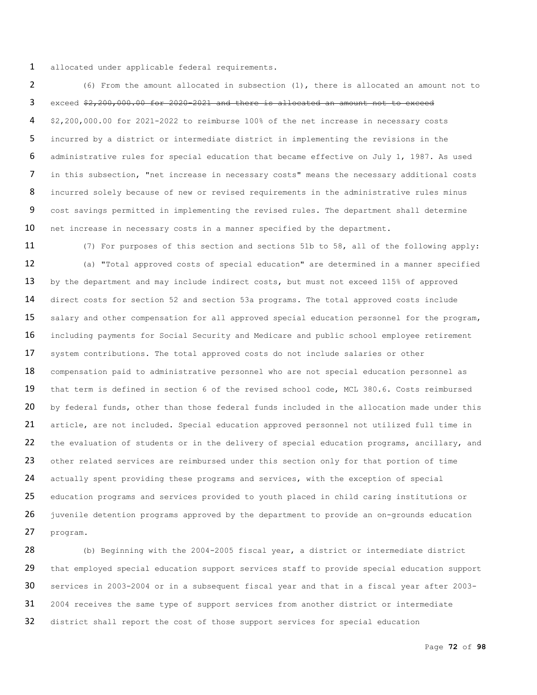allocated under applicable federal requirements.

 (6) From the amount allocated in subsection (1), there is allocated an amount not to exceed \$2,200,000.00 for 2020-2021 and there is allocated an amount not to exceed \$2,200,000.00 for 2021-2022 to reimburse 100% of the net increase in necessary costs incurred by a district or intermediate district in implementing the revisions in the administrative rules for special education that became effective on July 1, 1987. As used in this subsection, "net increase in necessary costs" means the necessary additional costs 8 incurred solely because of new or revised requirements in the administrative rules minus cost savings permitted in implementing the revised rules. The department shall determine 10 net increase in necessary costs in a manner specified by the department.

 (7) For purposes of this section and sections 51b to 58, all of the following apply: (a) "Total approved costs of special education" are determined in a manner specified 13 by the department and may include indirect costs, but must not exceed 115% of approved direct costs for section 52 and section 53a programs. The total approved costs include 15 salary and other compensation for all approved special education personnel for the program, including payments for Social Security and Medicare and public school employee retirement 17 system contributions. The total approved costs do not include salaries or other 18 compensation paid to administrative personnel who are not special education personnel as that term is defined in section 6 of the revised school code, MCL 380.6. Costs reimbursed 20 by federal funds, other than those federal funds included in the allocation made under this article, are not included. Special education approved personnel not utilized full time in 22 the evaluation of students or in the delivery of special education programs, ancillary, and 23 other related services are reimbursed under this section only for that portion of time actually spent providing these programs and services, with the exception of special education programs and services provided to youth placed in child caring institutions or juvenile detention programs approved by the department to provide an on-grounds education program.

 (b) Beginning with the 2004-2005 fiscal year, a district or intermediate district 29 that employed special education support services staff to provide special education support services in 2003-2004 or in a subsequent fiscal year and that in a fiscal year after 2003- 31 2004 receives the same type of support services from another district or intermediate 32 district shall report the cost of those support services for special education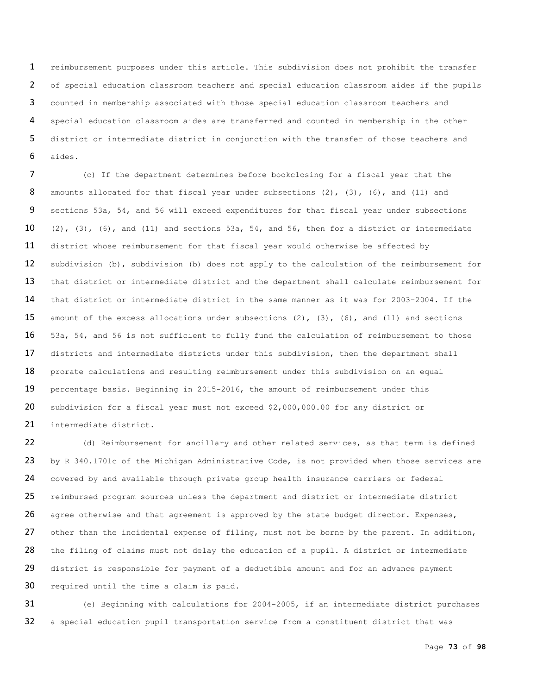reimbursement purposes under this article. This subdivision does not prohibit the transfer of special education classroom teachers and special education classroom aides if the pupils counted in membership associated with those special education classroom teachers and special education classroom aides are transferred and counted in membership in the other district or intermediate district in conjunction with the transfer of those teachers and aides.

 (c) If the department determines before bookclosing for a fiscal year that the 8 amounts allocated for that fiscal year under subsections (2), (3), (6), and (11) and sections 53a, 54, and 56 will exceed expenditures for that fiscal year under subsections 10 (2), (3), (6), and (11) and sections 53a, 54, and 56, then for a district or intermediate district whose reimbursement for that fiscal year would otherwise be affected by subdivision (b), subdivision (b) does not apply to the calculation of the reimbursement for 13 that district or intermediate district and the department shall calculate reimbursement for that district or intermediate district in the same manner as it was for 2003-2004. If the amount of the excess allocations under subsections (2), (3), (6), and (11) and sections 53a, 54, and 56 is not sufficient to fully fund the calculation of reimbursement to those districts and intermediate districts under this subdivision, then the department shall 18 prorate calculations and resulting reimbursement under this subdivision on an equal percentage basis. Beginning in 2015-2016, the amount of reimbursement under this subdivision for a fiscal year must not exceed \$2,000,000.00 for any district or intermediate district.

22 (d) Reimbursement for ancillary and other related services, as that term is defined 23 by R 340.1701c of the Michigan Administrative Code, is not provided when those services are 24 covered by and available through private group health insurance carriers or federal 25 reimbursed program sources unless the department and district or intermediate district 26 agree otherwise and that agreement is approved by the state budget director. Expenses, 27 other than the incidental expense of filing, must not be borne by the parent. In addition, 28 the filing of claims must not delay the education of a pupil. A district or intermediate 29 district is responsible for payment of a deductible amount and for an advance payment required until the time a claim is paid.

 (e) Beginning with calculations for 2004-2005, if an intermediate district purchases a special education pupil transportation service from a constituent district that was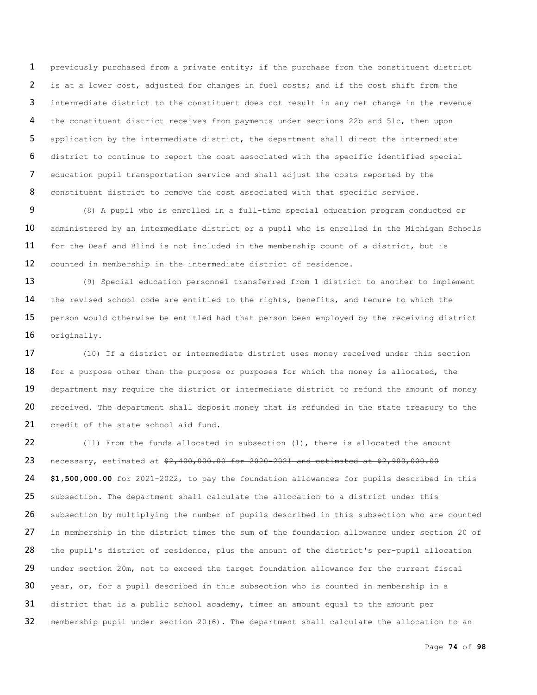previously purchased from a private entity; if the purchase from the constituent district is at a lower cost, adjusted for changes in fuel costs; and if the cost shift from the intermediate district to the constituent does not result in any net change in the revenue the constituent district receives from payments under sections 22b and 51c, then upon application by the intermediate district, the department shall direct the intermediate district to continue to report the cost associated with the specific identified special education pupil transportation service and shall adjust the costs reported by the 8 constituent district to remove the cost associated with that specific service.

 (8) A pupil who is enrolled in a full-time special education program conducted or 10 administered by an intermediate district or a pupil who is enrolled in the Michigan Schools for the Deaf and Blind is not included in the membership count of a district, but is counted in membership in the intermediate district of residence.

 (9) Special education personnel transferred from 1 district to another to implement the revised school code are entitled to the rights, benefits, and tenure to which the 15 person would otherwise be entitled had that person been employed by the receiving district originally.

17 (10) If a district or intermediate district uses money received under this section 18 for a purpose other than the purpose or purposes for which the money is allocated, the 19 department may require the district or intermediate district to refund the amount of money 20 received. The department shall deposit money that is refunded in the state treasury to the 21 credit of the state school aid fund.

22 (11) From the funds allocated in subsection (1), there is allocated the amount 23 necessary, estimated at  $$2,400,000.00$  for 2020-2021 and estimated at \$2,900,000.00 24 **\$1,500,000.00** for 2021-2022, to pay the foundation allowances for pupils described in this 25 subsection. The department shall calculate the allocation to a district under this 26 subsection by multiplying the number of pupils described in this subsection who are counted 27 in membership in the district times the sum of the foundation allowance under section 20 of 28 the pupil's district of residence, plus the amount of the district's per-pupil allocation 29 under section 20m, not to exceed the target foundation allowance for the current fiscal 30 year, or, for a pupil described in this subsection who is counted in membership in a 31 district that is a public school academy, times an amount equal to the amount per 32 membership pupil under section 20(6). The department shall calculate the allocation to an

Page **74** of **98**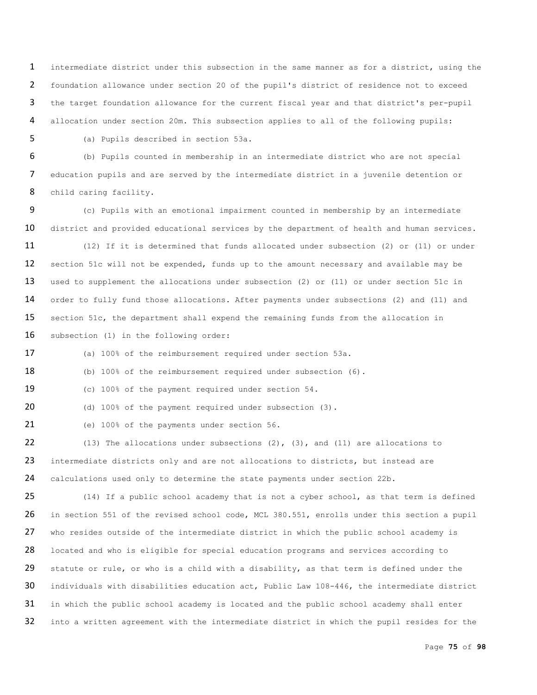intermediate district under this subsection in the same manner as for a district, using the foundation allowance under section 20 of the pupil's district of residence not to exceed the target foundation allowance for the current fiscal year and that district's per-pupil allocation under section 20m. This subsection applies to all of the following pupils:

5 (a) Pupils described in section 53a.

6 (b) Pupils counted in membership in an intermediate district who are not special 7 education pupils and are served by the intermediate district in a juvenile detention or 8 child caring facility.

9 (c) Pupils with an emotional impairment counted in membership by an intermediate 10 district and provided educational services by the department of health and human services.

11 (12) If it is determined that funds allocated under subsection (2) or (11) or under 12 section 51c will not be expended, funds up to the amount necessary and available may be 13 used to supplement the allocations under subsection (2) or (11) or under section 51c in 14 order to fully fund those allocations. After payments under subsections (2) and (11) and 15 section 51c, the department shall expend the remaining funds from the allocation in 16 subsection (1) in the following order:

17 (a) 100% of the reimbursement required under section 53a.

18 (b) 100% of the reimbursement required under subsection (6).

19 (c) 100% of the payment required under section 54.

20 (d) 100% of the payment required under subsection (3).

21 (e) 100% of the payments under section 56.

22 (13) The allocations under subsections (2), (3), and (11) are allocations to 23 intermediate districts only and are not allocations to districts, but instead are 24 calculations used only to determine the state payments under section 22b.

25 (14) If a public school academy that is not a cyber school, as that term is defined 26 in section 551 of the revised school code, MCL 380.551, enrolls under this section a pupil 27 who resides outside of the intermediate district in which the public school academy is 28 located and who is eligible for special education programs and services according to 29 statute or rule, or who is a child with a disability, as that term is defined under the 30 individuals with disabilities education act, Public Law 108-446, the intermediate district 31 in which the public school academy is located and the public school academy shall enter 32 into a written agreement with the intermediate district in which the pupil resides for the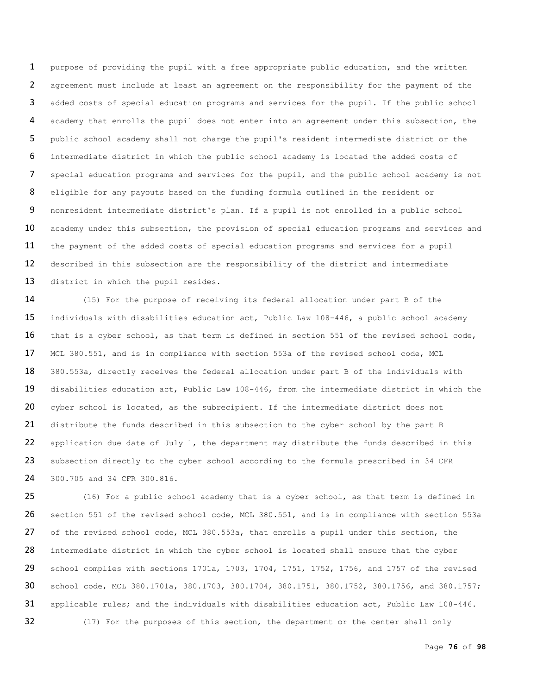purpose of providing the pupil with a free appropriate public education, and the written agreement must include at least an agreement on the responsibility for the payment of the added costs of special education programs and services for the pupil. If the public school academy that enrolls the pupil does not enter into an agreement under this subsection, the public school academy shall not charge the pupil's resident intermediate district or the intermediate district in which the public school academy is located the added costs of special education programs and services for the pupil, and the public school academy is not eligible for any payouts based on the funding formula outlined in the resident or nonresident intermediate district's plan. If a pupil is not enrolled in a public school 10 academy under this subsection, the provision of special education programs and services and the payment of the added costs of special education programs and services for a pupil described in this subsection are the responsibility of the district and intermediate 13 district in which the pupil resides.

 (15) For the purpose of receiving its federal allocation under part B of the individuals with disabilities education act, Public Law 108-446, a public school academy 16 that is a cyber school, as that term is defined in section 551 of the revised school code, MCL 380.551, and is in compliance with section 553a of the revised school code, MCL 380.553a, directly receives the federal allocation under part B of the individuals with disabilities education act, Public Law 108-446, from the intermediate district in which the 20 cyber school is located, as the subrecipient. If the intermediate district does not distribute the funds described in this subsection to the cyber school by the part B 22 application due date of July 1, the department may distribute the funds described in this 23 subsection directly to the cyber school according to the formula prescribed in 34 CFR 300.705 and 34 CFR 300.816.

 (16) For a public school academy that is a cyber school, as that term is defined in section 551 of the revised school code, MCL 380.551, and is in compliance with section 553a of the revised school code, MCL 380.553a, that enrolls a pupil under this section, the 28 intermediate district in which the cyber school is located shall ensure that the cyber 29 school complies with sections 1701a, 1703, 1704, 1751, 1752, 1756, and 1757 of the revised school code, MCL 380.1701a, 380.1703, 380.1704, 380.1751, 380.1752, 380.1756, and 380.1757; applicable rules; and the individuals with disabilities education act, Public Law 108-446. 32 (17) For the purposes of this section, the department or the center shall only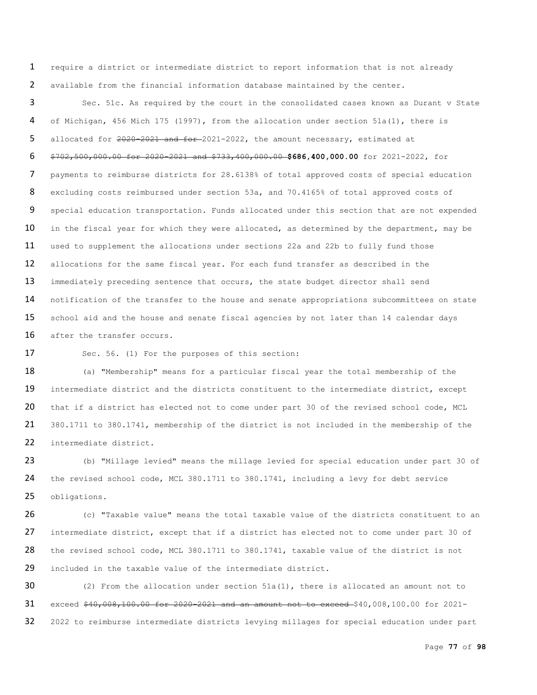1 require a district or intermediate district to report information that is not already 2 available from the financial information database maintained by the center.

3 Sec. 51c. As required by the court in the consolidated cases known as Durant v State 4 of Michigan, 456 Mich 175 (1997), from the allocation under section 51a(1), there is 5 allocated for 2020-2021 and for 2021-2022, the amount necessary, estimated at 6 \$702,500,000.00 for 2020-2021 and \$733,400,000.00 **\$686,400,000.00** for 2021-2022, for 7 payments to reimburse districts for 28.6138% of total approved costs of special education 8 excluding costs reimbursed under section 53a, and 70.4165% of total approved costs of 9 special education transportation. Funds allocated under this section that are not expended 10 in the fiscal year for which they were allocated, as determined by the department, may be 11 used to supplement the allocations under sections 22a and 22b to fully fund those 12 allocations for the same fiscal year. For each fund transfer as described in the 13 immediately preceding sentence that occurs, the state budget director shall send 14 notification of the transfer to the house and senate appropriations subcommittees on state 15 school aid and the house and senate fiscal agencies by not later than 14 calendar days 16 after the transfer occurs.

17 Sec. 56. (1) For the purposes of this section:

18 (a) "Membership" means for a particular fiscal year the total membership of the 19 intermediate district and the districts constituent to the intermediate district, except 20 that if a district has elected not to come under part 30 of the revised school code, MCL 21 380.1711 to 380.1741, membership of the district is not included in the membership of the 22 intermediate district.

23 (b) "Millage levied" means the millage levied for special education under part 30 of 24 the revised school code, MCL 380.1711 to 380.1741, including a levy for debt service 25 obligations.

26 (c) "Taxable value" means the total taxable value of the districts constituent to an 27 intermediate district, except that if a district has elected not to come under part 30 of 28 the revised school code, MCL 380.1711 to 380.1741, taxable value of the district is not 29 included in the taxable value of the intermediate district.

 $30$  (2) From the allocation under section 51a(1), there is allocated an amount not to 31 exceed \$40,008,100.00 for 2020-2021 and an amount not to exceed \$40,008,100.00 for 2021-32 2022 to reimburse intermediate districts levying millages for special education under part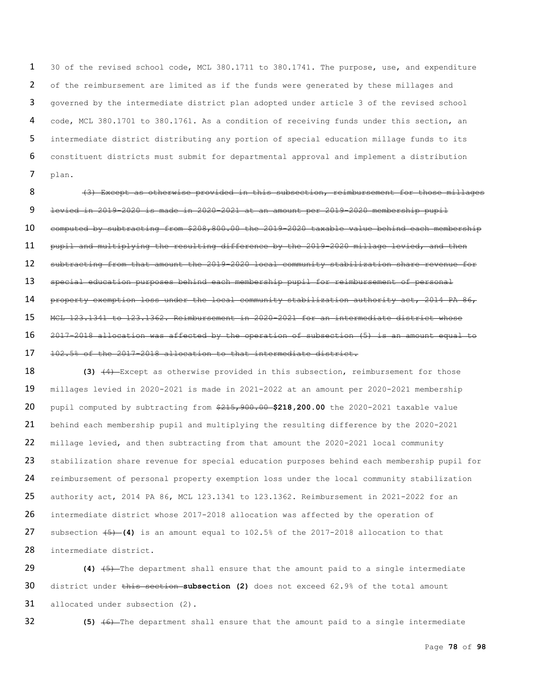30 of the revised school code, MCL 380.1711 to 380.1741. The purpose, use, and expenditure 2 of the reimbursement are limited as if the funds were generated by these millages and governed by the intermediate district plan adopted under article 3 of the revised school code, MCL 380.1701 to 380.1761. As a condition of receiving funds under this section, an intermediate district distributing any portion of special education millage funds to its constituent districts must submit for departmental approval and implement a distribution plan.

8 (3) Except as otherwise provided in this subsection, reimbursement for those millages levied in 2019-2020 is made in 2020-2021 at an amount per 2019-2020 membership pupil computed by subtracting from \$208,800.00 the 2019-2020 taxable value behind each membership pupil and multiplying the resulting difference by the 2019-2020 millage levied, and then subtracting from that amount the 2019-2020 local community stabilization share revenue for special education purposes behind each membership pupil for reimbursement of personal 14 property exemption loss under the local community stabilization authority act, 2014 PA 86, MCL 123.1341 to 123.1362. Reimbursement in 2020-2021 for an intermediate district whose 2017-2018 allocation was affected by the operation of subsection (5) is an amount equal to 102.5% of the 2017-2018 allocation to that intermediate district.

**(3)**  $\left(4\right)$  Except as otherwise provided in this subsection, reimbursement for those millages levied in 2020-2021 is made in 2021-2022 at an amount per 2020-2021 membership pupil computed by subtracting from \$215,900.00 **\$218,200.00** the 2020-2021 taxable value behind each membership pupil and multiplying the resulting difference by the 2020-2021 millage levied, and then subtracting from that amount the 2020-2021 local community 23 stabilization share revenue for special education purposes behind each membership pupil for reimbursement of personal property exemption loss under the local community stabilization authority act, 2014 PA 86, MCL 123.1341 to 123.1362. Reimbursement in 2021-2022 for an intermediate district whose 2017-2018 allocation was affected by the operation of subsection (5) **(4)** is an amount equal to 102.5% of the 2017-2018 allocation to that intermediate district.

 **(4)** (5) The department shall ensure that the amount paid to a single intermediate district under this section **subsection (2)** does not exceed 62.9% of the total amount allocated under subsection (2).

**(5)** (6) The department shall ensure that the amount paid to a single intermediate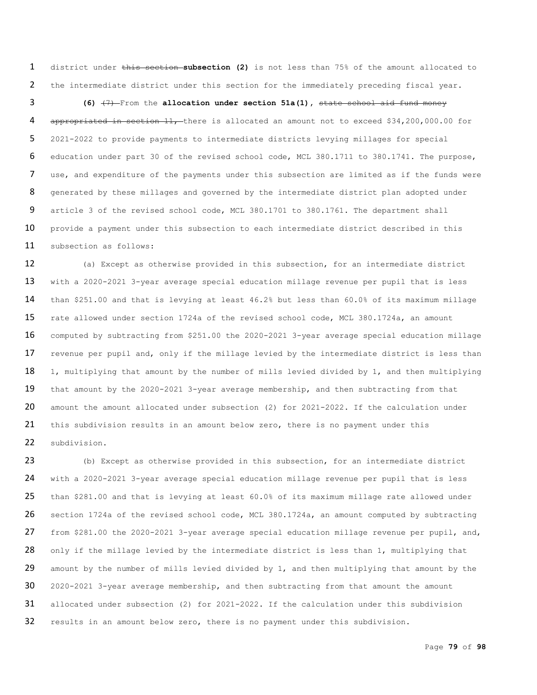district under this section **subsection (2)** is not less than 75% of the amount allocated to the intermediate district under this section for the immediately preceding fiscal year.

**(6)**  $\left(7\right)$ -From the **allocation under section 51a(1)**, state school aid fund money 4 appropriated in section 11, there is allocated an amount not to exceed \$34,200,000.00 for 2021-2022 to provide payments to intermediate districts levying millages for special education under part 30 of the revised school code, MCL 380.1711 to 380.1741. The purpose, 7 use, and expenditure of the payments under this subsection are limited as if the funds were generated by these millages and governed by the intermediate district plan adopted under article 3 of the revised school code, MCL 380.1701 to 380.1761. The department shall 10 provide a payment under this subsection to each intermediate district described in this subsection as follows:

 (a) Except as otherwise provided in this subsection, for an intermediate district with a 2020-2021 3-year average special education millage revenue per pupil that is less than \$251.00 and that is levying at least 46.2% but less than 60.0% of its maximum millage rate allowed under section 1724a of the revised school code, MCL 380.1724a, an amount computed by subtracting from \$251.00 the 2020-2021 3-year average special education millage 17 revenue per pupil and, only if the millage levied by the intermediate district is less than 18 1, multiplying that amount by the number of mills levied divided by 1, and then multiplying that amount by the 2020-2021 3-year average membership, and then subtracting from that 20 amount the amount allocated under subsection (2) for 2021-2022. If the calculation under 21 this subdivision results in an amount below zero, there is no payment under this subdivision.

 (b) Except as otherwise provided in this subsection, for an intermediate district with a 2020-2021 3-year average special education millage revenue per pupil that is less than \$281.00 and that is levying at least 60.0% of its maximum millage rate allowed under 26 section 1724a of the revised school code, MCL 380.1724a, an amount computed by subtracting from \$281.00 the 2020-2021 3-year average special education millage revenue per pupil, and, 28 only if the millage levied by the intermediate district is less than 1, multiplying that 29 amount by the number of mills levied divided by 1, and then multiplying that amount by the 2020-2021 3-year average membership, and then subtracting from that amount the amount allocated under subsection (2) for 2021-2022. If the calculation under this subdivision results in an amount below zero, there is no payment under this subdivision.

Page **79** of **98**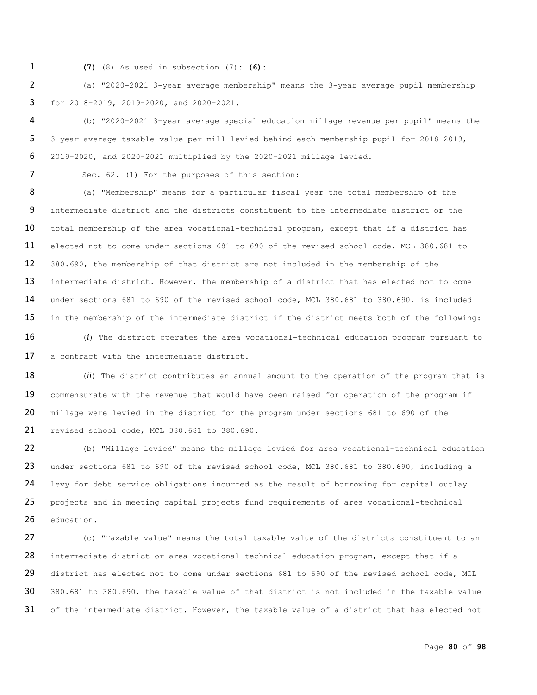1 **(7)**  $\frac{1}{(8)}$  As used in subsection  $\frac{1}{(7)}$ : (6):

 (a) "2020-2021 3-year average membership" means the 3-year average pupil membership for 2018-2019, 2019-2020, and 2020-2021.

 (b) "2020-2021 3-year average special education millage revenue per pupil" means the 3-year average taxable value per mill levied behind each membership pupil for 2018-2019, 2019-2020, and 2020-2021 multiplied by the 2020-2021 millage levied.

7 Sec. 62. (1) For the purposes of this section:

8 (a) "Membership" means for a particular fiscal year the total membership of the intermediate district and the districts constituent to the intermediate district or the 10 total membership of the area vocational-technical program, except that if a district has elected not to come under sections 681 to 690 of the revised school code, MCL 380.681 to 380.690, the membership of that district are not included in the membership of the 13 intermediate district. However, the membership of a district that has elected not to come under sections 681 to 690 of the revised school code, MCL 380.681 to 380.690, is included in the membership of the intermediate district if the district meets both of the following:

 (*i*) The district operates the area vocational-technical education program pursuant to a contract with the intermediate district.

18 (*ii*) The district contributes an annual amount to the operation of the program that is 19 commensurate with the revenue that would have been raised for operation of the program if millage were levied in the district for the program under sections 681 to 690 of the revised school code, MCL 380.681 to 380.690.

 (b) "Millage levied" means the millage levied for area vocational-technical education under sections 681 to 690 of the revised school code, MCL 380.681 to 380.690, including a 24 levy for debt service obligations incurred as the result of borrowing for capital outlay projects and in meeting capital projects fund requirements of area vocational-technical education.

 (c) "Taxable value" means the total taxable value of the districts constituent to an 28 intermediate district or area vocational-technical education program, except that if a 29 district has elected not to come under sections 681 to 690 of the revised school code, MCL 380.681 to 380.690, the taxable value of that district is not included in the taxable value 31 of the intermediate district. However, the taxable value of a district that has elected not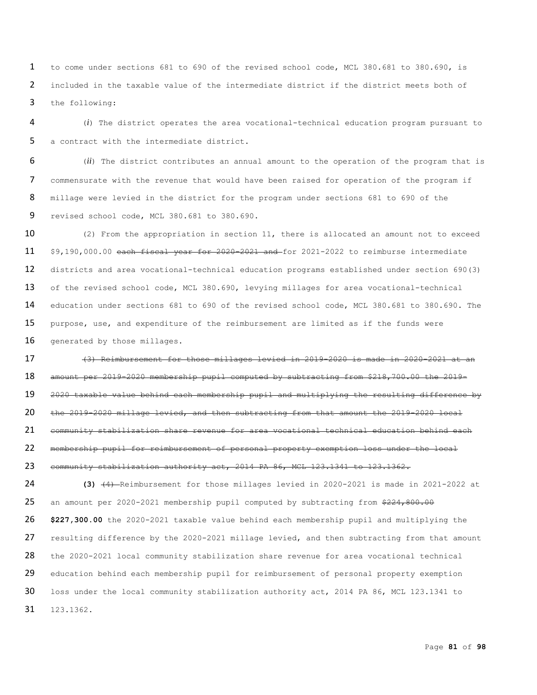to come under sections 681 to 690 of the revised school code, MCL 380.681 to 380.690, is included in the taxable value of the intermediate district if the district meets both of the following:

 (*i*) The district operates the area vocational-technical education program pursuant to a contract with the intermediate district.

 (*ii*) The district contributes an annual amount to the operation of the program that is commensurate with the revenue that would have been raised for operation of the program if millage were levied in the district for the program under sections 681 to 690 of the revised school code, MCL 380.681 to 380.690.

10 (2) From the appropriation in section 11, there is allocated an amount not to exceed \$9,190,000.00 each fiscal year for 2020-2021 and for 2021-2022 to reimburse intermediate districts and area vocational-technical education programs established under section 690(3) of the revised school code, MCL 380.690, levying millages for area vocational-technical education under sections 681 to 690 of the revised school code, MCL 380.681 to 380.690. The 15 purpose, use, and expenditure of the reimbursement are limited as if the funds were 16 generated by those millages.

 (3) Reimbursement for those millages levied in 2019-2020 is made in 2020-2021 at an amount per 2019-2020 membership pupil computed by subtracting from \$218,700.00 the 2019- 2020 taxable value behind each membership pupil and multiplying the resulting difference by the 2019-2020 millage levied, and then subtracting from that amount the 2019-2020 local community stabilization share revenue for area vocational technical education behind each membership pupil for reimbursement of personal property exemption loss under the local 23 community stabilization authority act, 2014 PA 86, MCL 123.1341 to 123.1362.

 **(3)** (4) Reimbursement for those millages levied in 2020-2021 is made in 2021-2022 at 25 an amount per 2020-2021 membership pupil computed by subtracting from \$224,800.00 **\$227,300.00** the 2020-2021 taxable value behind each membership pupil and multiplying the 27 resulting difference by the 2020-2021 millage levied, and then subtracting from that amount the 2020-2021 local community stabilization share revenue for area vocational technical education behind each membership pupil for reimbursement of personal property exemption loss under the local community stabilization authority act, 2014 PA 86, MCL 123.1341 to 123.1362.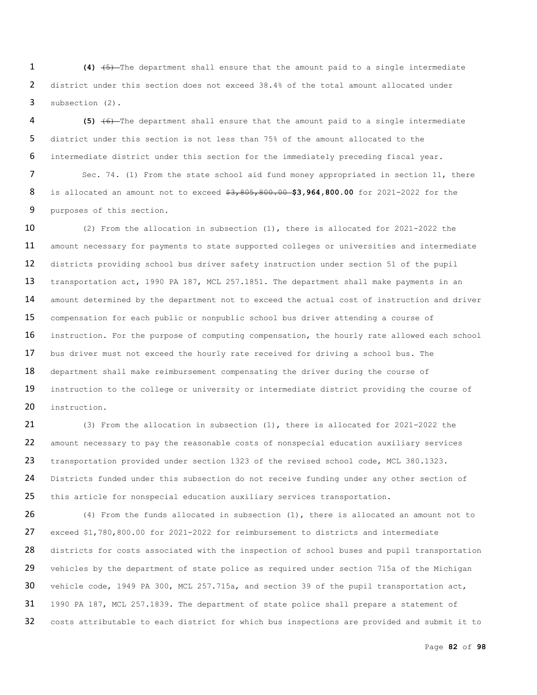**(4)** (5) The department shall ensure that the amount paid to a single intermediate district under this section does not exceed 38.4% of the total amount allocated under subsection (2).

 **(5)** (6) The department shall ensure that the amount paid to a single intermediate district under this section is not less than 75% of the amount allocated to the intermediate district under this section for the immediately preceding fiscal year.

7 Sec. 74. (1) From the state school aid fund money appropriated in section 11, there is allocated an amount not to exceed \$3,805,800.00 **\$3,964,800.00** for 2021-2022 for the purposes of this section.

 (2) From the allocation in subsection (1), there is allocated for 2021-2022 the amount necessary for payments to state supported colleges or universities and intermediate districts providing school bus driver safety instruction under section 51 of the pupil 13 transportation act, 1990 PA 187, MCL 257.1851. The department shall make payments in an 14 amount determined by the department not to exceed the actual cost of instruction and driver compensation for each public or nonpublic school bus driver attending a course of 16 instruction. For the purpose of computing compensation, the hourly rate allowed each school bus driver must not exceed the hourly rate received for driving a school bus. The 18 department shall make reimbursement compensating the driver during the course of 19 instruction to the college or university or intermediate district providing the course of instruction.

 (3) From the allocation in subsection (1), there is allocated for 2021-2022 the amount necessary to pay the reasonable costs of nonspecial education auxiliary services transportation provided under section 1323 of the revised school code, MCL 380.1323. 24 Districts funded under this subsection do not receive funding under any other section of 25 this article for nonspecial education auxiliary services transportation.

 (4) From the funds allocated in subsection (1), there is allocated an amount not to exceed \$1,780,800.00 for 2021-2022 for reimbursement to districts and intermediate 28 districts for costs associated with the inspection of school buses and pupil transportation 29 vehicles by the department of state police as required under section 715a of the Michigan 30 vehicle code, 1949 PA 300, MCL 257.715a, and section 39 of the pupil transportation act, 1990 PA 187, MCL 257.1839. The department of state police shall prepare a statement of 32 costs attributable to each district for which bus inspections are provided and submit it to

Page **82** of **98**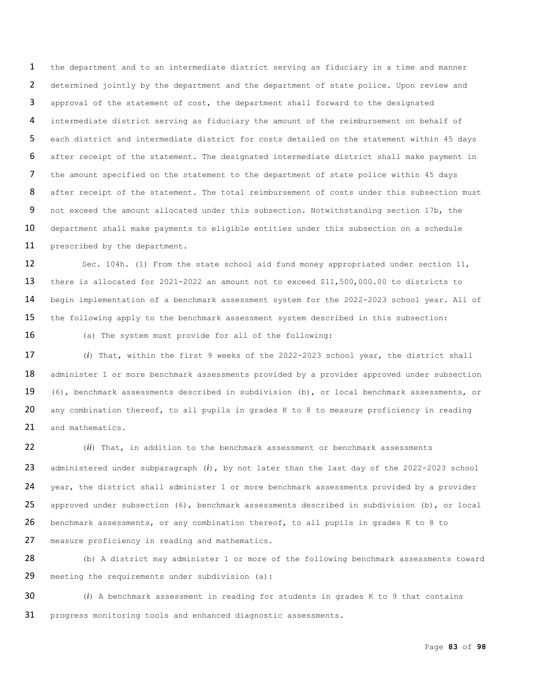the department and to an intermediate district serving as fiduciary in a time and manner determined jointly by the department and the department of state police. Upon review and approval of the statement of cost, the department shall forward to the designated intermediate district serving as fiduciary the amount of the reimbursement on behalf of each district and intermediate district for costs detailed on the statement within 45 days after receipt of the statement. The designated intermediate district shall make payment in the amount specified on the statement to the department of state police within 45 days 8 after receipt of the statement. The total reimbursement of costs under this subsection must not exceed the amount allocated under this subsection. Notwithstanding section 17b, the 10 department shall make payments to eligible entities under this subsection on a schedule prescribed by the department.

 Sec. 104h. (1) From the state school aid fund money appropriated under section 11, there is allocated for 2021-2022 an amount not to exceed \$11,500,000.00 to districts to begin implementation of a benchmark assessment system for the 2022-2023 school year. All of the following apply to the benchmark assessment system described in this subsection:

16 (a) The system must provide for all of the following:

 (*i*) That, within the first 9 weeks of the 2022-2023 school year, the district shall 18 administer 1 or more benchmark assessments provided by a provider approved under subsection (6), benchmark assessments described in subdivision (b), or local benchmark assessments, or 20 any combination thereof, to all pupils in grades K to 8 to measure proficiency in reading 21 and mathematics.

 (*ii*) That, in addition to the benchmark assessment or benchmark assessments administered under subparagraph (*i*), by not later than the last day of the 2022-2023 school 24 year, the district shall administer 1 or more benchmark assessments provided by a provider approved under subsection (6), benchmark assessments described in subdivision (b), or local benchmark assessments, or any combination thereof, to all pupils in grades K to 8 to measure proficiency in reading and mathematics.

28 (b) A district may administer 1 or more of the following benchmark assessments toward 29 meeting the requirements under subdivision (a):

 (*i*) A benchmark assessment in reading for students in grades K to 9 that contains progress monitoring tools and enhanced diagnostic assessments.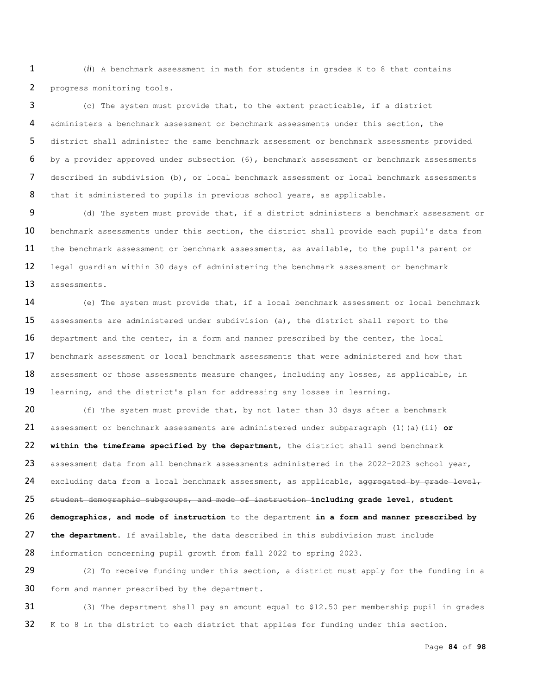(*ii*) A benchmark assessment in math for students in grades K to 8 that contains progress monitoring tools.

 (c) The system must provide that, to the extent practicable, if a district administers a benchmark assessment or benchmark assessments under this section, the district shall administer the same benchmark assessment or benchmark assessments provided by a provider approved under subsection (6), benchmark assessment or benchmark assessments described in subdivision (b), or local benchmark assessment or local benchmark assessments 8 that it administered to pupils in previous school years, as applicable.

9 (d) The system must provide that, if a district administers a benchmark assessment or 10 benchmark assessments under this section, the district shall provide each pupil's data from 11 the benchmark assessment or benchmark assessments, as available, to the pupil's parent or legal guardian within 30 days of administering the benchmark assessment or benchmark assessments.

 (e) The system must provide that, if a local benchmark assessment or local benchmark assessments are administered under subdivision (a), the district shall report to the 16 department and the center, in a form and manner prescribed by the center, the local benchmark assessment or local benchmark assessments that were administered and how that 18 assessment or those assessments measure changes, including any losses, as applicable, in learning, and the district's plan for addressing any losses in learning.

20 (f) The system must provide that, by not later than 30 days after a benchmark assessment or benchmark assessments are administered under subparagraph (1)(a)(ii) **or within the timeframe specified by the department**, the district shall send benchmark 23 assessment data from all benchmark assessments administered in the 2022-2023 school year, 24 excluding data from a local benchmark assessment, as applicable, aggregated by grade level, student demographic subgroups, and mode of instruction **including grade level, student demographics, and mode of instruction** to the department **in a form and manner prescribed by the department**. If available, the data described in this subdivision must include information concerning pupil growth from fall 2022 to spring 2023.

 (2) To receive funding under this section, a district must apply for the funding in a 30 form and manner prescribed by the department.

 (3) The department shall pay an amount equal to \$12.50 per membership pupil in grades K to 8 in the district to each district that applies for funding under this section.

Page **84** of **98**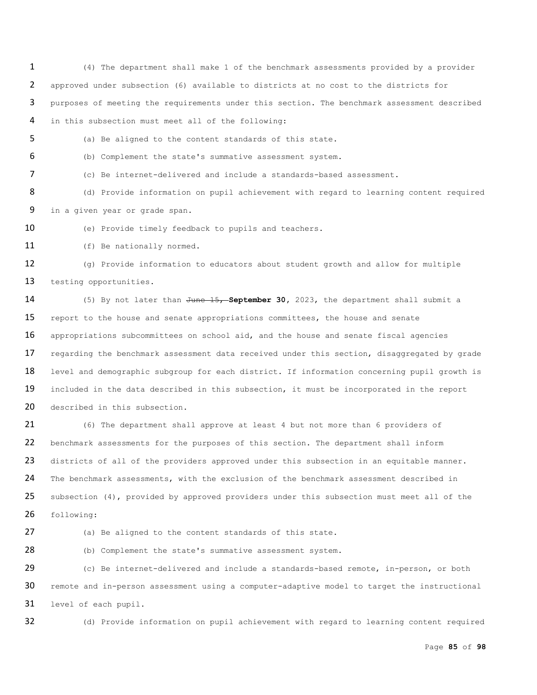(4) The department shall make 1 of the benchmark assessments provided by a provider approved under subsection (6) available to districts at no cost to the districts for purposes of meeting the requirements under this section. The benchmark assessment described in this subsection must meet all of the following:

(a) Be aligned to the content standards of this state.

(b) Complement the state's summative assessment system.

(c) Be internet-delivered and include a standards-based assessment.

8 (d) Provide information on pupil achievement with regard to learning content required in a given year or grade span.

(e) Provide timely feedback to pupils and teachers.

11 (f) Be nationally normed.

 (g) Provide information to educators about student growth and allow for multiple 13 testing opportunities.

 (5) By not later than June 15, **September 30,** 2023, the department shall submit a 15 report to the house and senate appropriations committees, the house and senate 16 appropriations subcommittees on school aid, and the house and senate fiscal agencies 17 regarding the benchmark assessment data received under this section, disaggregated by grade 18 level and demographic subgroup for each district. If information concerning pupil growth is 19 included in the data described in this subsection, it must be incorporated in the report 20 described in this subsection.

 (6) The department shall approve at least 4 but not more than 6 providers of benchmark assessments for the purposes of this section. The department shall inform 23 districts of all of the providers approved under this subsection in an equitable manner. The benchmark assessments, with the exclusion of the benchmark assessment described in 25 subsection (4), provided by approved providers under this subsection must meet all of the following:

(a) Be aligned to the content standards of this state.

(b) Complement the state's summative assessment system.

 (c) Be internet-delivered and include a standards-based remote, in-person, or both 30 remote and in-person assessment using a computer-adaptive model to target the instructional level of each pupil.

(d) Provide information on pupil achievement with regard to learning content required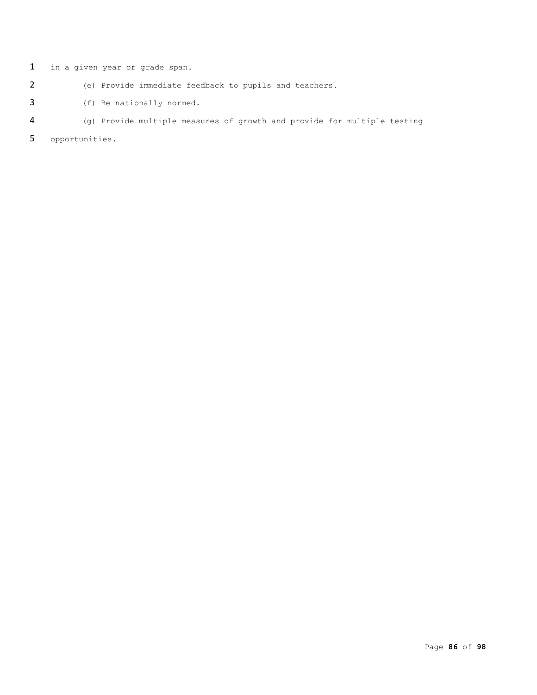in a given year or grade span.

- (e) Provide immediate feedback to pupils and teachers.
- (f) Be nationally normed.
- (g) Provide multiple measures of growth and provide for multiple testing

opportunities.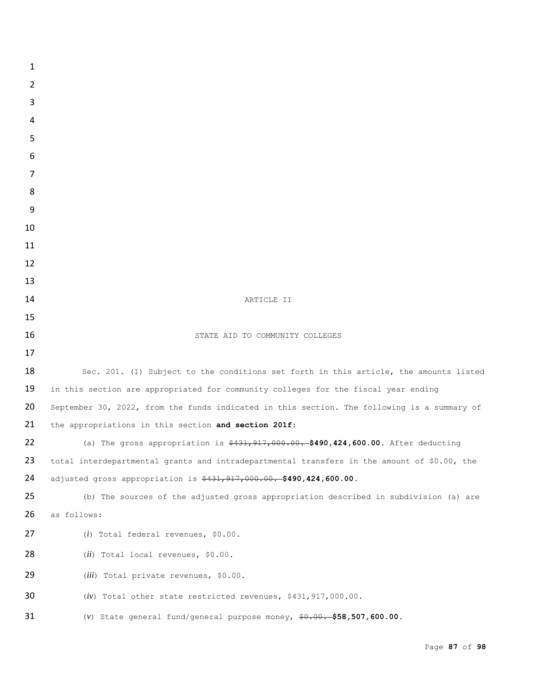| $\mathbf{1}$   |                                                                                             |
|----------------|---------------------------------------------------------------------------------------------|
| $\overline{2}$ |                                                                                             |
| 3              |                                                                                             |
| 4              |                                                                                             |
| 5              |                                                                                             |
| 6              |                                                                                             |
| 7              |                                                                                             |
| 8              |                                                                                             |
| 9              |                                                                                             |
| 10             |                                                                                             |
| 11             |                                                                                             |
| 12             |                                                                                             |
| 13             |                                                                                             |
| 14<br>15       | ARTICLE II                                                                                  |
| 16             | STATE AID TO COMMUNITY COLLEGES                                                             |
| 17             |                                                                                             |
| 18             | Sec. 201. (1) Subject to the conditions set forth in this article, the amounts listed       |
| 19             | in this section are appropriated for community colleges for the fiscal year ending          |
| 20             | September 30, 2022, from the funds indicated in this section. The following is a summary of |
| 21             | the appropriations in this section and section 201f:                                        |
| 22             | (a) The gross appropriation is \$431,917,000.00. \$490,424,600.00. After deducting          |
| 23             | total interdepartmental grants and intradepartmental transfers in the amount of \$0.00, the |
| 24             | adjusted gross appropriation is \$431,917,000.00. \$490,424,600.00.                         |
| 25             | (b) The sources of the adjusted gross appropriation described in subdivision (a) are        |
| 26             | as follows:                                                                                 |
| 27             | $(i)$ Total federal revenues, \$0.00.                                                       |
| 28             | $(ii)$ Total local revenues, \$0.00.                                                        |
| 29             | (iii) Total private revenues, \$0.00.                                                       |
| 30             | $(iv)$ Total other state restricted revenues, \$431,917,000.00.                             |
| 31             | (v) State general fund/general purpose money, $9.00.055$ , 507,600.00.                      |
|                |                                                                                             |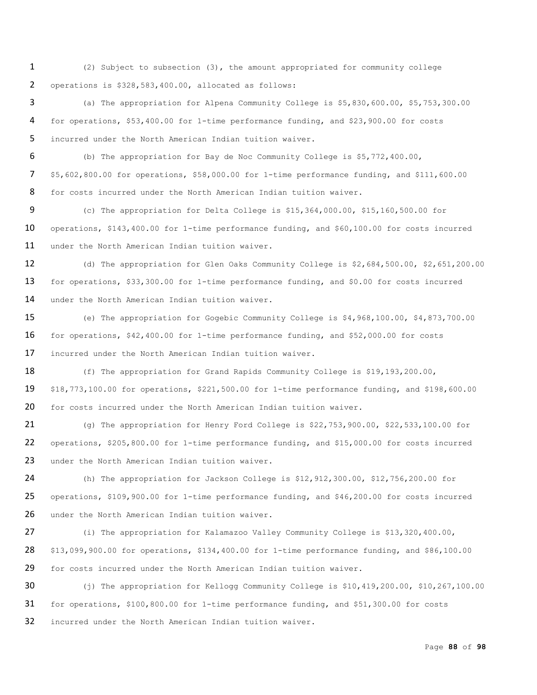(2) Subject to subsection (3), the amount appropriated for community college operations is \$328,583,400.00, allocated as follows:

 (a) The appropriation for Alpena Community College is \$5,830,600.00, \$5,753,300.00 for operations, \$53,400.00 for 1-time performance funding, and \$23,900.00 for costs incurred under the North American Indian tuition waiver.

 (b) The appropriation for Bay de Noc Community College is \$5,772,400.00, \$5,602,800.00 for operations, \$58,000.00 for 1-time performance funding, and \$111,600.00 for costs incurred under the North American Indian tuition waiver.

 (c) The appropriation for Delta College is \$15,364,000.00, \$15,160,500.00 for operations, \$143,400.00 for 1-time performance funding, and \$60,100.00 for costs incurred 11 under the North American Indian tuition waiver.

 (d) The appropriation for Glen Oaks Community College is \$2,684,500.00, \$2,651,200.00 for operations, \$33,300.00 for 1-time performance funding, and \$0.00 for costs incurred 14 under the North American Indian tuition waiver.

 (e) The appropriation for Gogebic Community College is \$4,968,100.00, \$4,873,700.00 for operations, \$42,400.00 for 1-time performance funding, and \$52,000.00 for costs incurred under the North American Indian tuition waiver.

18 (f) The appropriation for Grand Rapids Community College is \$19,193,200.00, \$18,773,100.00 for operations, \$221,500.00 for 1-time performance funding, and \$198,600.00 for costs incurred under the North American Indian tuition waiver.

 (g) The appropriation for Henry Ford College is \$22,753,900.00, \$22,533,100.00 for operations, \$205,800.00 for 1-time performance funding, and \$15,000.00 for costs incurred 23 under the North American Indian tuition waiver.

 (h) The appropriation for Jackson College is \$12,912,300.00, \$12,756,200.00 for operations, \$109,900.00 for 1-time performance funding, and \$46,200.00 for costs incurred 26 under the North American Indian tuition waiver.

 (i) The appropriation for Kalamazoo Valley Community College is \$13,320,400.00, \$13,099,900.00 for operations, \$134,400.00 for 1-time performance funding, and \$86,100.00 for costs incurred under the North American Indian tuition waiver.

 (j) The appropriation for Kellogg Community College is \$10,419,200.00, \$10,267,100.00 for operations, \$100,800.00 for 1-time performance funding, and \$51,300.00 for costs incurred under the North American Indian tuition waiver.

Page **88** of **98**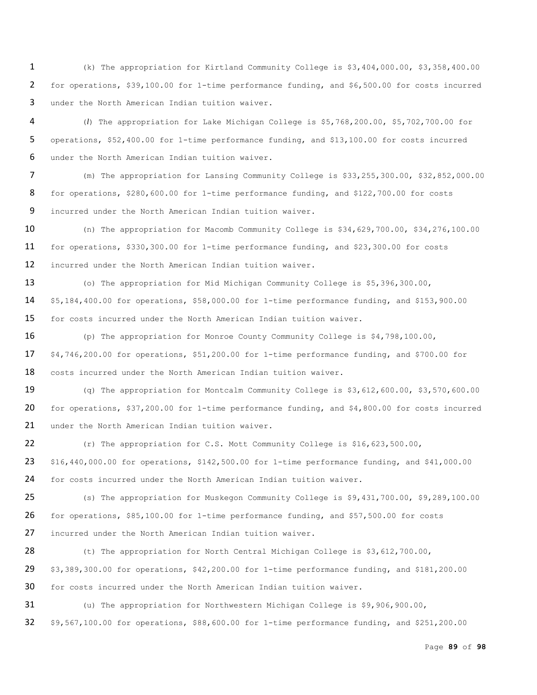(k) The appropriation for Kirtland Community College is \$3,404,000.00, \$3,358,400.00 for operations, \$39,100.00 for 1-time performance funding, and \$6,500.00 for costs incurred under the North American Indian tuition waiver.

 (*l*) The appropriation for Lake Michigan College is \$5,768,200.00, \$5,702,700.00 for operations, \$52,400.00 for 1-time performance funding, and \$13,100.00 for costs incurred under the North American Indian tuition waiver.

 (m) The appropriation for Lansing Community College is \$33,255,300.00, \$32,852,000.00 for operations, \$280,600.00 for 1-time performance funding, and \$122,700.00 for costs incurred under the North American Indian tuition waiver.

 (n) The appropriation for Macomb Community College is \$34,629,700.00, \$34,276,100.00 for operations, \$330,300.00 for 1-time performance funding, and \$23,300.00 for costs incurred under the North American Indian tuition waiver.

 (o) The appropriation for Mid Michigan Community College is \$5,396,300.00, \$5,184,400.00 for operations, \$58,000.00 for 1-time performance funding, and \$153,900.00 for costs incurred under the North American Indian tuition waiver.

 (p) The appropriation for Monroe County Community College is \$4,798,100.00, \$4,746,200.00 for operations, \$51,200.00 for 1-time performance funding, and \$700.00 for costs incurred under the North American Indian tuition waiver.

 (q) The appropriation for Montcalm Community College is \$3,612,600.00, \$3,570,600.00 for operations, \$37,200.00 for 1-time performance funding, and \$4,800.00 for costs incurred 21 under the North American Indian tuition waiver.

 (r) The appropriation for C.S. Mott Community College is \$16,623,500.00, \$16,440,000.00 for operations, \$142,500.00 for 1-time performance funding, and \$41,000.00 for costs incurred under the North American Indian tuition waiver.

 (s) The appropriation for Muskegon Community College is \$9,431,700.00, \$9,289,100.00 for operations, \$85,100.00 for 1-time performance funding, and \$57,500.00 for costs incurred under the North American Indian tuition waiver.

28 (t) The appropriation for North Central Michigan College is \$3,612,700.00, \$3,389,300.00 for operations, \$42,200.00 for 1-time performance funding, and \$181,200.00 for costs incurred under the North American Indian tuition waiver.

 (u) The appropriation for Northwestern Michigan College is \$9,906,900.00, \$9,567,100.00 for operations, \$88,600.00 for 1-time performance funding, and \$251,200.00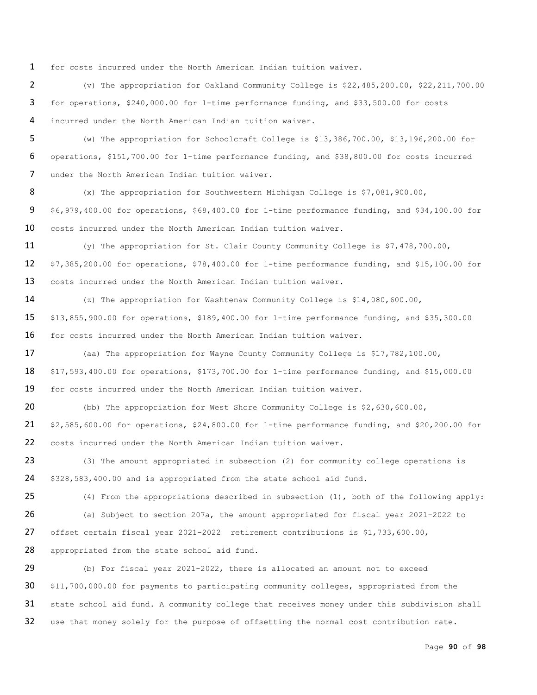for costs incurred under the North American Indian tuition waiver.

 (v) The appropriation for Oakland Community College is \$22,485,200.00, \$22,211,700.00 for operations, \$240,000.00 for 1-time performance funding, and \$33,500.00 for costs incurred under the North American Indian tuition waiver.

 (w) The appropriation for Schoolcraft College is \$13,386,700.00, \$13,196,200.00 for operations, \$151,700.00 for 1-time performance funding, and \$38,800.00 for costs incurred under the North American Indian tuition waiver.

 (x) The appropriation for Southwestern Michigan College is \$7,081,900.00, \$6,979,400.00 for operations, \$68,400.00 for 1-time performance funding, and \$34,100.00 for costs incurred under the North American Indian tuition waiver.

 (y) The appropriation for St. Clair County Community College is \$7,478,700.00, \$7,385,200.00 for operations, \$78,400.00 for 1-time performance funding, and \$15,100.00 for costs incurred under the North American Indian tuition waiver.

 (z) The appropriation for Washtenaw Community College is \$14,080,600.00, \$13,855,900.00 for operations, \$189,400.00 for 1-time performance funding, and \$35,300.00 16 for costs incurred under the North American Indian tuition waiver.

17 (aa) The appropriation for Wayne County Community College is \$17,782,100.00, \$17,593,400.00 for operations, \$173,700.00 for 1-time performance funding, and \$15,000.00 for costs incurred under the North American Indian tuition waiver.

 (bb) The appropriation for West Shore Community College is \$2,630,600.00, \$2,585,600.00 for operations, \$24,800.00 for 1-time performance funding, and \$20,200.00 for costs incurred under the North American Indian tuition waiver.

23 (3) The amount appropriated in subsection (2) for community college operations is \$328,583,400.00 and is appropriated from the state school aid fund.

 (4) From the appropriations described in subsection (1), both of the following apply: (a) Subject to section 207a, the amount appropriated for fiscal year 2021-2022 to offset certain fiscal year 2021-2022 retirement contributions is \$1,733,600.00, 28 appropriated from the state school aid fund.

 (b) For fiscal year 2021-2022, there is allocated an amount not to exceed \$11,700,000.00 for payments to participating community colleges, appropriated from the 31 state school aid fund. A community college that receives money under this subdivision shall use that money solely for the purpose of offsetting the normal cost contribution rate.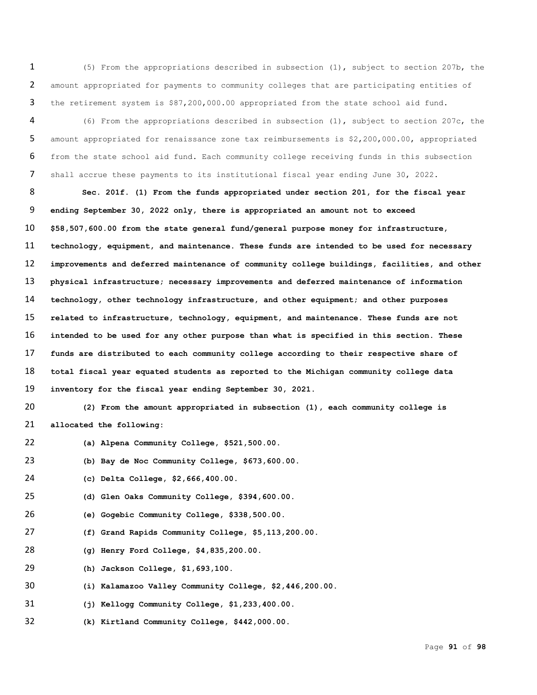(5) From the appropriations described in subsection (1), subject to section 207b, the amount appropriated for payments to community colleges that are participating entities of the retirement system is \$87,200,000.00 appropriated from the state school aid fund.

 (6) From the appropriations described in subsection (1), subject to section 207c, the amount appropriated for renaissance zone tax reimbursements is \$2,200,000.00, appropriated from the state school aid fund. Each community college receiving funds in this subsection shall accrue these payments to its institutional fiscal year ending June 30, 2022.

 **Sec. 201f. (1) From the funds appropriated under section 201, for the fiscal year ending September 30, 2022 only, there is appropriated an amount not to exceed \$58,507,600.00 from the state general fund/general purpose money for infrastructure, technology, equipment, and maintenance. These funds are intended to be used for necessary improvements and deferred maintenance of community college buildings, facilities, and other physical infrastructure; necessary improvements and deferred maintenance of information technology, other technology infrastructure, and other equipment; and other purposes related to infrastructure, technology, equipment, and maintenance. These funds are not intended to be used for any other purpose than what is specified in this section. These funds are distributed to each community college according to their respective share of total fiscal year equated students as reported to the Michigan community college data inventory for the fiscal year ending September 30, 2021.**

 **(2) From the amount appropriated in subsection (1), each community college is allocated the following:**

- **(a) Alpena Community College, \$521,500.00.**
- **(b) Bay de Noc Community College, \$673,600.00.**

**(c) Delta College, \$2,666,400.00.**

**(d) Glen Oaks Community College, \$394,600.00.**

- **(e) Gogebic Community College, \$338,500.00.**
- **(f) Grand Rapids Community College, \$5,113,200.00.**
- **(g) Henry Ford College, \$4,835,200.00.**

**(h) Jackson College, \$1,693,100.**

- **(i) Kalamazoo Valley Community College, \$2,446,200.00.**
- **(j) Kellogg Community College, \$1,233,400.00.**
- **(k) Kirtland Community College, \$442,000.00.**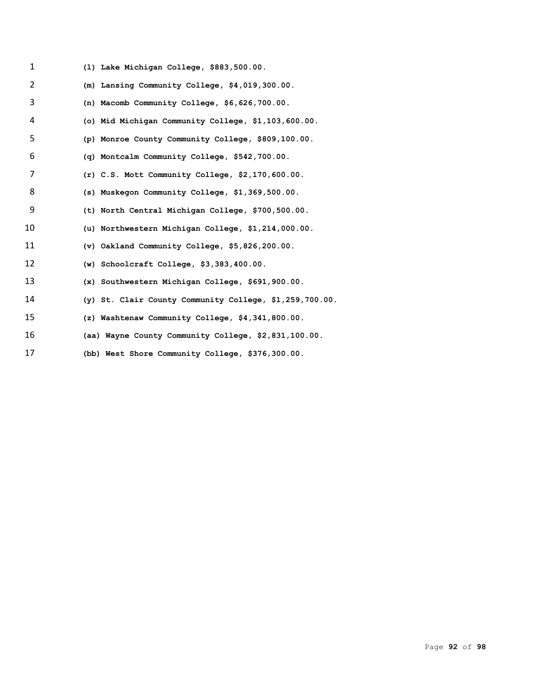| $\mathbf{1}$ | (1) Lake Michigan College, \$883,500.00.                  |
|--------------|-----------------------------------------------------------|
| 2            | (m) Lansing Community College, $$4,019,300.00$ .          |
| 3            | (n) Macomb Community College, $$6,626,700.00.$            |
| 4            | (o) Mid Michigan Community College, \$1,103,600.00.       |
| 5            | (p) Monroe County Community College, \$809,100.00.        |
| 6            | (q) Montcalm Community College, \$542,700.00.             |
| 7            | $(r)$ C.S. Mott Community College, \$2,170,600.00.        |
| 8            | (s) Muskegon Community College, \$1,369,500.00.           |
| 9            | (t) North Central Michigan College, \$700,500.00.         |
| 10           | (u) Northwestern Michigan College, \$1,214,000.00.        |
| 11           | $(v)$ Oakland Community College, \$5,826,200.00.          |
| 12           | (w) Schoolcraft College, $$3,383,400.00$ .                |
| 13           | (x) Southwestern Michigan College, \$691,900.00.          |
| 14           | (y) St. Clair County Community College, $$1,259,700.00$ . |
| 15           | (z) Washtenaw Community College, \$4,341,800.00.          |
| 16           | (aa) Wayne County Community College, \$2,831,100.00.      |
| 17           | (bb) West Shore Community College, \$376,300.00.          |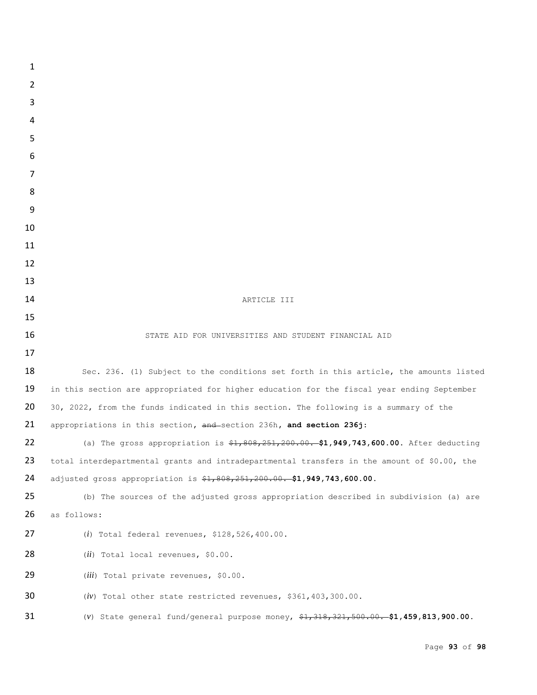| 1              |                                                                                             |
|----------------|---------------------------------------------------------------------------------------------|
| $\overline{2}$ |                                                                                             |
| 3              |                                                                                             |
| 4              |                                                                                             |
| 5              |                                                                                             |
| 6              |                                                                                             |
| 7              |                                                                                             |
| 8              |                                                                                             |
| 9              |                                                                                             |
| 10             |                                                                                             |
| 11             |                                                                                             |
| 12             |                                                                                             |
| 13             |                                                                                             |
| 14             | ARTICLE III                                                                                 |
| 15             |                                                                                             |
| 16<br>17       | STATE AID FOR UNIVERSITIES AND STUDENT FINANCIAL AID                                        |
| 18             | Sec. 236. (1) Subject to the conditions set forth in this article, the amounts listed       |
| 19             | in this section are appropriated for higher education for the fiscal year ending September  |
| 20             | 30, 2022, from the funds indicated in this section. The following is a summary of the       |
| 21             | appropriations in this section, and section 236h, and section 236j:                         |
| 22             | (a) The gross appropriation is $$1,808,251,200.00.$ \$1,949,743,600.00. After deducting     |
| 23             | total interdepartmental grants and intradepartmental transfers in the amount of \$0.00, the |
| 24             | adjusted gross appropriation is \$1,808,251,200.00. \$1,949,743,600.00.                     |
| 25             | (b) The sources of the adjusted gross appropriation described in subdivision (a) are        |
| 26             | as follows:                                                                                 |
| 27             | (i) Total federal revenues, $$128,526,400.00.$                                              |
| 28             | $(ii)$ Total local revenues, \$0.00.                                                        |
| 29             | (iii) Total private revenues, \$0.00.                                                       |
| 30             | $(iv)$ Total other state restricted revenues, \$361,403,300.00.                             |
| 31             | (v) State general fund/general purpose money, $$1,318,321,500.00$ . \$1,459,813,900.00.     |
|                |                                                                                             |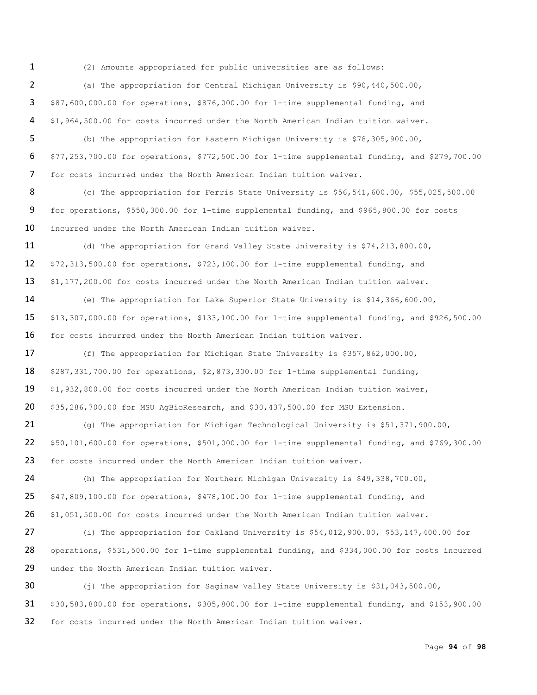(2) Amounts appropriated for public universities are as follows:

 (a) The appropriation for Central Michigan University is \$90,440,500.00, \$87,600,000.00 for operations, \$876,000.00 for 1-time supplemental funding, and \$1,964,500.00 for costs incurred under the North American Indian tuition waiver.

 (b) The appropriation for Eastern Michigan University is \$78,305,900.00, \$77,253,700.00 for operations, \$772,500.00 for 1-time supplemental funding, and \$279,700.00 for costs incurred under the North American Indian tuition waiver.

 (c) The appropriation for Ferris State University is \$56,541,600.00, \$55,025,500.00 for operations, \$550,300.00 for 1-time supplemental funding, and \$965,800.00 for costs incurred under the North American Indian tuition waiver.

 (d) The appropriation for Grand Valley State University is \$74,213,800.00, \$72,313,500.00 for operations, \$723,100.00 for 1-time supplemental funding, and \$1,177,200.00 for costs incurred under the North American Indian tuition waiver.

 (e) The appropriation for Lake Superior State University is \$14,366,600.00, \$13,307,000.00 for operations, \$133,100.00 for 1-time supplemental funding, and \$926,500.00 for costs incurred under the North American Indian tuition waiver.

17 (f) The appropriation for Michigan State University is \$357,862,000.00, \$287,331,700.00 for operations, \$2,873,300.00 for 1-time supplemental funding, \$1,932,800.00 for costs incurred under the North American Indian tuition waiver, \$35,286,700.00 for MSU AgBioResearch, and \$30,437,500.00 for MSU Extension.

 (g) The appropriation for Michigan Technological University is \$51,371,900.00, \$50,101,600.00 for operations, \$501,000.00 for 1-time supplemental funding, and \$769,300.00 for costs incurred under the North American Indian tuition waiver.

 (h) The appropriation for Northern Michigan University is \$49,338,700.00, \$47,809,100.00 for operations, \$478,100.00 for 1-time supplemental funding, and \$1,051,500.00 for costs incurred under the North American Indian tuition waiver.

 (i) The appropriation for Oakland University is \$54,012,900.00, \$53,147,400.00 for operations, \$531,500.00 for 1-time supplemental funding, and \$334,000.00 for costs incurred under the North American Indian tuition waiver.

30 (j) The appropriation for Saginaw Valley State University is \$31,043,500.00, \$30,583,800.00 for operations, \$305,800.00 for 1-time supplemental funding, and \$153,900.00 for costs incurred under the North American Indian tuition waiver.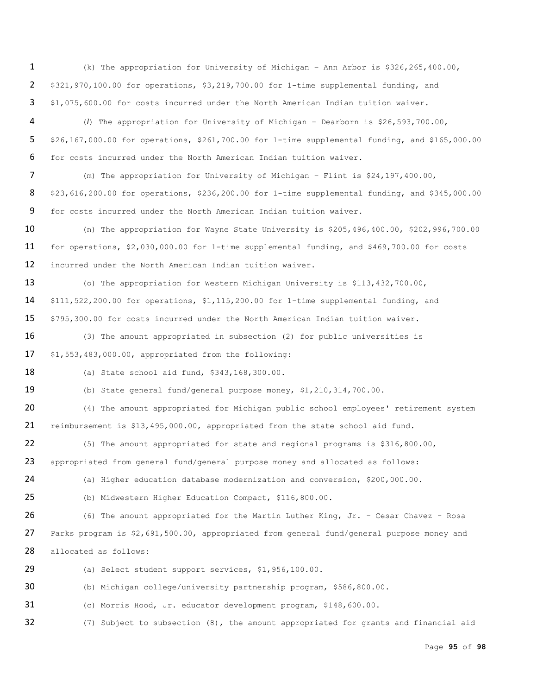(k) The appropriation for University of Michigan – Ann Arbor is \$326,265,400.00, \$321,970,100.00 for operations, \$3,219,700.00 for 1-time supplemental funding, and \$1,075,600.00 for costs incurred under the North American Indian tuition waiver.

 (*l*) The appropriation for University of Michigan – Dearborn is \$26,593,700.00, \$26,167,000.00 for operations, \$261,700.00 for 1-time supplemental funding, and \$165,000.00 for costs incurred under the North American Indian tuition waiver.

 (m) The appropriation for University of Michigan – Flint is \$24,197,400.00, \$23,616,200.00 for operations, \$236,200.00 for 1-time supplemental funding, and \$345,000.00 for costs incurred under the North American Indian tuition waiver.

 (n) The appropriation for Wayne State University is \$205,496,400.00, \$202,996,700.00 for operations, \$2,030,000.00 for 1-time supplemental funding, and \$469,700.00 for costs incurred under the North American Indian tuition waiver.

13 (o) The appropriation for Western Michigan University is \$113,432,700.00, \$111,522,200.00 for operations, \$1,115,200.00 for 1-time supplemental funding, and \$795,300.00 for costs incurred under the North American Indian tuition waiver.

 (3) The amount appropriated in subsection (2) for public universities is \$1,553,483,000.00, appropriated from the following:

(a) State school aid fund, \$343,168,300.00.

(b) State general fund/general purpose money, \$1,210,314,700.00.

20 (4) The amount appropriated for Michigan public school employees' retirement system reimbursement is \$13,495,000.00, appropriated from the state school aid fund.

 (5) The amount appropriated for state and regional programs is \$316,800.00, appropriated from general fund/general purpose money and allocated as follows:

(a) Higher education database modernization and conversion, \$200,000.00.

(b) Midwestern Higher Education Compact, \$116,800.00.

 (6) The amount appropriated for the Martin Luther King, Jr. - Cesar Chavez - Rosa 27 Parks program is \$2,691,500.00, appropriated from general fund/general purpose money and allocated as follows:

(a) Select student support services, \$1,956,100.00.

(b) Michigan college/university partnership program, \$586,800.00.

(c) Morris Hood, Jr. educator development program, \$148,600.00.

(7) Subject to subsection (8), the amount appropriated for grants and financial aid

Page **95** of **98**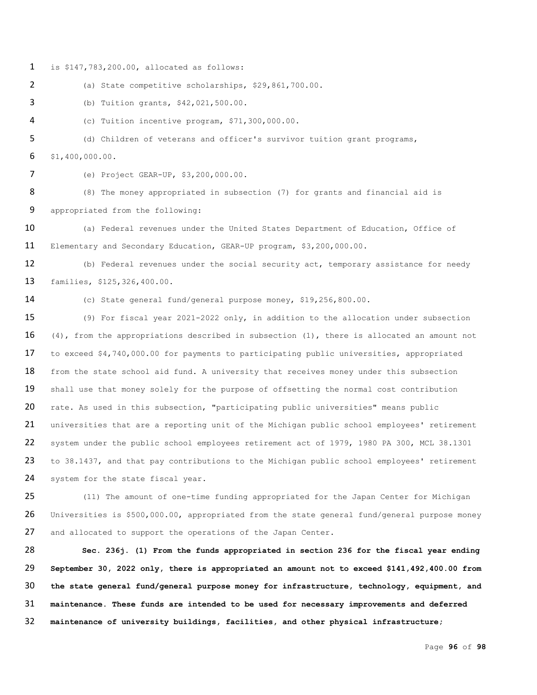is \$147,783,200.00, allocated as follows:

(a) State competitive scholarships, \$29,861,700.00.

(b) Tuition grants, \$42,021,500.00.

(c) Tuition incentive program, \$71,300,000.00.

 (d) Children of veterans and officer's survivor tuition grant programs, \$1,400,000.00.

(e) Project GEAR-UP, \$3,200,000.00.

8 (8) The money appropriated in subsection (7) for grants and financial aid is appropriated from the following:

10 (a) Federal revenues under the United States Department of Education, Office of Elementary and Secondary Education, GEAR-UP program, \$3,200,000.00.

 (b) Federal revenues under the social security act, temporary assistance for needy families, \$125,326,400.00.

(c) State general fund/general purpose money, \$19,256,800.00.

 (9) For fiscal year 2021-2022 only, in addition to the allocation under subsection 16 (4), from the appropriations described in subsection (1), there is allocated an amount not to exceed \$4,740,000.00 for payments to participating public universities, appropriated 18 from the state school aid fund. A university that receives money under this subsection 19 shall use that money solely for the purpose of offsetting the normal cost contribution rate. As used in this subsection, "participating public universities" means public 21 universities that are a reporting unit of the Michigan public school employees' retirement system under the public school employees retirement act of 1979, 1980 PA 300, MCL 38.1301 23 to 38.1437, and that pay contributions to the Michigan public school employees' retirement 24 system for the state fiscal year.

25 (11) The amount of one-time funding appropriated for the Japan Center for Michigan Universities is \$500,000.00, appropriated from the state general fund/general purpose money 27 and allocated to support the operations of the Japan Center.

 **Sec. 236j. (1) From the funds appropriated in section 236 for the fiscal year ending September 30, 2022 only, there is appropriated an amount not to exceed \$141,492,400.00 from the state general fund/general purpose money for infrastructure, technology, equipment, and maintenance. These funds are intended to be used for necessary improvements and deferred maintenance of university buildings, facilities, and other physical infrastructure;**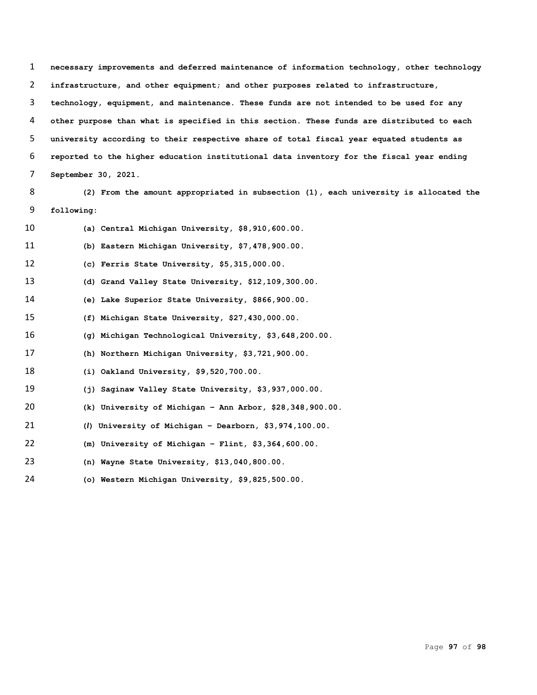**necessary improvements and deferred maintenance of information technology, other technology infrastructure, and other equipment; and other purposes related to infrastructure, technology, equipment, and maintenance. These funds are not intended to be used for any other purpose than what is specified in this section. These funds are distributed to each university according to their respective share of total fiscal year equated students as reported to the higher education institutional data inventory for the fiscal year ending September 30, 2021.**

 **(2) From the amount appropriated in subsection (1), each university is allocated the following:**

| 10 | (a) Central Michigan University, \$8,910,600.00.           |
|----|------------------------------------------------------------|
| 11 | (b) Eastern Michigan University, \$7,478,900.00.           |
| 12 | (c) Ferris State University, $$5,315,000.00.$              |
| 13 | (d) Grand Valley State University, \$12,109,300.00.        |
| 14 | (e) Lake Superior State University, \$866,900.00.          |
| 15 | (f) Michigan State University, \$27,430,000.00.            |
| 16 | (q) Michigan Technological University, \$3,648,200.00.     |
| 17 | (h) Northern Michigan University, \$3,721,900.00.          |
| 18 | $(i)$ Oakland University, \$9,520,700.00.                  |
| 19 | (j) Saginaw Valley State University, \$3,937,000.00.       |
| 20 | (k) University of Michigan - Ann Arbor, $$28,348,900.00$ . |
| 21 | $(l)$ University of Michigan - Dearborn, \$3,974,100.00.   |
| 22 | (m) University of Michigan - Flint, $$3,364,600.00$ .      |
| 23 | (n) Wayne State University, \$13,040,800.00.               |
| 24 | (o) Western Michigan University, \$9,825,500.00.           |